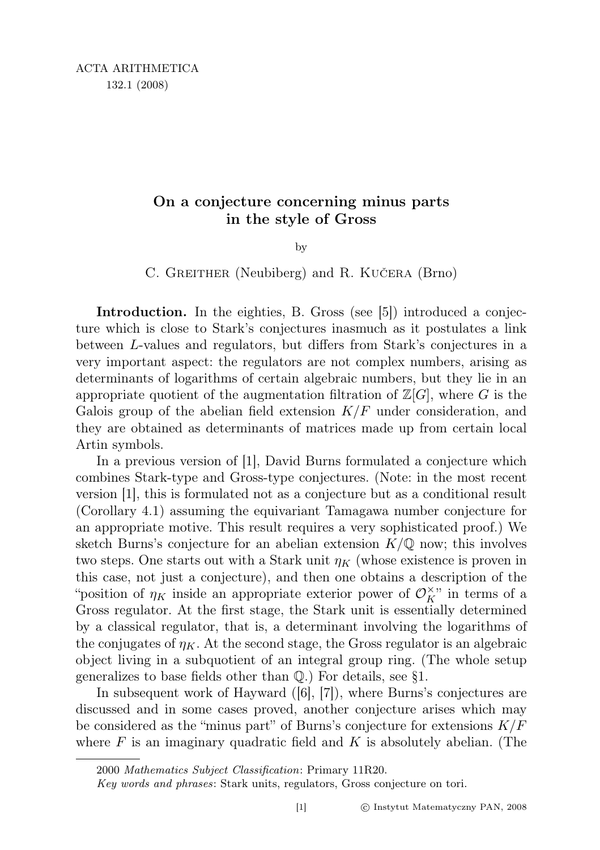## On a conjecture concerning minus parts in the style of Gross

by

C. GREITHER (Neubiberg) and R. KUČERA (Brno)

Introduction. In the eighties, B. Gross (see [5]) introduced a conjecture which is close to Stark's conjectures inasmuch as it postulates a link between L-values and regulators, but differs from Stark's conjectures in a very important aspect: the regulators are not complex numbers, arising as determinants of logarithms of certain algebraic numbers, but they lie in an appropriate quotient of the augmentation filtration of  $\mathbb{Z}[G]$ , where G is the Galois group of the abelian field extension  $K/F$  under consideration, and they are obtained as determinants of matrices made up from certain local Artin symbols.

In a previous version of [1], David Burns formulated a conjecture which combines Stark-type and Gross-type conjectures. (Note: in the most recent version [1], this is formulated not as a conjecture but as a conditional result (Corollary 4.1) assuming the equivariant Tamagawa number conjecture for an appropriate motive. This result requires a very sophisticated proof.) We sketch Burns's conjecture for an abelian extension  $K/\mathbb{Q}$  now; this involves two steps. One starts out with a Stark unit  $\eta_K$  (whose existence is proven in this case, not just a conjecture), and then one obtains a description of the "position of  $\eta_K$  inside an appropriate exterior power of  $\mathcal{O}_K^{\times}$ " in terms of a Gross regulator. At the first stage, the Stark unit is essentially determined by a classical regulator, that is, a determinant involving the logarithms of the conjugates of  $\eta_K$ . At the second stage, the Gross regulator is an algebraic object living in a subquotient of an integral group ring. (The whole setup generalizes to base fields other than Q.) For details, see §1.

In subsequent work of Hayward ([6], [7]), where Burns's conjectures are discussed and in some cases proved, another conjecture arises which may be considered as the "minus part" of Burns's conjecture for extensions  $K/F$ where  $F$  is an imaginary quadratic field and  $K$  is absolutely abelian. (The

<sup>2000</sup> Mathematics Subject Classification: Primary 11R20.

Key words and phrases: Stark units, regulators, Gross conjecture on tori.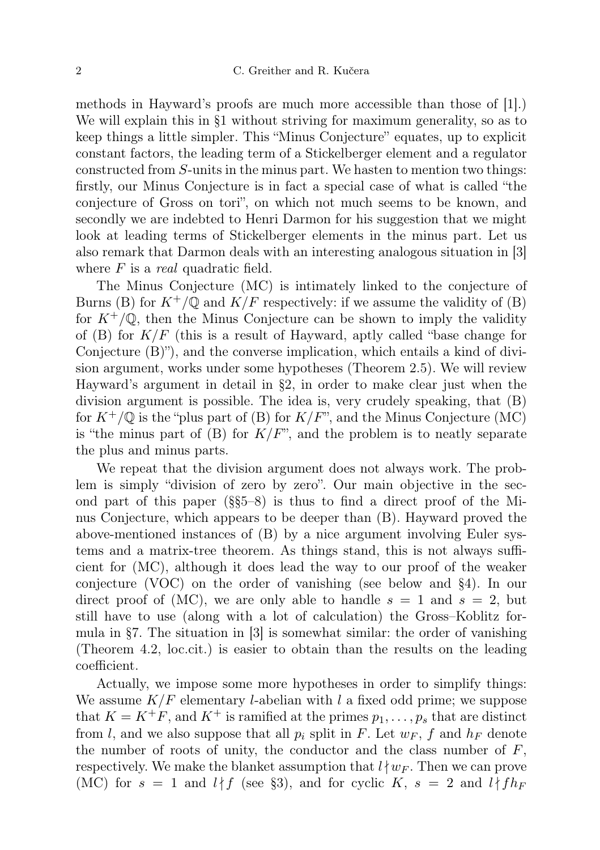methods in Hayward's proofs are much more accessible than those of [1].) We will explain this in §1 without striving for maximum generality, so as to keep things a little simpler. This "Minus Conjecture" equates, up to explicit constant factors, the leading term of a Stickelberger element and a regulator constructed from S-units in the minus part. We hasten to mention two things: firstly, our Minus Conjecture is in fact a special case of what is called "the conjecture of Gross on tori", on which not much seems to be known, and secondly we are indebted to Henri Darmon for his suggestion that we might look at leading terms of Stickelberger elements in the minus part. Let us also remark that Darmon deals with an interesting analogous situation in [3] where  $F$  is a *real* quadratic field.

The Minus Conjecture (MC) is intimately linked to the conjecture of Burns (B) for  $K^+/\mathbb{Q}$  and  $K/F$  respectively: if we assume the validity of (B) for  $K^+/\mathbb{Q}$ , then the Minus Conjecture can be shown to imply the validity of (B) for  $K/F$  (this is a result of Hayward, aptly called "base change for Conjecture (B)"), and the converse implication, which entails a kind of division argument, works under some hypotheses (Theorem 2.5). We will review Hayward's argument in detail in §2, in order to make clear just when the division argument is possible. The idea is, very crudely speaking, that (B) for  $K^+/\mathbb{Q}$  is the "plus part of (B) for  $K/F$ ", and the Minus Conjecture (MC) is "the minus part of  $(B)$  for  $K/F$ ", and the problem is to neatly separate the plus and minus parts.

We repeat that the division argument does not always work. The problem is simply "division of zero by zero". Our main objective in the second part of this paper (§§5–8) is thus to find a direct proof of the Minus Conjecture, which appears to be deeper than (B). Hayward proved the above-mentioned instances of (B) by a nice argument involving Euler systems and a matrix-tree theorem. As things stand, this is not always sufficient for (MC), although it does lead the way to our proof of the weaker conjecture (VOC) on the order of vanishing (see below and §4). In our direct proof of (MC), we are only able to handle  $s = 1$  and  $s = 2$ , but still have to use (along with a lot of calculation) the Gross–Koblitz formula in §7. The situation in [3] is somewhat similar: the order of vanishing (Theorem 4.2, loc.cit.) is easier to obtain than the results on the leading coefficient.

Actually, we impose some more hypotheses in order to simplify things: We assume  $K/F$  elementary *l*-abelian with *l* a fixed odd prime; we suppose that  $K = K^+F$ , and  $K^+$  is ramified at the primes  $p_1, \ldots, p_s$  that are distinct from l, and we also suppose that all  $p_i$  split in F. Let  $w_F$ , f and  $h_F$  denote the number of roots of unity, the conductor and the class number of  $F$ , respectively. We make the blanket assumption that  $l \nmid w_F$ . Then we can prove (MC) for  $s = 1$  and  $l \nmid f$  (see §3), and for cyclic K,  $s = 2$  and  $l \nmid f h_F$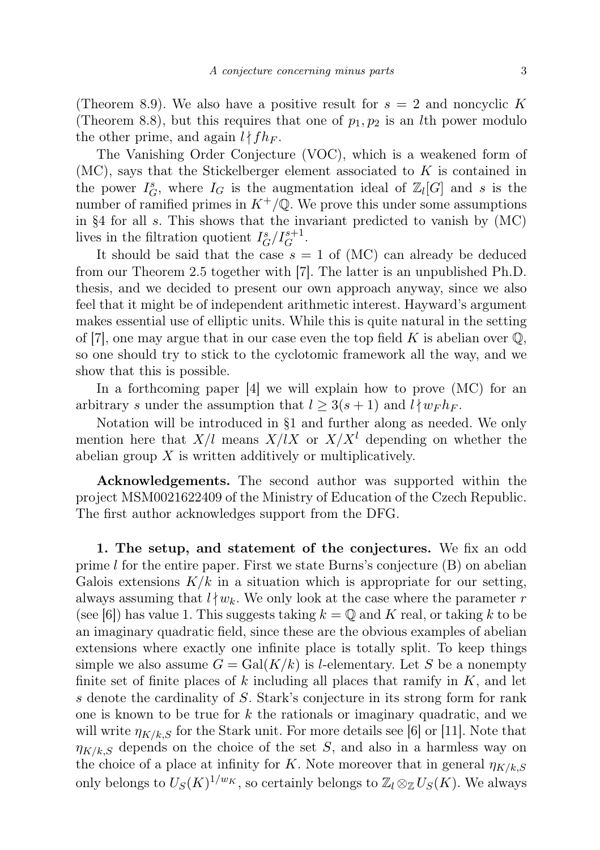(Theorem 8.9). We also have a positive result for  $s = 2$  and noncyclic K (Theorem 8.8), but this requires that one of  $p_1, p_2$  is an *l*th power modulo the other prime, and again  $l \nmid f h_F$ .

The Vanishing Order Conjecture (VOC), which is a weakened form of  $(MC)$ , says that the Stickelberger element associated to K is contained in the power  $I_G^s$ , where  $I_G$  is the augmentation ideal of  $\mathbb{Z}_l[G]$  and s is the number of ramified primes in  $K^+/\mathbb{Q}$ . We prove this under some assumptions in §4 for all s. This shows that the invariant predicted to vanish by  $(MC)$ lives in the filtration quotient  $I_G^s/I_G^{s+1}$ .

It should be said that the case  $s = 1$  of (MC) can already be deduced from our Theorem 2.5 together with [7]. The latter is an unpublished Ph.D. thesis, and we decided to present our own approach anyway, since we also feel that it might be of independent arithmetic interest. Hayward's argument makes essential use of elliptic units. While this is quite natural in the setting of [7], one may argue that in our case even the top field K is abelian over  $\mathbb{Q}$ , so one should try to stick to the cyclotomic framework all the way, and we show that this is possible.

In a forthcoming paper [4] we will explain how to prove (MC) for an arbitrary s under the assumption that  $l \geq 3(s+1)$  and  $l \nmid w_F h_F$ .

Notation will be introduced in §1 and further along as needed. We only mention here that  $X/l$  means  $X/lX$  or  $X/X<sup>l</sup>$  depending on whether the abelian group  $X$  is written additively or multiplicatively.

Acknowledgements. The second author was supported within the project MSM0021622409 of the Ministry of Education of the Czech Republic. The first author acknowledges support from the DFG.

1. The setup, and statement of the conjectures. We fix an odd prime  $l$  for the entire paper. First we state Burns's conjecture  $(B)$  on abelian Galois extensions  $K/k$  in a situation which is appropriate for our setting, always assuming that  $l \nmid w_k$ . We only look at the case where the parameter r (see [6]) has value 1. This suggests taking  $k = \mathbb{Q}$  and K real, or taking k to be an imaginary quadratic field, since these are the obvious examples of abelian extensions where exactly one infinite place is totally split. To keep things simple we also assume  $G = \text{Gal}(K/k)$  is *l*-elementary. Let S be a nonempty finite set of finite places of k including all places that ramify in  $K$ , and let s denote the cardinality of S. Stark's conjecture in its strong form for rank one is known to be true for  $k$  the rationals or imaginary quadratic, and we will write  $\eta_{K/k,S}$  for the Stark unit. For more details see [6] or [11]. Note that  $\eta_{K/k,S}$  depends on the choice of the set S, and also in a harmless way on the choice of a place at infinity for K. Note moreover that in general  $\eta_{K/k,S}$ only belongs to  $U_S(K)^{1/w_K}$ , so certainly belongs to  $\mathbb{Z}_l \otimes_{\mathbb{Z}} U_S(K)$ . We always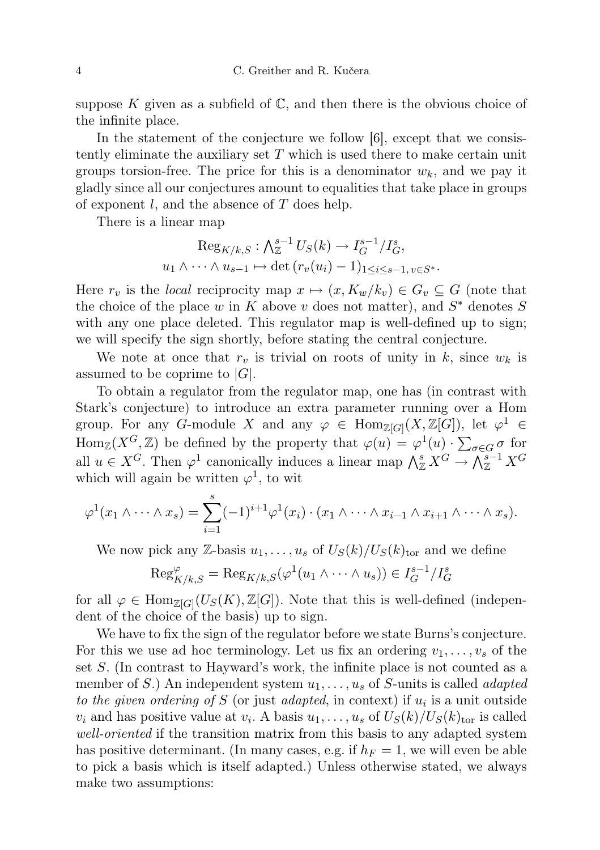suppose K given as a subfield of  $\mathbb{C}$ , and then there is the obvious choice of the infinite place.

In the statement of the conjecture we follow [6], except that we consistently eliminate the auxiliary set  $T$  which is used there to make certain unit groups torsion-free. The price for this is a denominator  $w_k$ , and we pay it gladly since all our conjectures amount to equalities that take place in groups of exponent  $l$ , and the absence of  $T$  does help.

There is a linear map

$$
\operatorname{Reg}_{K/k,S}: \bigwedge_{\mathbb{Z}}^{s-1} U_S(k) \to I_G^{s-1}/I_G^s,
$$
  

$$
u_1 \wedge \cdots \wedge u_{s-1} \mapsto \det(r_v(u_i) - 1)_{1 \le i \le s-1, v \in S^*}.
$$

Here  $r_v$  is the *local* reciprocity map  $x \mapsto (x, K_w/k_v) \in G_v \subseteq G$  (note that the choice of the place w in K above v does not matter), and  $S^*$  denotes S with any one place deleted. This regulator map is well-defined up to sign; we will specify the sign shortly, before stating the central conjecture.

We note at once that  $r_v$  is trivial on roots of unity in k, since  $w_k$  is assumed to be coprime to  $|G|$ .

To obtain a regulator from the regulator map, one has (in contrast with Stark's conjecture) to introduce an extra parameter running over a Hom group. For any G-module X and any  $\varphi \in \text{Hom}_{\mathbb{Z}[G]}(X,\mathbb{Z}[G])$ , let  $\varphi^1 \in$  $\text{Hom}_{\mathbb{Z}}(X^G,\mathbb{Z})$  be defined by the property that  $\varphi(u) = \varphi^1(u) \cdot \sum_{\sigma \in G} \sigma$  for all  $u \in X^G$ . Then  $\varphi^1$  canonically induces a linear map  $\bigwedge^s_{\mathbb{Z}} X^G \to \bigwedge^{s-1}_{\mathbb{Z}} X^G$ which will again be written  $\varphi^1$ , to wit

$$
\varphi^1(x_1 \wedge \cdots \wedge x_s) = \sum_{i=1}^s (-1)^{i+1} \varphi^1(x_i) \cdot (x_1 \wedge \cdots \wedge x_{i-1} \wedge x_{i+1} \wedge \cdots \wedge x_s).
$$

We now pick any Z-basis  $u_1, \ldots, u_s$  of  $U_S(k)/U_S(k)_{\text{tor}}$  and we define

$$
\operatorname{Reg}_{K/k,S}^{\varphi} = \operatorname{Reg}_{K/k,S}(\varphi^1(u_1 \wedge \dots \wedge u_s)) \in I_G^{s-1}/I_G^s
$$

for all  $\varphi \in \text{Hom}_{\mathbb{Z}[G]}(U_S(K), \mathbb{Z}[G])$ . Note that this is well-defined (independent of the choice of the basis) up to sign.

We have to fix the sign of the regulator before we state Burns's conjecture. For this we use ad hoc terminology. Let us fix an ordering  $v_1, \ldots, v_s$  of the set S. (In contrast to Hayward's work, the infinite place is not counted as a member of S.) An independent system  $u_1, \ldots, u_s$  of S-units is called *adapted* to the given ordering of S (or just adapted, in context) if  $u_i$  is a unit outside  $v_i$  and has positive value at  $v_i$ . A basis  $u_1, \ldots, u_s$  of  $U_S(k)/U_S(k)_{\text{tor}}$  is called well-oriented if the transition matrix from this basis to any adapted system has positive determinant. (In many cases, e.g. if  $h_F = 1$ , we will even be able to pick a basis which is itself adapted.) Unless otherwise stated, we always make two assumptions: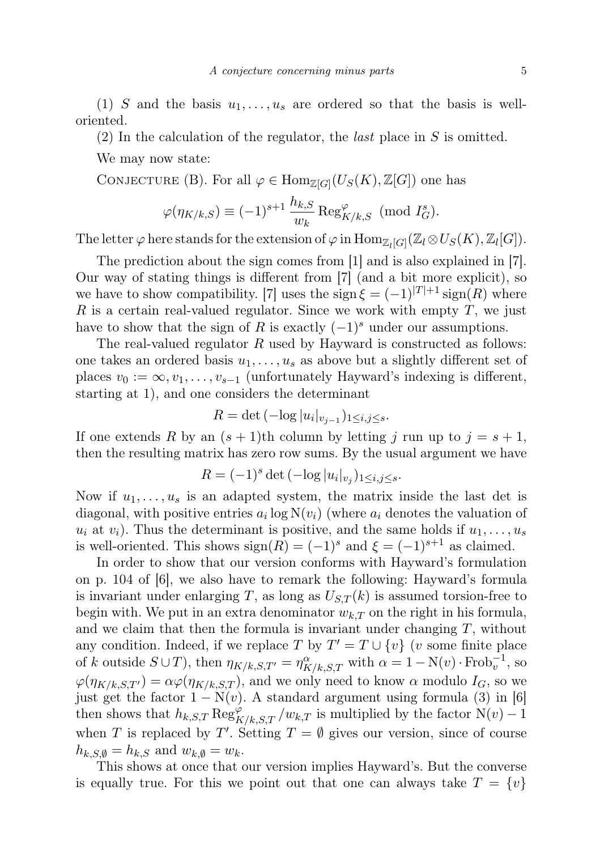(1) S and the basis  $u_1, \ldots, u_s$  are ordered so that the basis is welloriented.

(2) In the calculation of the regulator, the *last* place in  $S$  is omitted.

We may now state:

CONJECTURE (B). For all  $\varphi \in \text{Hom}_{\mathbb{Z}[G]}(U_S(K), \mathbb{Z}[G])$  one has

$$
\varphi(\eta_{K/k,S}) \equiv (-1)^{s+1} \frac{h_{k,S}}{w_k} \operatorname{Reg}_{K/k,S}^{\varphi} \pmod{I_G^s}.
$$

The letter  $\varphi$  here stands for the extension of  $\varphi$  in  $\mathrm{Hom}_{\mathbb{Z}_l[G]}(\mathbb{Z}_l \otimes U_S(K), \mathbb{Z}_l[G])$ .

The prediction about the sign comes from [1] and is also explained in [7]. Our way of stating things is different from [7] (and a bit more explicit), so we have to show compatibility. [7] uses the sign  $\xi = (-1)^{|T|+1}$  sign(R) where R is a certain real-valued regulator. Since we work with empty  $T$ , we just have to show that the sign of R is exactly  $(-1)^s$  under our assumptions.

The real-valued regulator  $R$  used by Hayward is constructed as follows: one takes an ordered basis  $u_1, \ldots, u_s$  as above but a slightly different set of places  $v_0 := \infty, v_1, \ldots, v_{s-1}$  (unfortunately Hayward's indexing is different, starting at 1), and one considers the determinant

$$
R = \det \left( -\log |u_i|_{v_{j-1}} \right)_{1 \le i,j \le s}.
$$

If one extends R by an  $(s + 1)$ th column by letting j run up to  $j = s + 1$ , then the resulting matrix has zero row sums. By the usual argument we have

$$
R = (-1)^s \det(-\log |u_i|_{v_j})_{1 \le i,j \le s}.
$$

Now if  $u_1, \ldots, u_s$  is an adapted system, the matrix inside the last det is diagonal, with positive entries  $a_i \log N(v_i)$  (where  $a_i$  denotes the valuation of  $u_i$  at  $v_i$ ). Thus the determinant is positive, and the same holds if  $u_1, \ldots, u_s$ is well-oriented. This shows  $sign(R) = (-1)^s$  and  $\xi = (-1)^{s+1}$  as claimed.

In order to show that our version conforms with Hayward's formulation on p. 104 of [6], we also have to remark the following: Hayward's formula is invariant under enlarging T, as long as  $U_{S,T}(k)$  is assumed torsion-free to begin with. We put in an extra denominator  $w_{k,T}$  on the right in his formula, and we claim that then the formula is invariant under changing  $T$ , without any condition. Indeed, if we replace T by  $T' = T \cup \{v\}$  (v some finite place of k outside  $S \cup T$ ), then  $\eta_{K/k,S,T'} = \eta_{K/k,S,T}^{\alpha}$  with  $\alpha = 1 - N(v) \cdot \text{Frob}_{v}^{-1}$ , so  $\varphi(\eta_{K/k,S,T'}) = \alpha \varphi(\eta_{K/k,S,T})$ , and we only need to know  $\alpha$  modulo  $I_G$ , so we just get the factor  $1 - N(v)$ . A standard argument using formula (3) in [6] then shows that  $h_{k,S,T} \operatorname{Reg}_{K/k,S,T}^{\varphi}/w_{k,T}$  is multiplied by the factor  $\mathrm{N}(v) - 1$ when T is replaced by T'. Setting  $T = \emptyset$  gives our version, since of course  $h_{k,S,\emptyset} = h_{k,S}$  and  $w_{k,\emptyset} = w_k$ .

This shows at once that our version implies Hayward's. But the converse is equally true. For this we point out that one can always take  $T = \{v\}$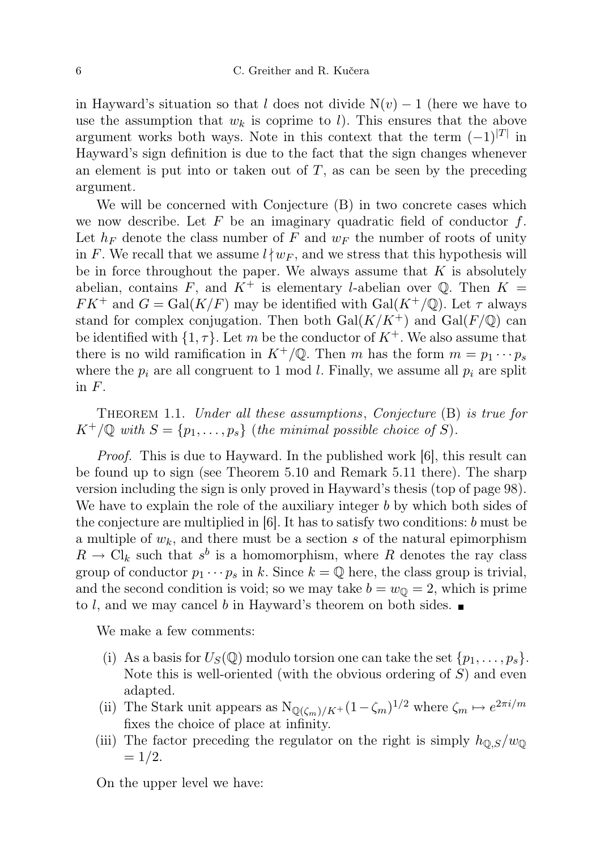in Hayward's situation so that l does not divide  $N(v) - 1$  (here we have to use the assumption that  $w_k$  is coprime to l). This ensures that the above argument works both ways. Note in this context that the term  $(-1)^{|T|}$  in Hayward's sign definition is due to the fact that the sign changes whenever an element is put into or taken out of  $T$ , as can be seen by the preceding argument.

We will be concerned with Conjecture (B) in two concrete cases which we now describe. Let F be an imaginary quadratic field of conductor  $f$ . Let  $h_F$  denote the class number of F and  $w_F$  the number of roots of unity in F. We recall that we assume  $l \nmid w_F$ , and we stress that this hypothesis will be in force throughout the paper. We always assume that  $K$  is absolutely abelian, contains F, and  $K^+$  is elementary l-abelian over Q. Then  $K =$  $FK^+$  and  $G = \text{Gal}(K/F)$  may be identified with  $\text{Gal}(K^+/\mathbb{Q})$ . Let  $\tau$  always stand for complex conjugation. Then both  $Gal(K/K^+)$  and  $Gal(F/\mathbb{Q})$  can be identified with  $\{1, \tau\}$ . Let m be the conductor of  $K^+$ . We also assume that there is no wild ramification in  $K^+/\mathbb{Q}$ . Then m has the form  $m = p_1 \cdots p_s$ where the  $p_i$  are all congruent to 1 mod l. Finally, we assume all  $p_i$  are split in  $F$ .

THEOREM 1.1. Under all these assumptions, Conjecture (B) is true for  $K^+/\mathbb{Q}$  with  $S = \{p_1, \ldots, p_s\}$  (the minimal possible choice of S).

*Proof.* This is due to Hayward. In the published work [6], this result can be found up to sign (see Theorem 5.10 and Remark 5.11 there). The sharp version including the sign is only proved in Hayward's thesis (top of page 98). We have to explain the role of the auxiliary integer b by which both sides of the conjecture are multiplied in  $|6|$ . It has to satisfy two conditions: b must be a multiple of  $w_k$ , and there must be a section s of the natural epimorphism  $R \to \mathrm{Cl}_k$  such that  $s^b$  is a homomorphism, where R denotes the ray class group of conductor  $p_1 \cdots p_s$  in k. Since  $k = \mathbb{Q}$  here, the class group is trivial, and the second condition is void; so we may take  $b = w<sub>0</sub> = 2$ , which is prime to l, and we may cancel b in Hayward's theorem on both sides.  $\blacksquare$ 

We make a few comments:

- (i) As a basis for  $U_S(\mathbb{Q})$  modulo torsion one can take the set  $\{p_1, \ldots, p_s\}$ . Note this is well-oriented (with the obvious ordering of  $S$ ) and even adapted.
- (ii) The Stark unit appears as  $N_{\mathbb{Q}(\zeta_m)/K^+}(1-\zeta_m)^{1/2}$  where  $\zeta_m \mapsto e^{2\pi i/m}$ fixes the choice of place at infinity.
- (iii) The factor preceding the regulator on the right is simply  $h_{\mathbb{Q},S}/w_{\mathbb{Q}}$  $= 1/2.$

On the upper level we have: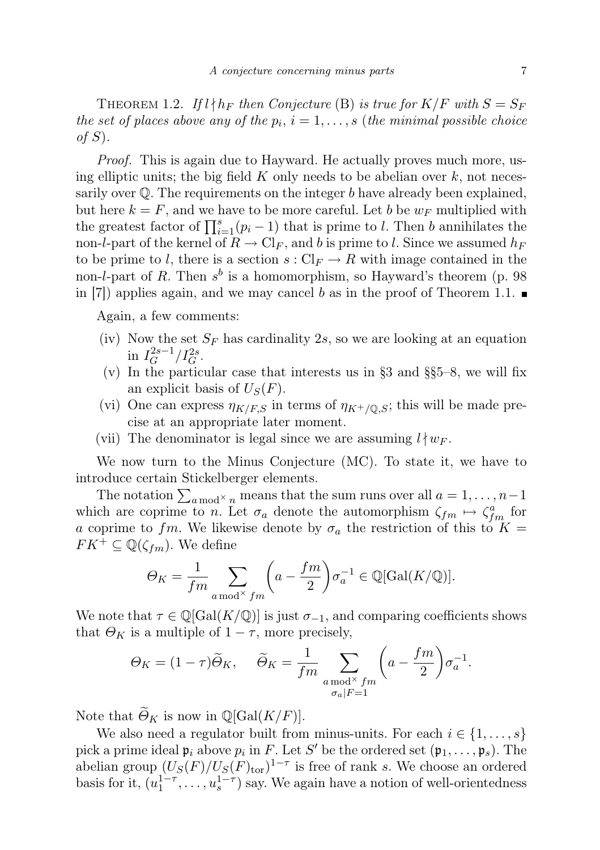THEOREM 1.2. If  $l \nmid h_F$  then Conjecture (B) is true for  $K/F$  with  $S = S_F$ the set of places above any of the  $p_i$ ,  $i = 1, \ldots, s$  (the minimal possible choice of  $S$ ).

Proof. This is again due to Hayward. He actually proves much more, using elliptic units; the big field K only needs to be abelian over  $k$ , not necessarily over  $\mathbb Q$ . The requirements on the integer b have already been explained, but here  $k = F$ , and we have to be more careful. Let b be  $w_F$  multiplied with the greatest factor of  $\prod_{i=1}^{s}(p_i-1)$  that is prime to l. Then b annihilates the non-l-part of the kernel of  $R \to \mathrm{Cl}_F$ , and b is prime to l. Since we assumed  $h_F$ to be prime to l, there is a section  $s: Cl_F \to R$  with image contained in the non-l-part of R. Then  $s^b$  is a homomorphism, so Hayward's theorem (p. 98) in [7]) applies again, and we may cancel b as in the proof of Theorem 1.1.  $\blacksquare$ 

Again, a few comments:

- (iv) Now the set  $S_F$  has cardinality 2s, so we are looking at an equation in  $I_G^{2s-1}$  $G^{2s-1}/I_G^{2s}$ .
- (v) In the particular case that interests us in §3 and §§5–8, we will fix an explicit basis of  $U_s(F)$ .
- (vi) One can express  $\eta_{K/F,S}$  in terms of  $\eta_{K^+/\mathbb{Q},S}$ ; this will be made precise at an appropriate later moment.
- (vii) The denominator is legal since we are assuming  $l \nmid w_F$ .

We now turn to the Minus Conjecture (MC). To state it, we have to introduce certain Stickelberger elements.

The notation  $\sum_{a \bmod x} n$  means that the sum runs over all  $a = 1, \ldots, n-1$ which are coprime to n. Let  $\sigma_a$  denote the automorphism  $\zeta_{fm} \mapsto \zeta_{fm}^a$  for a coprime to fm. We likewise denote by  $\sigma_a$  the restriction of this to  $K =$  $FK^+ \subseteq \mathbb{Q}(\zeta_{fm})$ . We define

$$
\Theta_K = \frac{1}{f m} \sum_{a \bmod^{\times} f m} \left( a - \frac{f m}{2} \right) \sigma_a^{-1} \in \mathbb{Q}[\text{Gal}(K/\mathbb{Q})].
$$

We note that  $\tau \in \mathbb{Q}[\text{Gal}(K/\mathbb{Q})]$  is just  $\sigma_{-1}$ , and comparing coefficients shows that  $\Theta_K$  is a multiple of  $1 - \tau$ , more precisely,

$$
\Theta_K = (1 - \tau)\widetilde{\Theta}_K, \quad \widetilde{\Theta}_K = \frac{1}{fm} \sum_{\substack{a \bmod^{\times} fm \\ \sigma_a|F=1}} \left( a - \frac{fm}{2} \right) \sigma_a^{-1}.
$$

Note that  $\widetilde{\Theta}_K$  is now in  $\mathbb{Q}[\text{Gal}(K/F)].$ 

We also need a regulator built from minus-units. For each  $i \in \{1, \ldots, s\}$ pick a prime ideal  $\mathfrak{p}_i$  above  $p_i$  in F. Let S' be the ordered set  $(\mathfrak{p}_1, \ldots, \mathfrak{p}_s)$ . The abelian group  $(U_S(F)/U_S(F)_{\text{tor}})^{1-\tau}$  is free of rank s. We choose an ordered basis for it,  $(u_1^{1-\tau}, \ldots, u_s^{1-\tau})$  say. We again have a notion of well-orientedness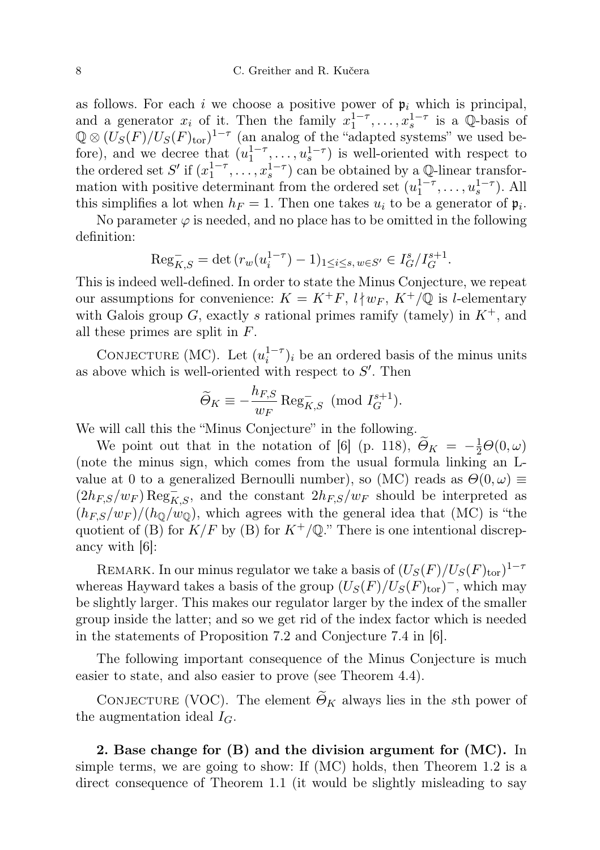as follows. For each i we choose a positive power of  $\mathfrak{p}_i$  which is principal, and a generator  $x_i$  of it. Then the family  $x_1^{1-\tau}, \ldots, x_s^{1-\tau}$  is a Q-basis of  $\mathbb{Q} \otimes (U_{S}(F)/U_{S}(F)_{\text{tor}})^{1-\tau}$  (an analog of the "adapted systems" we used before), and we decree that  $(u_1^{1-\tau},...,u_s^{1-\tau})$  is well-oriented with respect to the ordered set  $S'$  if  $(x_1^{1-\tau}, \ldots, x_s^{1-\tau})$  can be obtained by a Q-linear transformation with positive determinant from the ordered set  $(u_1^{1-\tau}, \ldots, u_s^{1-\tau})$ . All this simplifies a lot when  $h_F = 1$ . Then one takes  $u_i$  to be a generator of  $\mathfrak{p}_i$ .

No parameter  $\varphi$  is needed, and no place has to be omitted in the following definition:

$$
\mathrm{Reg}_{K,S}^- = \det \left( r_w(u_i^{1-\tau}) - 1 \right)_{1 \le i \le s, w \in S'} \in I_G^s / I_G^{s+1}.
$$

This is indeed well-defined. In order to state the Minus Conjecture, we repeat our assumptions for convenience:  $K = K^+F$ ,  $l \mid w_F$ ,  $K^+/\mathbb{Q}$  is l-elementary with Galois group G, exactly s rational primes ramify (tamely) in  $K^+$ , and all these primes are split in F.

CONJECTURE (MC). Let  $(u_i^{1-\tau})_i$  be an ordered basis of the minus units as above which is well-oriented with respect to  $S'$ . Then

$$
\widetilde{\Theta}_K \equiv -\frac{h_{F,S}}{w_F} \operatorname{Reg}_{K,S}^- \pmod{I_G^{s+1}}.
$$

We will call this the "Minus Conjecture" in the following.

We point out that in the notation of [6] (p. 118),  $\widetilde{\Theta}_K = -\frac{1}{2}\Theta(0,\omega)$ (note the minus sign, which comes from the usual formula linking an Lvalue at 0 to a generalized Bernoulli number), so (MC) reads as  $\Theta(0,\omega) \equiv$  $(2h_{F,S}/w_F)\operatorname{Reg}_{K,S}^-$ , and the constant  $2h_{F,S}/w_F$  should be interpreted as  $(h_{FS}/w_F)/(h_{\odot}/w_{\odot})$ , which agrees with the general idea that (MC) is "the quotient of (B) for  $K/F$  by (B) for  $K^+/\mathbb{Q}$ ." There is one intentional discrepancy with [6]:

REMARK. In our minus regulator we take a basis of  $(U_S(F)/U_S(F)_{\text{tor}})^{1-\tau}$ whereas Hayward takes a basis of the group  $(U_S(F)/U_S(F)_{tor})^{\text{-}}$ , which may be slightly larger. This makes our regulator larger by the index of the smaller group inside the latter; and so we get rid of the index factor which is needed in the statements of Proposition 7.2 and Conjecture 7.4 in [6].

The following important consequence of the Minus Conjecture is much easier to state, and also easier to prove (see Theorem 4.4).

CONJECTURE (VOC). The element  $\widetilde{\Theta}_K$  always lies in the sth power of the augmentation ideal  $I_G$ .

2. Base change for (B) and the division argument for (MC). In simple terms, we are going to show: If (MC) holds, then Theorem 1.2 is a direct consequence of Theorem 1.1 (it would be slightly misleading to say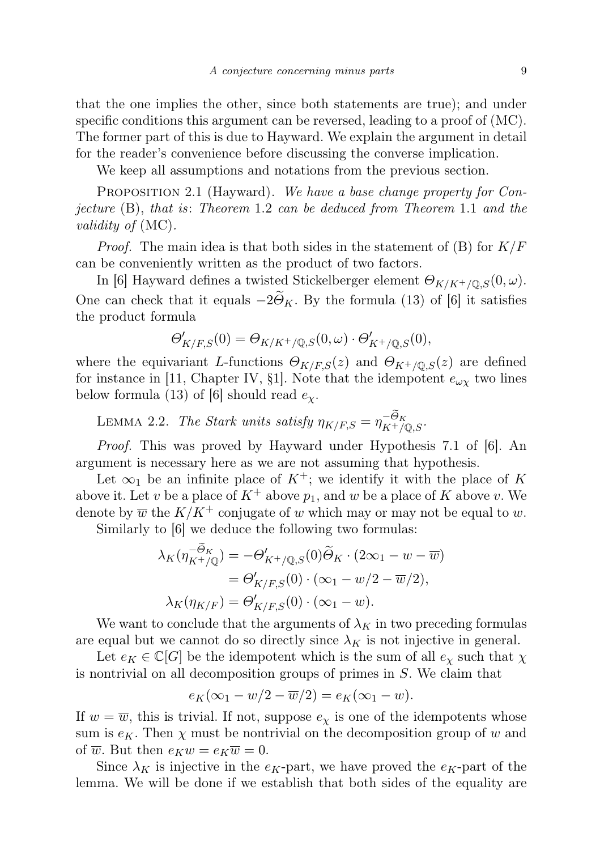that the one implies the other, since both statements are true); and under specific conditions this argument can be reversed, leading to a proof of (MC). The former part of this is due to Hayward. We explain the argument in detail for the reader's convenience before discussing the converse implication.

We keep all assumptions and notations from the previous section.

PROPOSITION 2.1 (Hayward). We have a base change property for Conjecture (B), that is: Theorem 1.2 can be deduced from Theorem 1.1 and the validity of (MC).

*Proof.* The main idea is that both sides in the statement of  $(B)$  for  $K/F$ can be conveniently written as the product of two factors.

In [6] Hayward defines a twisted Stickelberger element  $\Theta_{K/K^+/\mathbb{Q},S}(0,\omega)$ . One can check that it equals  $-2\tilde{\Theta}_K$ . By the formula (13) of [6] it satisfies the product formula

$$
\Theta'_{K/F,S}(0) = \Theta_{K/K^+/{\mathbb Q},S}(0,\omega) \cdot \Theta'_{K^+/{\mathbb Q},S}(0),
$$

where the equivariant L-functions  $\Theta_{K/F,S}(z)$  and  $\Theta_{K^+/\mathbb{Q},S}(z)$  are defined for instance in [11, Chapter IV, §1]. Note that the idempotent  $e_{\omega\chi}$  two lines below formula (13) of [6] should read  $e_{\chi}$ .

LEMMA 2.2. The Stark units satisfy  $\eta_{K/F,S} = \eta_{K^+/\mathbb{Q},S}^{-\Theta_K}$ .

Proof. This was proved by Hayward under Hypothesis 7.1 of [6]. An argument is necessary here as we are not assuming that hypothesis.

Let  $\infty_1$  be an infinite place of  $K^+$ ; we identify it with the place of K above it. Let v be a place of  $K^+$  above  $p_1$ , and w be a place of K above v. We denote by  $\overline{w}$  the  $K/K^+$  conjugate of w which may or may not be equal to w.

Similarly to [6] we deduce the following two formulas:

$$
\lambda_K(\eta_{K^+/\mathbb{Q}}^{-\Theta_K}) = -\Theta'_{K^+/\mathbb{Q},S}(0)\widetilde{\Theta}_K \cdot (2\infty_1 - w - \overline{w})
$$
  
=  $\Theta'_{K/F,S}(0) \cdot (\infty_1 - w/2 - \overline{w}/2),$   

$$
\lambda_K(\eta_{K/F}) = \Theta'_{K/F,S}(0) \cdot (\infty_1 - w).
$$

We want to conclude that the arguments of  $\lambda_K$  in two preceding formulas are equal but we cannot do so directly since  $\lambda_K$  is not injective in general.

Let  $e_K \in \mathbb{C}[G]$  be the idempotent which is the sum of all  $e_\chi$  such that  $\chi$ is nontrivial on all decomposition groups of primes in S. We claim that

$$
e_K(\infty_1 - w/2 - \overline{w}/2) = e_K(\infty_1 - w).
$$

If  $w = \overline{w}$ , this is trivial. If not, suppose  $e_{\chi}$  is one of the idempotents whose sum is  $e_K$ . Then  $\chi$  must be nontrivial on the decomposition group of w and of  $\overline{w}$ . But then  $e_K w = e_K \overline{w} = 0$ .

Since  $\lambda_K$  is injective in the  $e_K$ -part, we have proved the  $e_K$ -part of the lemma. We will be done if we establish that both sides of the equality are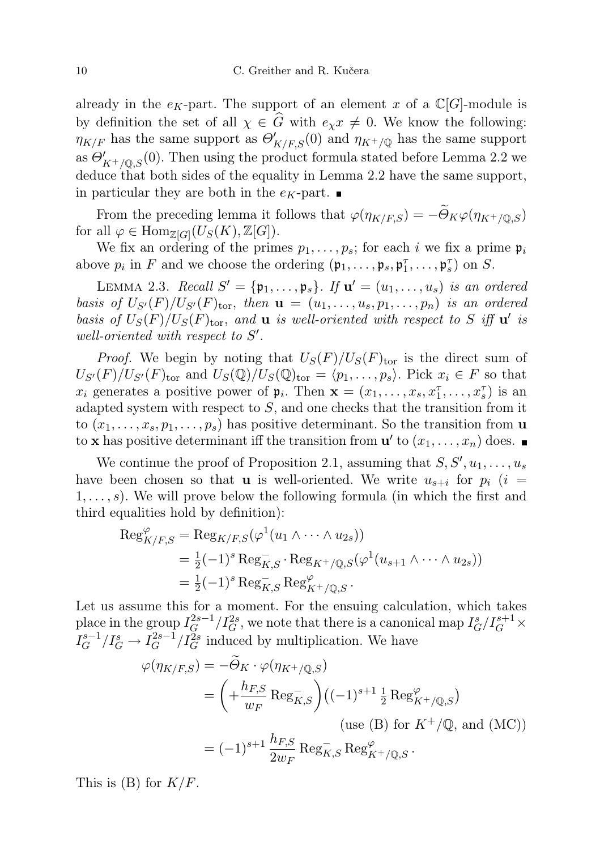already in the  $e_K$ -part. The support of an element x of a  $\mathbb{C}[G]$ -module is by definition the set of all  $\chi \in \widehat{G}$  with  $e_{\chi}x \neq 0$ . We know the following:  $\eta_{K/F}$  has the same support as  $\Theta'_{K/F,S}(0)$  and  $\eta_{K^{+}/\mathbb{Q}}$  has the same support as  $\Theta'_{K^+/{\mathbb Q},S}(0)$ . Then using the product formula stated before Lemma 2.2 we deduce that both sides of the equality in Lemma 2.2 have the same support, in particular they are both in the  $e_K$ -part.

From the preceding lemma it follows that  $\varphi(\eta_{K/F,S}) = -\widetilde{\Theta}_K \varphi(\eta_{K^+/\mathbb{Q},S})$ for all  $\varphi \in \text{Hom}_{\mathbb{Z}[G]}(U_S(K), \mathbb{Z}[G]).$ 

We fix an ordering of the primes  $p_1, \ldots, p_s$ ; for each i we fix a prime  $\mathfrak{p}_i$ above  $p_i$  in F and we choose the ordering  $(\mathfrak{p}_1, \ldots, \mathfrak{p}_s, \mathfrak{p}_1^{\tau}, \ldots, \mathfrak{p}_s^{\tau})$  on S.

LEMMA 2.3. Recall  $S' = {\mathfrak{p}_1, \ldots, \mathfrak{p}_s}$ . If  $\mathbf{u}' = (u_1, \ldots, u_s)$  is an ordered basis of  $U_{S'}(F)/U_{S'}(F)_{\text{tor}}$ , then  $\mathbf{u} = (u_1, \ldots, u_s, p_1, \ldots, p_n)$  is an ordered basis of  $U_S(F)/U_S(F)_{\text{tor}}$ , and **u** is well-oriented with respect to S iff **u'** is well-oriented with respect to  $S'$ .

*Proof.* We begin by noting that  $U_S(F)/U_S(F)_{tor}$  is the direct sum of  $U_{S'}(F)/U_{S'}(F)_{\text{tor}}$  and  $U_{S}(\mathbb{Q})/U_{S}(\mathbb{Q})_{\text{tor}} = \langle p_1,\ldots,p_s\rangle$ . Pick  $x_i \in F$  so that  $x_i$  generates a positive power of  $\mathfrak{p}_i$ . Then  $\mathbf{x} = (x_1, \ldots, x_s, x_1^{\tau}, \ldots, x_s^{\tau})$  is an adapted system with respect to  $S$ , and one checks that the transition from it to  $(x_1, \ldots, x_s, p_1, \ldots, p_s)$  has positive determinant. So the transition from **u** to **x** has positive determinant iff the transition from  $\mathbf{u}'$  to  $(x_1, \ldots, x_n)$  does.

We continue the proof of Proposition 2.1, assuming that  $S, S', u_1, \ldots, u_s$ have been chosen so that **u** is well-oriented. We write  $u_{s+i}$  for  $p_i$  (i =  $1, \ldots, s$ ). We will prove below the following formula (in which the first and third equalities hold by definition):

$$
\operatorname{Reg}_{K/F,S}^{\varphi} = \operatorname{Reg}_{K/F,S}(\varphi^1(u_1 \wedge \cdots \wedge u_{2s}))
$$
  
=  $\frac{1}{2}(-1)^s \operatorname{Reg}_{K,S}^{-} \cdot \operatorname{Reg}_{K^{+}/\mathbb{Q},S}(\varphi^1(u_{s+1} \wedge \cdots \wedge u_{2s}))$   
=  $\frac{1}{2}(-1)^s \operatorname{Reg}_{K,S}^{-} \operatorname{Reg}_{K^{+}/\mathbb{Q},S}^{\varphi} \cdot$ 

Let us assume this for a moment. For the ensuing calculation, which takes place in the group  $I_G^{2s-1}$  $I_G^{2s-1}/I_G^{2s}$ , we note that there is a canonical map  $I_G^s/I_G^{s+1} \times$  $I_G^{s-1}$  $I_G^{s-1}/I_G^s \to I_G^{2s-1}$  $\frac{f^{2s-1}}{G}/I_G^{2s}$  induced by multiplication. We have

$$
\varphi(\eta_{K/F,S}) = -\Theta_K \cdot \varphi(\eta_{K^+/\mathbb{Q},S})
$$
  
= 
$$
\left(+\frac{h_{F,S}}{w_F} \text{Reg}_{K,S}^{-}\right) \left((-1)^{s+1} \frac{1}{2} \text{Reg}_{K^+/\mathbb{Q},S}^{\varphi}\right)
$$
  
(use (B) for  $K^+/\mathbb{Q}$ , and (MC))  
= 
$$
(-1)^{s+1} \frac{h_{F,S}}{2w_F} \text{Reg}_{K,S}^{-} \text{Reg}_{K^+/\mathbb{Q},S}^{\varphi}.
$$

This is  $(B)$  for  $K/F$ .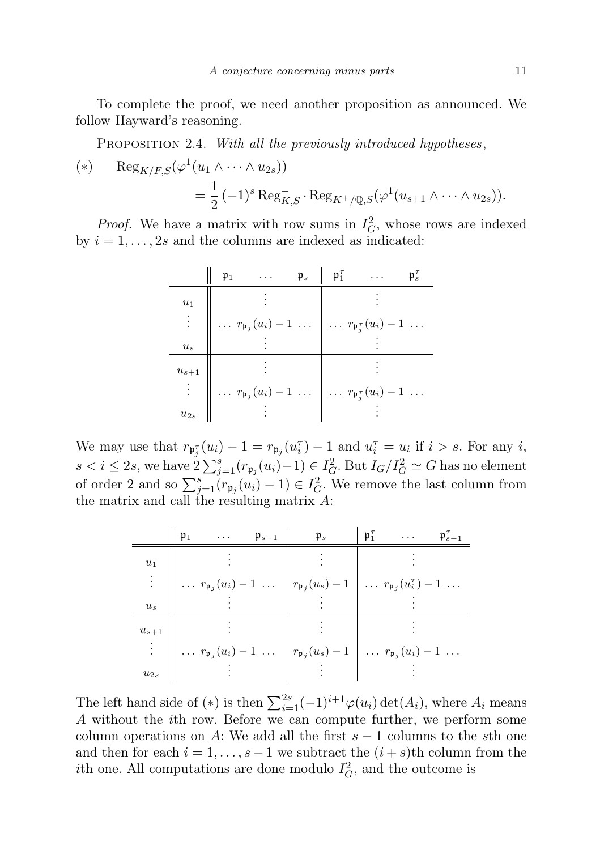To complete the proof, we need another proposition as announced. We follow Hayward's reasoning.

PROPOSITION 2.4. With all the previously introduced hypotheses,

$$
\begin{aligned} (*) & \operatorname{Reg}_{K/F,S}(\varphi^1(u_1 \wedge \cdots \wedge u_{2s})) \\ &= \frac{1}{2} \left(-1\right)^s \operatorname{Reg}_{K,S}^- \cdot \operatorname{Reg}_{K^+/\mathbb{Q},S}(\varphi^1(u_{s+1} \wedge \cdots \wedge u_{2s})). \end{aligned}
$$

*Proof.* We have a matrix with row sums in  $I_G^2$ , whose rows are indexed by  $i = 1, \ldots, 2s$  and the columns are indexed as indicated:

|           | $\mathfrak{p}_1$ | $\cdots$ | $\mathfrak{p}_s$ | $\mathfrak{p}_1^{\tau}$ | $\cdots$                                                                                           | $\mathfrak{p}_s^{\tau}$ |
|-----------|------------------|----------|------------------|-------------------------|----------------------------------------------------------------------------------------------------|-------------------------|
| $u_1$     |                  |          |                  |                         |                                                                                                    |                         |
|           |                  |          |                  |                         | $\ldots$ $r_{\mathfrak{p}_j}(u_i) - 1 \ldots$ $\ldots$ $r_{\mathfrak{p}_j^{\tau}}(u_i) - 1 \ldots$ |                         |
| $u_s$     |                  |          |                  |                         |                                                                                                    |                         |
| $u_{s+1}$ |                  |          |                  |                         |                                                                                                    |                         |
|           |                  |          |                  |                         | $\ldots r_{\mathfrak{p}_j}(u_i) - 1 \ldots \mid \ldots r_{\mathfrak{p}_j^{\tau}}(u_i) - 1 \ldots$  |                         |
| $u_{2s}$  |                  |          |                  |                         |                                                                                                    |                         |

We may use that  $r_{\mathfrak{p}_{j}^{\tau}}(u_i) - 1 = r_{\mathfrak{p}_{j}}(u_i^{\tau}) - 1$  and  $u_i^{\tau} = u_i$  if  $i > s$ . For any i, s < i ≤ 2s, we have  $2\sum_{j=1}^s (r_{\mathfrak{p}_j}(u_i)-1) \in I_G^2$ . But  $I_G/I_G^2 \simeq G$  has no element of order 2 and so  $\sum_{j=1}^{s} (r_{\mathfrak{p}_j}(u_i) - 1) \in I_G^2$ . We remove the last column from the matrix and call the resulting matrix  $A$ :

|           | $\mathfrak{p}_1$                                                                                                            | $\mathbf{1}$ , and $\mathbf{1}$ | $\mathfrak{p}_{s-1}$ | $\mathfrak{p}_s$                                                                                                            | $\mathfrak{p}_1^{\tau}$ | $\sim 100$ km s $^{-1}$ | $\mathfrak{p}_{s-1}^{\tau}$ |
|-----------|-----------------------------------------------------------------------------------------------------------------------------|---------------------------------|----------------------|-----------------------------------------------------------------------------------------------------------------------------|-------------------------|-------------------------|-----------------------------|
| $u_1$     |                                                                                                                             |                                 |                      |                                                                                                                             |                         |                         |                             |
|           | $\ldots r_{\mathfrak{p}_j}(u_i) - 1 \ldots \mid r_{\mathfrak{p}_j}(u_s) - 1 \mid \ldots r_{\mathfrak{p}_j}(u_i) - 1 \ldots$ |                                 |                      |                                                                                                                             |                         |                         |                             |
| $u_s$     |                                                                                                                             |                                 |                      |                                                                                                                             |                         |                         |                             |
| $u_{s+1}$ |                                                                                                                             |                                 |                      |                                                                                                                             |                         |                         |                             |
|           |                                                                                                                             |                                 |                      | $\ldots r_{\mathfrak{p}_j}(u_i) - 1 \ldots \mid r_{\mathfrak{p}_j}(u_s) - 1 \mid \ldots r_{\mathfrak{p}_j}(u_i) - 1 \ldots$ |                         |                         |                             |
| $u_{2s}$  |                                                                                                                             |                                 |                      |                                                                                                                             |                         |                         |                             |

The left hand side of (\*) is then  $\sum_{i=1}^{2s}(-1)^{i+1}\varphi(u_i)\det(A_i)$ , where  $A_i$  means A without the ith row. Before we can compute further, we perform some column operations on A: We add all the first  $s-1$  columns to the sth one and then for each  $i = 1, \ldots, s - 1$  we subtract the  $(i + s)$ th column from the *i*th one. All computations are done modulo  $I_G^2$ , and the outcome is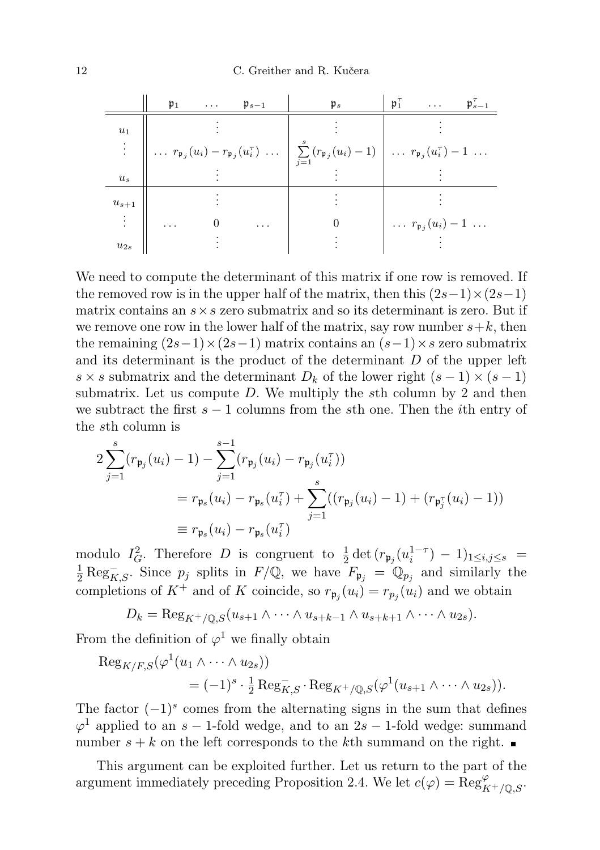12 C. Greither and R. Kučera

|                | $\mathfrak{p}_1$                                                                                                                                                                          |  | $\ldots$ $\mathfrak{p}_{s-1}$ | $\mathfrak{p}_s$ |  | $\mathfrak{p}_1^{\tau}$                     | $\mathfrak{p}_{s-1}^{\tau}$ |
|----------------|-------------------------------------------------------------------------------------------------------------------------------------------------------------------------------------------|--|-------------------------------|------------------|--|---------------------------------------------|-----------------------------|
| $u_1$          |                                                                                                                                                                                           |  |                               |                  |  |                                             |                             |
|                | $\Big\  \ldots r_{\mathfrak{p}_j}(u_i) - r_{\mathfrak{p}_j}(u_i^{\tau}) \ldots \Big  \sum_{j=1}^{r} (r_{\mathfrak{p}_j}(u_i) - 1) \Big  \ldots r_{\mathfrak{p}_j}(u_i^{\tau}) - 1 \ldots$ |  |                               |                  |  |                                             |                             |
| u <sub>s</sub> |                                                                                                                                                                                           |  |                               |                  |  |                                             |                             |
| $u_{s+1}$      |                                                                                                                                                                                           |  |                               |                  |  |                                             |                             |
|                | .                                                                                                                                                                                         |  | $\cdots$                      |                  |  | $\ldots$ $r_{\mathfrak{p}_j}(u_i)-1 \ldots$ |                             |
| $u_{2s}$       |                                                                                                                                                                                           |  |                               |                  |  |                                             |                             |

We need to compute the determinant of this matrix if one row is removed. If the removed row is in the upper half of the matrix, then this  $(2s-1)\times(2s-1)$ matrix contains an  $s \times s$  zero submatrix and so its determinant is zero. But if we remove one row in the lower half of the matrix, say row number  $s+k$ , then the remaining  $(2s-1)\times(2s-1)$  matrix contains an  $(s-1)\times s$  zero submatrix and its determinant is the product of the determinant  $D$  of the upper left s × s submatrix and the determinant  $D_k$  of the lower right  $(s-1) \times (s-1)$ submatrix. Let us compute  $D$ . We multiply the sth column by 2 and then we subtract the first  $s - 1$  columns from the sth one. Then the *i*th entry of the sth column is

$$
2\sum_{j=1}^{s} (r_{\mathfrak{p}_j}(u_i) - 1) - \sum_{j=1}^{s-1} (r_{\mathfrak{p}_j}(u_i) - r_{\mathfrak{p}_j}(u_i^{\tau}))
$$
  
=  $r_{\mathfrak{p}_s}(u_i) - r_{\mathfrak{p}_s}(u_i^{\tau}) + \sum_{j=1}^{s} ((r_{\mathfrak{p}_j}(u_i) - 1) + (r_{\mathfrak{p}_j^{\tau}}(u_i) - 1))$   
 $\equiv r_{\mathfrak{p}_s}(u_i) - r_{\mathfrak{p}_s}(u_i^{\tau})$ 

modulo  $I_G^2$ . Therefore D is congruent to  $\frac{1}{2} \det (r_{\mathfrak{p}_j}(u_i^{1-\tau}) - 1)_{1 \le i,j \le s}$  $\frac{1}{2} \text{Reg}_{K,S}^{-}$ . Since  $p_j$  splits in  $F/\mathbb{Q}$ , we have  $F_{\mathfrak{p}_j} = \mathbb{Q}_{p_j}$  and similarly the completions of  $K^+$  and of K coincide, so  $r_{\mathfrak{p}_j}(u_i) = r_{p_j}(u_i)$  and we obtain

$$
D_k = \operatorname{Reg}_{K^+/\mathbb{Q},S}(u_{s+1} \wedge \cdots \wedge u_{s+k-1} \wedge u_{s+k+1} \wedge \cdots \wedge u_{2s}).
$$

From the definition of  $\varphi^1$  we finally obtain

$$
\operatorname{Reg}_{K/F,S}(\varphi^1(u_1 \wedge \cdots \wedge u_{2s}))
$$
  
=  $(-1)^s \cdot \frac{1}{2} \operatorname{Reg}_{K,S}^{-} \cdot \operatorname{Reg}_{K^{+}/\mathbb{Q},S}(\varphi^1(u_{s+1} \wedge \cdots \wedge u_{2s})).$ 

The factor  $(-1)^s$  comes from the alternating signs in the sum that defines  $\varphi$ <sup>1</sup> applied to an s – 1-fold wedge, and to an 2s – 1-fold wedge: summand number  $s + k$  on the left corresponds to the kth summand on the right.

This argument can be exploited further. Let us return to the part of the argument immediately preceding Proposition 2.4. We let  $c(\varphi) = \operatorname{Reg}_{K^+/\mathbb{Q},S}^{\varphi}$ .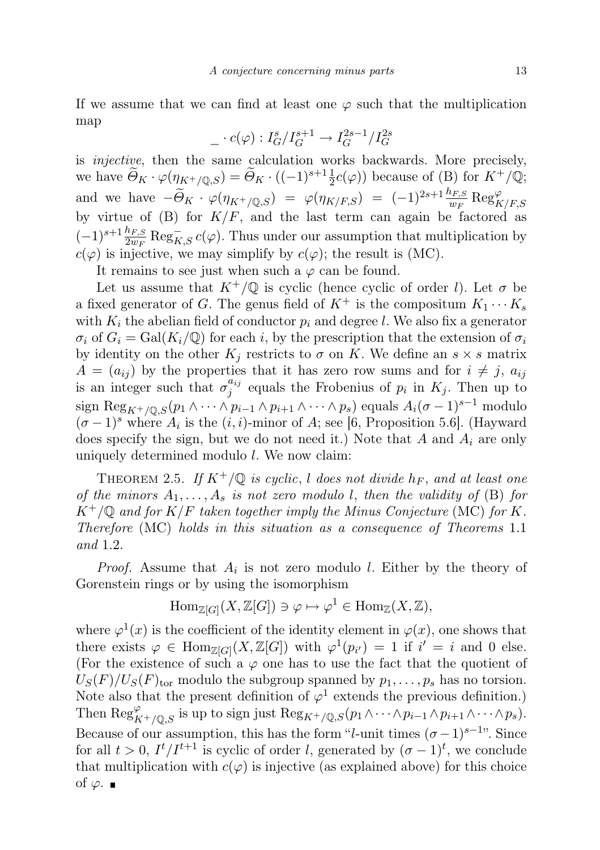If we assume that we can find at least one  $\varphi$  such that the multiplication map

$$
\_\cdot c(\varphi):I_G^s/I_G^{s+1}\to I_G^{2s-1}/I_G^{2s}
$$

is injective, then the same calculation works backwards. More precisely, we have  $\widetilde{\Theta}_K \cdot \varphi(\eta_{K^+/\mathbb{Q},S}) = \widetilde{\Theta}_K \cdot ((-1)^{s+1} \frac{1}{2} c(\varphi))$  because of  $(\mathsf{B})$  for  $K^+/\mathbb{Q};$ and we have  $-\widetilde{\Theta}_K \cdot \varphi(\eta_{K^+/\mathbb{Q},S}) = \varphi(\eta_{K/F,S}) = (-1)^{2s+1} \frac{h_{F,S}}{w_F} \operatorname{Reg}_{K/F,S}^{\varphi}$ by virtue of (B) for  $K/F$ , and the last term can again be factored as  $(-1)^{s+1} \frac{h_{F,S}}{2w_F} \text{Reg}_{K,S}^- c(\varphi)$ . Thus under our assumption that multiplication by  $c(\varphi)$  is injective, we may simplify by  $c(\varphi)$ ; the result is (MC).

It remains to see just when such a  $\varphi$  can be found.

Let us assume that  $K^+/\mathbb{Q}$  is cyclic (hence cyclic of order l). Let  $\sigma$  be a fixed generator of G. The genus field of  $K^+$  is the compositum  $K_1 \cdots K_s$ with  $K_i$  the abelian field of conductor  $p_i$  and degree l. We also fix a generator  $\sigma_i$  of  $G_i = \text{Gal}(K_i/\mathbb{Q})$  for each i, by the prescription that the extension of  $\sigma_i$ by identity on the other  $K_j$  restricts to  $\sigma$  on K. We define an  $s \times s$  matrix  $A = (a_{ij})$  by the properties that it has zero row sums and for  $i \neq j$ ,  $a_{ij}$ is an integer such that  $\sigma_i^{a_{ij}}$  $j_j^{u_{ij}}$  equals the Frobenius of  $p_i$  in  $K_j$ . Then up to sign Reg<sub>K+/Q,S</sub> $(p_1 \wedge \cdots \wedge p_{i-1} \wedge p_{i+1} \wedge \cdots \wedge p_s)$  equals  $A_i(\sigma-1)^{s-1}$  modulo  $(\sigma-1)^s$  where  $A_i$  is the  $(i, i)$ -minor of A; see [6, Proposition 5.6]. (Hayward does specify the sign, but we do not need it.) Note that  $A$  and  $A_i$  are only uniquely determined modulo  $l$ . We now claim:

THEOREM 2.5. If  $K^+/\mathbb{Q}$  is cyclic, l does not divide  $h_F$ , and at least one of the minors  $A_1, \ldots, A_s$  is not zero modulo l, then the validity of (B) for  $K^+/\mathbb{Q}$  and for  $K/F$  taken together imply the Minus Conjecture (MC) for K. Therefore (MC) holds in this situation as a consequence of Theorems 1.1 and 1.2.

*Proof.* Assume that  $A_i$  is not zero modulo l. Either by the theory of Gorenstein rings or by using the isomorphism

$$
\mathrm{Hom}_{\mathbb{Z}[G]}(X,\mathbb{Z}[G]) \ni \varphi \mapsto \varphi^1 \in \mathrm{Hom}_{\mathbb{Z}}(X,\mathbb{Z}),
$$

where  $\varphi^1(x)$  is the coefficient of the identity element in  $\varphi(x)$ , one shows that there exists  $\varphi \in \text{Hom}_{\mathbb{Z}[G]}(X,\mathbb{Z}[G])$  with  $\varphi^1(p_{i'})=1$  if  $i'=i$  and 0 else. (For the existence of such a  $\varphi$  one has to use the fact that the quotient of  $U_S(F)/U_S(F)_{\text{tor}}$  modulo the subgroup spanned by  $p_1, \ldots, p_s$  has no torsion. Note also that the present definition of  $\varphi^1$  extends the previous definition.) Then  $\text{Reg}_{K^+/\mathbb{Q},S}^{\varphi}$  is up to sign just  $\text{Reg}_{K^+/\mathbb{Q},S}(p_1 \wedge \cdots \wedge p_{i-1} \wedge p_{i+1} \wedge \cdots \wedge p_s)$ . Because of our assumption, this has the form "l-unit times  $({\sigma}-1)^{s-1}$ ". Since for all  $t > 0$ ,  $I^t/I^{t+1}$  is cyclic of order l, generated by  $(\sigma - 1)^t$ , we conclude that multiplication with  $c(\varphi)$  is injective (as explained above) for this choice of  $\varphi$ . ■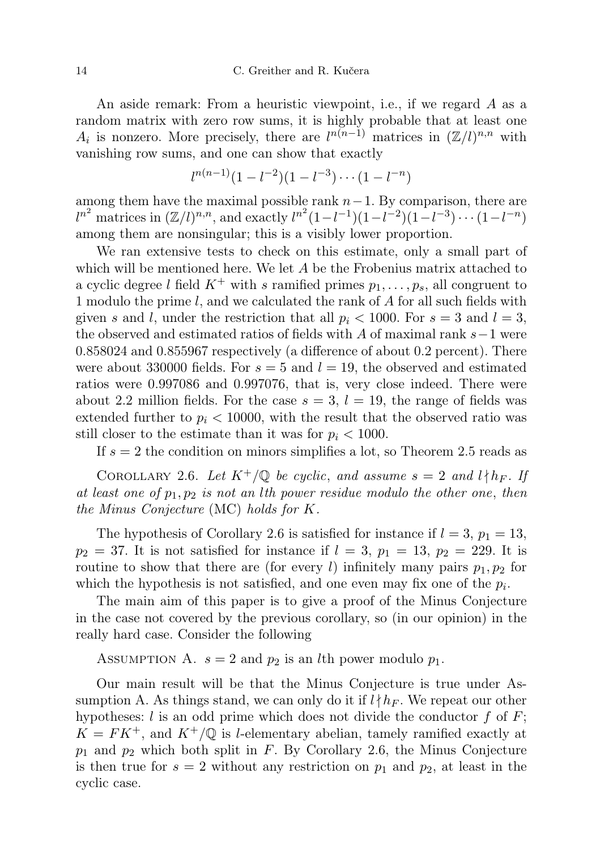An aside remark: From a heuristic viewpoint, i.e., if we regard A as a random matrix with zero row sums, it is highly probable that at least one  $A_i$  is nonzero. More precisely, there are  $l^{n(n-1)}$  matrices in  $(\mathbb{Z}/l)^{n,n}$  with vanishing row sums, and one can show that exactly

$$
l^{n(n-1)}(1-l^{-2})(1-l^{-3})\cdots(1-l^{-n})
$$

among them have the maximal possible rank  $n-1$ . By comparison, there are  $l^{n^2}$  matrices in  $(\mathbb{Z}/l)^{n,n}$ , and exactly  $l^{n^2}(1-l^{-1})(1-l^{-2})(1-l^{-3})\cdots(1-l^{-n})$ among them are nonsingular; this is a visibly lower proportion.

We ran extensive tests to check on this estimate, only a small part of which will be mentioned here. We let  $A$  be the Frobenius matrix attached to a cyclic degree l field  $K^+$  with s ramified primes  $p_1, \ldots, p_s$ , all congruent to 1 modulo the prime l, and we calculated the rank of A for all such fields with given s and l, under the restriction that all  $p_i < 1000$ . For  $s = 3$  and  $l = 3$ , the observed and estimated ratios of fields with A of maximal rank s−1 were 0.858024 and 0.855967 respectively (a difference of about 0.2 percent). There were about 330000 fields. For  $s = 5$  and  $l = 19$ , the observed and estimated ratios were 0.997086 and 0.997076, that is, very close indeed. There were about 2.2 million fields. For the case  $s = 3$ ,  $l = 19$ , the range of fields was extended further to  $p_i < 10000$ , with the result that the observed ratio was still closer to the estimate than it was for  $p_i < 1000$ .

If  $s = 2$  the condition on minors simplifies a lot, so Theorem 2.5 reads as

COROLLARY 2.6. Let  $K^+/\mathbb{Q}$  be cyclic, and assume  $s = 2$  and  $l \nmid h_F$ . If at least one of  $p_1, p_2$  is not an lth power residue modulo the other one, then the Minus Conjecture (MC) holds for K.

The hypothesis of Corollary 2.6 is satisfied for instance if  $l = 3$ ,  $p_1 = 13$ ,  $p_2 = 37$ . It is not satisfied for instance if  $l = 3$ ,  $p_1 = 13$ ,  $p_2 = 229$ . It is routine to show that there are (for every l) infinitely many pairs  $p_1, p_2$  for which the hypothesis is not satisfied, and one even may fix one of the  $p_i$ .

The main aim of this paper is to give a proof of the Minus Conjecture in the case not covered by the previous corollary, so (in our opinion) in the really hard case. Consider the following

ASSUMPTION A.  $s = 2$  and  $p_2$  is an *l*th power modulo  $p_1$ .

Our main result will be that the Minus Conjecture is true under Assumption A. As things stand, we can only do it if  $l \nmid h_F$ . We repeat our other hypotheses: l is an odd prime which does not divide the conductor f of  $F$ ;  $K = FK^+,$  and  $K^+/\mathbb{Q}$  is l-elementary abelian, tamely ramified exactly at  $p_1$  and  $p_2$  which both split in F. By Corollary 2.6, the Minus Conjecture is then true for  $s = 2$  without any restriction on  $p_1$  and  $p_2$ , at least in the cyclic case.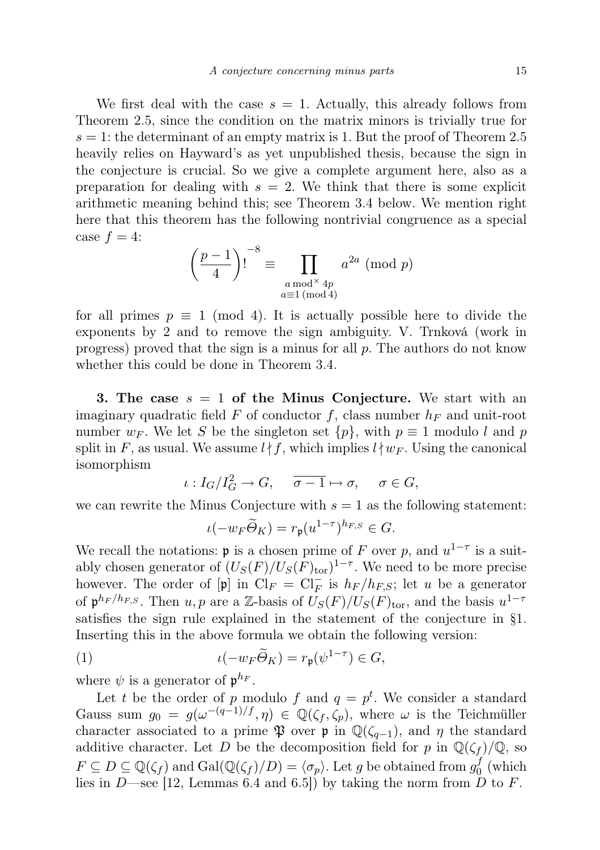We first deal with the case  $s = 1$ . Actually, this already follows from Theorem 2.5, since the condition on the matrix minors is trivially true for  $s = 1$ : the determinant of an empty matrix is 1. But the proof of Theorem 2.5 heavily relies on Hayward's as yet unpublished thesis, because the sign in the conjecture is crucial. So we give a complete argument here, also as a preparation for dealing with  $s = 2$ . We think that there is some explicit arithmetic meaning behind this; see Theorem 3.4 below. We mention right here that this theorem has the following nontrivial congruence as a special case  $f = 4$ :

$$
\left(\frac{p-1}{4}\right)!^{-8} \equiv \prod_{\substack{a \bmod^{\times} 4p \\ a \equiv 1 \pmod{4}}} a^{2a} \pmod{p}
$$

for all primes  $p \equiv 1 \pmod{4}$ . It is actually possible here to divide the exponents by 2 and to remove the sign ambiguity. V. Trnková (work in progress) proved that the sign is a minus for all  $p$ . The authors do not know whether this could be done in Theorem 3.4.

**3.** The case  $s = 1$  of the Minus Conjecture. We start with an imaginary quadratic field F of conductor f, class number  $h_F$  and unit-root number  $w_F$ . We let S be the singleton set  $\{p\}$ , with  $p \equiv 1$  modulo l and p split in F, as usual. We assume  $l \nmid f$ , which implies  $l \nmid w_F$ . Using the canonical isomorphism

$$
\iota: I_G/I_G^2 \to G, \quad \overline{\sigma-1} \mapsto \sigma, \quad \sigma \in G,
$$

we can rewrite the Minus Conjecture with  $s = 1$  as the following statement:

$$
\iota(-w_F\widetilde{\Theta}_K)=r_{\mathfrak{p}}(u^{1-\tau})^{h_{F,S}}\in G.
$$

We recall the notations: **p** is a chosen prime of F over p, and  $u^{1-\tau}$  is a suitably chosen generator of  $(U_S(F)/U_S(F)_{\text{tor}})^{1-\tau}$ . We need to be more precise however. The order of  $[\mathfrak{p}]$  in  $\text{Cl}_F = \text{Cl}_F^-$  is  $h_F/h_{F,S}$ ; let u be a generator of  $\mathfrak{p}^{h_F/h_{F,S}}$ . Then  $u, p$  are a Z-basis of  $U_S(F)/U_S(F)_{\text{tor}}$ , and the basis  $u^{1-\tau}$ satisfies the sign rule explained in the statement of the conjecture in §1. Inserting this in the above formula we obtain the following version:

(1) 
$$
\iota(-w_F \widetilde{\Theta}_K) = r_{\mathfrak{p}}(\psi^{1-\tau}) \in G,
$$

where  $\psi$  is a generator of  $\mathfrak{p}^{h_F}$ .

Let t be the order of p modulo f and  $q = p^t$ . We consider a standard Gauss sum  $g_0 = g(\omega^{-(q-1)/f}, \eta) \in \mathbb{Q}(\zeta_f, \zeta_p)$ , where  $\omega$  is the Teichmüller character associated to a prime  $\mathfrak P$  over  $\mathfrak p$  in  $\mathbb Q(\zeta_{q-1})$ , and  $\eta$  the standard additive character. Let D be the decomposition field for p in  $\mathbb{Q}(\zeta_f)/\mathbb{Q}$ , so  $F \subseteq D \subseteq \mathbb{Q}(\zeta_f)$  and  $Gal(\mathbb{Q}(\zeta_f)/D) = \langle \sigma_p \rangle$ . Let g be obtained from  $g_0^f$  $v_0^J$  (which lies in D—see [12, Lemmas 6.4 and 6.5]) by taking the norm from D to F.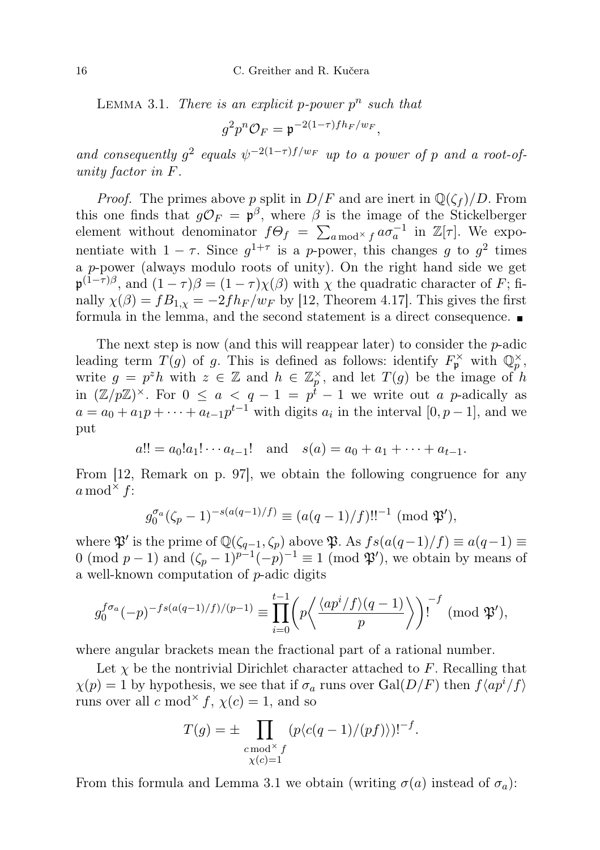LEMMA 3.1. There is an explicit p-power  $p^n$  such that

$$
g^2 p^n \mathcal{O}_F = \mathfrak{p}^{-2(1-\tau)f h_F/w_F},
$$

and consequently  $g^2$  equals  $\psi^{-2(1-\tau)f/w_F}$  up to a power of p and a root-ofunity factor in F.

*Proof.* The primes above p split in  $D/F$  and are inert in  $\mathbb{Q}(\zeta_f)/D$ . From this one finds that  $g\mathcal{O}_F = \mathfrak{p}^\beta$ , where  $\beta$  is the image of the Stickelberger element without denominator  $f\Theta_f = \sum_{a \bmod' f} a\sigma_a^{-1}$  in  $\mathbb{Z}[\tau]$ . We exponentiate with  $1 - \tau$ . Since  $g^{1+\tau}$  is a p-power, this changes g to  $g^2$  times a p-power (always modulo roots of unity). On the right hand side we get  $\mathfrak{p}^{(1-\tau)\beta}$ , and  $(1-\tau)\beta = (1-\tau)\chi(\beta)$  with  $\chi$  the quadratic character of F; finally  $\chi(\beta) = fB_{1,\chi} = -2f h_F/w_F$  by [12, Theorem 4.17]. This gives the first formula in the lemma, and the second statement is a direct consequence.

The next step is now (and this will reappear later) to consider the  $p$ -adic leading term  $T(g)$  of g. This is defined as follows: identify  $F_{\mathfrak{p}}^{\times}$  with  $\mathbb{Q}_p^{\times}$ , write  $g = p^z h$  with  $z \in \mathbb{Z}$  and  $h \in \mathbb{Z}_p^{\times}$ , and let  $T(g)$  be the image of h in  $(\mathbb{Z}/p\mathbb{Z})^{\times}$ . For  $0 \le a < q-1 = p^{\hat{t}}-1$  we write out a p-adically as  $a = a_0 + a_1 p + \cdots + a_{t-1} p^{t-1}$  with digits  $a_i$  in the interval  $[0, p-1]$ , and we put

$$
a!! = a_0!a_1! \cdots a_{t-1}!
$$
 and  $s(a) = a_0 + a_1 + \cdots + a_{t-1}.$ 

From [12, Remark on p. 97], we obtain the following congruence for any  $a \bmod^{\times} f$ :

$$
g_0^{\sigma_a}(\zeta_p - 1)^{-s(a(q-1)/f)} \equiv (a(q-1)/f)!!^{-1} \pmod{\mathfrak{P}'},
$$

where  $\mathfrak{P}'$  is the prime of  $\mathbb{Q}(\zeta_{q-1}, \zeta_p)$  above  $\mathfrak{P}$ . As  $fs(a(q-1)/f) \equiv a(q-1) \equiv$ 0 (mod  $p-1$ ) and  $(\zeta_p-1)^{p-1}(-p)^{-1} \equiv 1 \pmod{\mathfrak{P}}'$ , we obtain by means of a well-known computation of p-adic digits

$$
g_0^{f\sigma_a}(-p)^{-fs(a(q-1)/f)/(p-1)} \equiv \prod_{i=0}^{t-1} \left( p \left\langle \frac{\langle ap^i/f \rangle(q-1)}{p} \right\rangle \right)^{-f} \pmod{\mathfrak{P}'},
$$

where angular brackets mean the fractional part of a rational number.

Let  $\chi$  be the nontrivial Dirichlet character attached to F. Recalling that  $\chi(p) = 1$  by hypothesis, we see that if  $\sigma_a$  runs over Gal( $D/F$ ) then  $f\langle ap^i/f \rangle$ runs over all  $c \mod^{\times} f$ ,  $\chi(c) = 1$ , and so

$$
T(g) = \pm \prod_{\substack{c \bmod^{\times} f \\ \chi(c) = 1}} (p\langle c(q-1)/(pf) \rangle)^{1-f}.
$$

From this formula and Lemma 3.1 we obtain (writing  $\sigma(a)$  instead of  $\sigma_a$ ):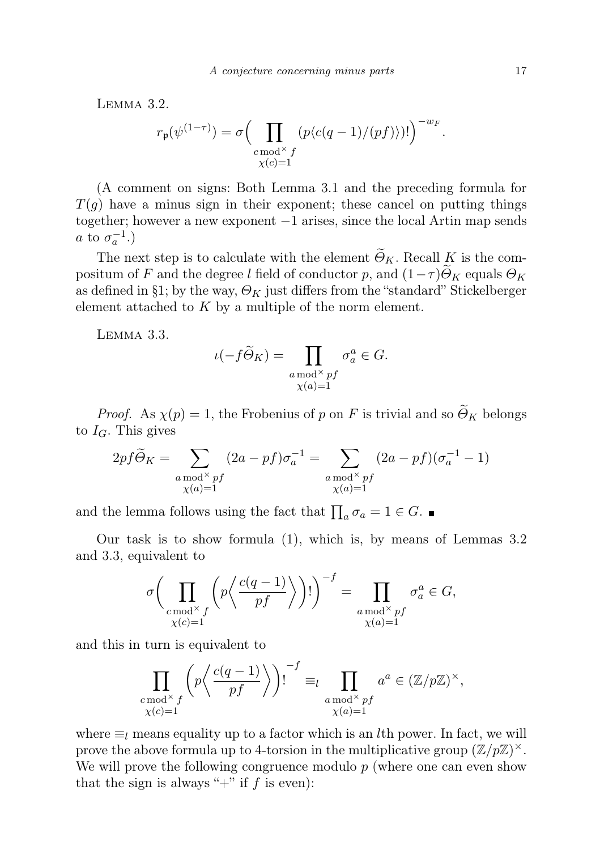Lemma 3.2.

$$
r_{\mathfrak{p}}(\psi^{(1-\tau)}) = \sigma \Big(\prod_{\substack{c \bmod^\times f \\ \chi(c) = 1}} (p\langle c(q-1)/(pf) \rangle)! \Big)^{-w_F}.
$$

(A comment on signs: Both Lemma 3.1 and the preceding formula for  $T(g)$  have a minus sign in their exponent; these cancel on putting things together; however a new exponent −1 arises, since the local Artin map sends *a* to  $\sigma_a^{-1}$ .)

The next step is to calculate with the element  $\widetilde{\Theta}_K$ . Recall K is the compositum of F and the degree l field of conductor p, and  $(1-\tau)\Theta_K$  equals  $\Theta_K$ as defined in §1; by the way,  $\Theta_K$  just differs from the "standard" Stickelberger element attached to  $K$  by a multiple of the norm element.

Lemma 3.3.

$$
\iota(-f\widetilde{\Theta}_K) = \prod_{\substack{a \bmod^\times p\\ \chi(a)=1}} \sigma_a^a \in G.
$$

*Proof.* As  $\chi(p) = 1$ , the Frobenius of p on F is trivial and so  $\widetilde{\Theta}_K$  belongs to  $I_G$ . This gives

$$
2pf\widetilde{\Theta}_K = \sum_{\substack{a \bmod^{\times} pf \\ \chi(a)=1}} (2a - pf)\sigma_a^{-1} = \sum_{\substack{a \bmod^{\times} pf \\ \chi(a)=1}} (2a - pf)(\sigma_a^{-1} - 1)
$$

and the lemma follows using the fact that  $\prod_a \sigma_a = 1 \in G$ .

Our task is to show formula (1), which is, by means of Lemmas 3.2 and 3.3, equivalent to

$$
\sigma \bigg( \prod_{\substack{c \bmod^{\times} f \\ \chi(c)=1}} \bigg(p \bigg\langle \frac{c(q-1)}{pf} \bigg\rangle \bigg)!\bigg)^{-f} = \prod_{\substack{a \bmod^{\times} pf \\ \chi(a)=1}} \sigma_a^a \in G,
$$

and this in turn is equivalent to

$$
\prod_{\substack{c \bmod^{\times} f \\ \chi(c)=1}} \left( p \left\langle \frac{c(q-1)}{pf} \right\rangle \right)!^{-f} \equiv_l \prod_{\substack{a \bmod^{\times} pf \\ \chi(a)=1}} a^a \in (\mathbb{Z}/p\mathbb{Z})^{\times},
$$

where  $\equiv_l$  means equality up to a factor which is an *l*th power. In fact, we will prove the above formula up to 4-torsion in the multiplicative group  $(\mathbb{Z}/p\mathbb{Z})^{\times}$ . We will prove the following congruence modulo  $p$  (where one can even show that the sign is always "+" if  $f$  is even):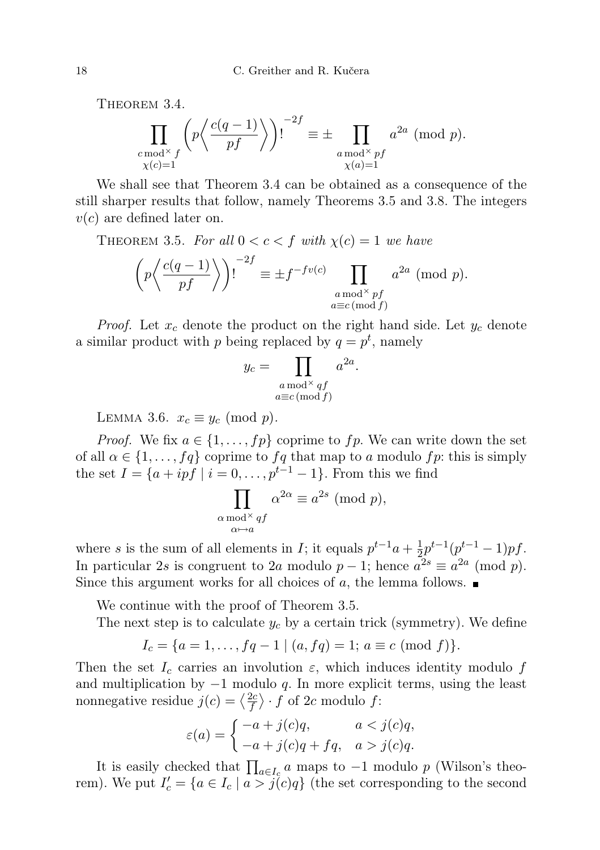THEOREM 3.4.

$$
\prod_{\substack{c \bmod^{\times} f \\ \chi(c)=1}} \left( p \left\langle \frac{c(q-1)}{pf} \right\rangle \right)!^{-2f} \equiv \pm \prod_{\substack{a \bmod^{\times} pf \\ \chi(a)=1}} a^{2a} \pmod{p}.
$$

We shall see that Theorem 3.4 can be obtained as a consequence of the still sharper results that follow, namely Theorems 3.5 and 3.8. The integers  $v(c)$  are defined later on.

THEOREM 3.5. For all  $0 < c < f$  with  $\chi(c) = 1$  we have

$$
\left(p\left\langle \frac{c(q-1)}{pf} \right\rangle\right)!^{-2f} \equiv \pm f^{-fv(c)} \prod_{\substack{a \bmod^{\times} pf \\ a \equiv c \pmod{f}}} a^{2a} \pmod{p}.
$$

*Proof.* Let  $x_c$  denote the product on the right hand side. Let  $y_c$  denote a similar product with p being replaced by  $q = p^t$ , namely

$$
y_c = \prod_{\substack{a \bmod^{\times} qf \\ a \equiv c \pmod{f}}} a^{2a}.
$$

LEMMA 3.6.  $x_c \equiv y_c \pmod{p}$ .

*Proof.* We fix  $a \in \{1, ..., fp\}$  coprime to fp. We can write down the set of all  $\alpha \in \{1, \ldots, fq\}$  coprime to  $fq$  that map to a modulo  $fp$ : this is simply the set  $I = \{a + ipf \mid i = 0, \ldots, p^{t-1} - 1\}$ . From this we find

$$
\prod_{\substack{\alpha \bmod^{\times} \\ \alpha \mapsto a}} \alpha^{2\alpha} \equiv a^{2s} \pmod{p},
$$

where s is the sum of all elements in I; it equals  $p^{t-1}a + \frac{1}{2}$  $\frac{1}{2}p^{t-1}(p^{t-1}-1)pf.$ In particular 2s is congruent to 2a modulo  $p-1$ ; hence  $a^{2s} \equiv a^{2a} \pmod{p}$ . Since this argument works for all choices of a, the lemma follows.  $\blacksquare$ 

We continue with the proof of Theorem 3.5.

The next step is to calculate  $y_c$  by a certain trick (symmetry). We define

$$
I_c = \{a = 1, \ldots, fq - 1 \mid (a, fq) = 1; a \equiv c \pmod{f}\}.
$$

Then the set  $I_c$  carries an involution  $\varepsilon$ , which induces identity modulo f and multiplication by  $-1$  modulo q. In more explicit terms, using the least nonnegative residue  $j(c) = \left\langle \frac{2c}{f} \right\rangle$  $\frac{2c}{f}$   $\rangle \cdot f$  of 2c modulo f:

$$
\varepsilon(a) = \begin{cases}\n-a+j(c)q, & a < j(c)q, \\
-a+j(c)q+fq, & a > j(c)q.\n\end{cases}
$$

It is easily checked that  $\prod_{a \in I_c} a$  maps to  $-1$  modulo p (Wilson's theorem). We put  $I_c' = \{a \in I_c \mid a > j(c)q\}$  (the set corresponding to the second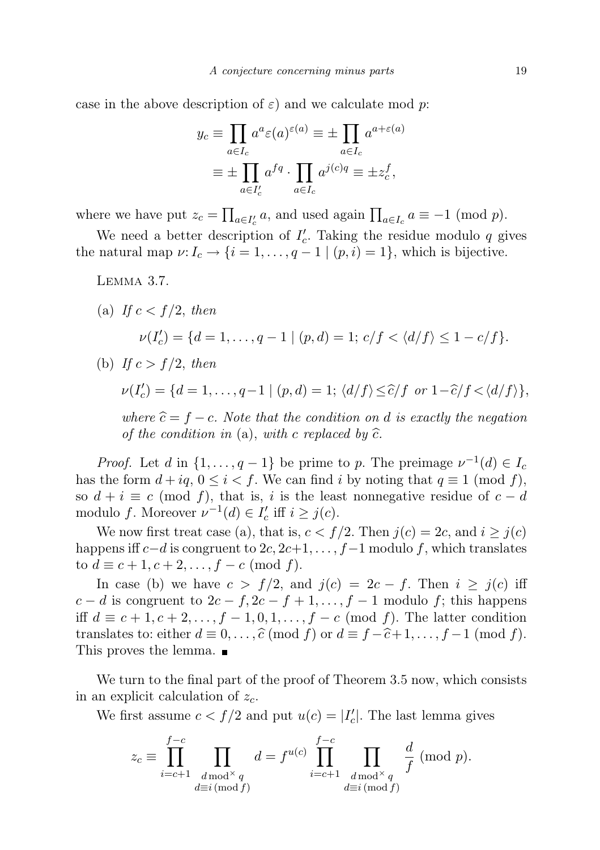case in the above description of  $\varepsilon$ ) and we calculate mod p:

$$
y_c \equiv \prod_{a \in I_c} a^a \varepsilon(a)^{\varepsilon(a)} \equiv \pm \prod_{a \in I_c} a^{a + \varepsilon(a)}
$$

$$
\equiv \pm \prod_{a \in I'_c} a^{fq} \cdot \prod_{a \in I_c} a^{j(c)q} \equiv \pm z_c^f,
$$

where we have put  $z_c = \prod_{a \in I'_c} a$ , and used again  $\prod_{a \in I_c} a \equiv -1 \pmod{p}$ .

We need a better description of  $I_c'$ . Taking the residue modulo q gives the natural map  $\nu: I_c \to \{i = 1, \ldots, q-1 \mid (p, i) = 1\}$ , which is bijective.

Lemma 3.7.

(a) If  $c < f/2$ , then  $\nu(I'_c) = \{d = 1, \ldots, q - 1 \mid (p, d) = 1; c/f < \langle d/f \rangle \leq 1 - c/f\}.$ (b) If  $c > f/2$ , then

$$
\nu(I_c') = \{d = 1,\ldots,q-1 \mid (p,d) = 1; \langle d/f \rangle \leq \widehat{c}/f \text{ or } 1-\widehat{c}/f < \langle d/f \rangle\},\
$$

where  $\hat{c} = f - c$ . Note that the condition on d is exactly the negation of the condition in (a), with c replaced by  $\hat{c}$ .

*Proof.* Let d in  $\{1, \ldots, q-1\}$  be prime to p. The preimage  $\nu^{-1}(d) \in I_c$ has the form  $d + iq$ ,  $0 \le i < f$ . We can find i by noting that  $q \equiv 1 \pmod{f}$ , so  $d + i \equiv c \pmod{f}$ , that is, i is the least nonnegative residue of  $c - d$ modulo f. Moreover  $\nu^{-1}(d) \in I'_c$  iff  $i \geq j(c)$ .

We now first treat case (a), that is,  $c < f/2$ . Then  $j(c) = 2c$ , and  $i \geq j(c)$ happens iff  $c-d$  is congruent to  $2c, 2c+1, \ldots, f-1$  modulo f, which translates to  $d \equiv c + 1, c + 2, \ldots, f - c \pmod{f}$ .

In case (b) we have  $c > f/2$ , and  $j(c) = 2c - f$ . Then  $i \geq j(c)$  iff  $c - d$  is congruent to  $2c - f$ ,  $2c - f + 1$ , ...,  $f - 1$  modulo f; this happens iff  $d \equiv c+1, c+2, \ldots, f-1, 0, 1, \ldots, f-c \pmod{f}$ . The latter condition translates to: either  $d \equiv 0, \ldots, \widehat{c} \pmod{f}$  or  $d \equiv f - \widehat{c} + 1, \ldots, f - 1 \pmod{f}$ . This proves the lemma.

We turn to the final part of the proof of Theorem 3.5 now, which consists in an explicit calculation of  $z_c$ .

We first assume  $c < f/2$  and put  $u(c) = |I'_c|$ . The last lemma gives

$$
z_c \equiv \prod_{i=c+1}^{f-c} \prod_{\substack{d \bmod^{\times} q \\ d \equiv i \pmod{f}}} d = f^{u(c)} \prod_{i=c+1}^{f-c} \prod_{\substack{d \bmod^{\times} q \\ d \equiv i \pmod{f}}} \frac{d}{f} \pmod{p}.
$$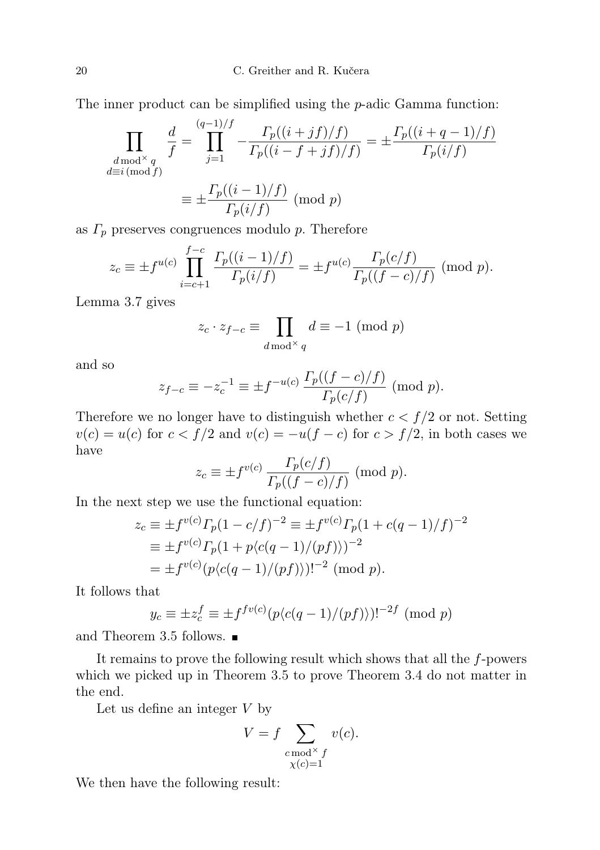The inner product can be simplified using the  $p$ -adic Gamma function:

$$
\prod_{\substack{d \bmod^{\times} q \\ d \equiv i \pmod{f}}} \frac{d}{f} = \prod_{j=1}^{(q-1)/f} -\frac{\Gamma_p((i+jf)/f)}{\Gamma_p((i-f+jf)/f)} = \pm \frac{\Gamma_p((i+q-1)/f)}{\Gamma_p(i/f)}
$$

$$
\equiv \pm \frac{\Gamma_p((i-1)/f)}{\Gamma_p(i/f)} \pmod{p}
$$

as  $\Gamma_p$  preserves congruences modulo p. Therefore

$$
z_c \equiv \pm f^{u(c)} \prod_{i=c+1}^{f-c} \frac{\Gamma_p((i-1)/f)}{\Gamma_p(i/f)} = \pm f^{u(c)} \frac{\Gamma_p(c/f)}{\Gamma_p((f-c)/f)} \pmod{p}.
$$

Lemma 3.7 gives

$$
z_c \cdot z_{f-c} \equiv \prod_{d \bmod{\times} q} d \equiv -1 \pmod{p}
$$

and so

$$
z_{f-c} \equiv -z_c^{-1} \equiv \pm f^{-u(c)} \frac{\Gamma_p((f-c)/f)}{\Gamma_p(c/f)} \pmod{p}.
$$

Therefore we no longer have to distinguish whether  $c < f/2$  or not. Setting  $v(c) = u(c)$  for  $c < f/2$  and  $v(c) = -u(f - c)$  for  $c > f/2$ , in both cases we have

$$
z_c \equiv \pm f^{v(c)} \frac{\Gamma_p(c/f)}{\Gamma_p((f-c)/f)} \pmod{p}.
$$

In the next step we use the functional equation:

$$
z_c \equiv \pm f^{v(c)} \Gamma_p (1 - c/f)^{-2} \equiv \pm f^{v(c)} \Gamma_p (1 + c(q - 1)/f)^{-2}
$$
  
\n
$$
\equiv \pm f^{v(c)} \Gamma_p (1 + p\langle c(q - 1)/(pf) \rangle)^{-2}
$$
  
\n
$$
= \pm f^{v(c)} (p\langle c(q - 1)/(pf) \rangle)^{-2} \pmod{p}.
$$

It follows that

$$
y_c \equiv \pm z_c^f \equiv \pm f^{f v(c)} (p \langle c(q-1)/(pf) \rangle)!^{-2f} \pmod{p}
$$

and Theorem 3.5 follows.

It remains to prove the following result which shows that all the f-powers which we picked up in Theorem 3.5 to prove Theorem 3.4 do not matter in the end.

Let us define an integer  $V$  by

$$
V = f \sum_{\substack{c \bmod^{\times} f \\ \chi(c) = 1}} v(c).
$$

We then have the following result: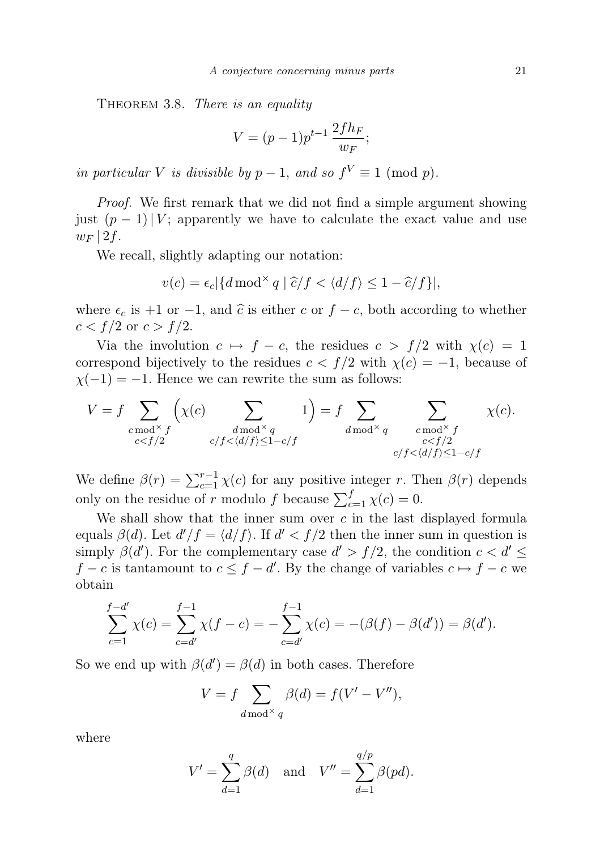THEOREM 3.8. There is an equality

$$
V = (p-1)p^{t-1} \frac{2fh_F}{w_F};
$$

in particular V is divisible by  $p-1$ , and so  $f^V \equiv 1 \pmod{p}$ .

Proof. We first remark that we did not find a simple argument showing just  $(p-1)|V$ ; apparently we have to calculate the exact value and use  $w_F$  | 2f.

We recall, slightly adapting our notation:

$$
v(c) = \epsilon_c \left| \{ d \bmod^{\times} q \mid \widehat{c}/f < \langle d/f \rangle \le 1 - \widehat{c}/f \} \right|,
$$

where  $\epsilon_c$  is +1 or -1, and  $\hat{c}$  is either c or  $f - c$ , both according to whether  $c < f/2$  or  $c > f/2$ .

Via the involution  $c \mapsto f - c$ , the residues  $c > f/2$  with  $\chi(c) = 1$ correspond bijectively to the residues  $c < f/2$  with  $\chi(c) = -1$ , because of  $\chi(-1) = -1$ . Hence we can rewrite the sum as follows:

$$
V = f \sum_{\substack{c \bmod^{\times} f \\ c < f/2}} \left( \chi(c) \sum_{\substack{d \bmod^{\times} q \\ c/f < \langle d/f \rangle \le 1 - c/f}} 1 \right) = f \sum_{d \bmod^{\times} q} \sum_{\substack{c \bmod^{\times} f \\ c < f/2 \\ c/f < \langle d/f \rangle \le 1 - c/f}} \chi(c).
$$

We define  $\beta(r) = \sum_{c=1}^{r-1} \chi(c)$  for any positive integer r. Then  $\beta(r)$  depends only on the residue of r modulo f because  $\sum_{c=1}^{f} \chi(c) = 0$ .

We shall show that the inner sum over  $c$  in the last displayed formula equals  $\beta(d)$ . Let  $d'/f = \langle d/f \rangle$ . If  $d' < f/2$  then the inner sum in question is simply  $\beta(d')$ . For the complementary case  $d' > f/2$ , the condition  $c < d' \leq$  $f - c$  is tantamount to  $c \leq f - d'$ . By the change of variables  $c \mapsto f - c$  we obtain

$$
\sum_{c=1}^{f-d'} \chi(c) = \sum_{c=d'}^{f-1} \chi(f-c) = -\sum_{c=d'}^{f-1} \chi(c) = -(\beta(f) - \beta(d')) = \beta(d').
$$

So we end up with  $\beta(d') = \beta(d)$  in both cases. Therefore

$$
V = f \sum_{d \bmod^{\times} q} \beta(d) = f(V' - V''),
$$

where

$$
V' = \sum_{d=1}^{q} \beta(d) \quad \text{and} \quad V'' = \sum_{d=1}^{q/p} \beta(pd).
$$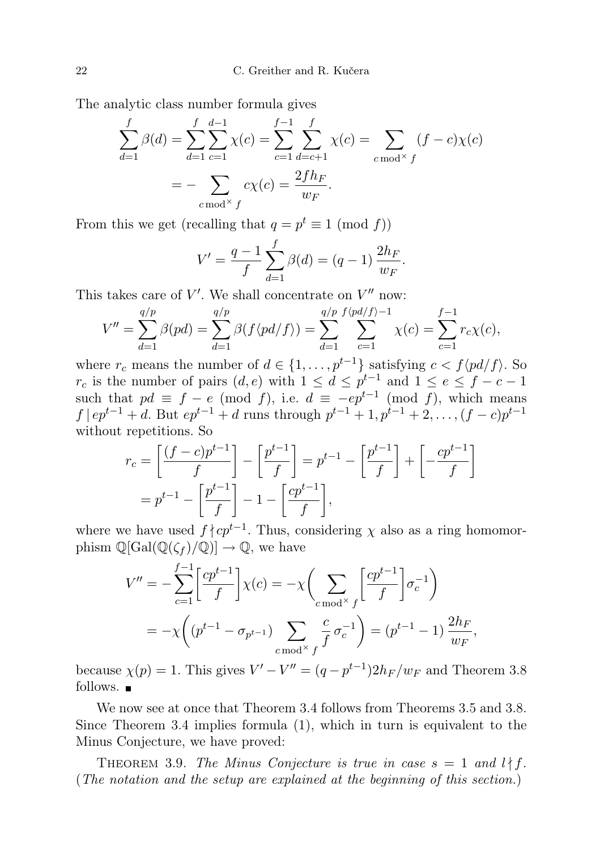The analytic class number formula gives

$$
\sum_{d=1}^{f} \beta(d) = \sum_{d=1}^{f} \sum_{c=1}^{d-1} \chi(c) = \sum_{c=1}^{f-1} \sum_{d=c+1}^{f} \chi(c) = \sum_{c \bmod^{X} f} (f-c)\chi(c)
$$

$$
= -\sum_{c \bmod^{X} f} c\chi(c) = \frac{2fh_F}{w_F}.
$$

From this we get (recalling that  $q = p^t \equiv 1 \pmod{f}$ )

$$
V' = \frac{q-1}{f} \sum_{d=1}^{f} \beta(d) = (q-1) \frac{2h_F}{w_F}.
$$

This takes care of  $V'$ . We shall concentrate on  $V''$  now:

$$
V'' = \sum_{d=1}^{q/p} \beta(pd) = \sum_{d=1}^{q/p} \beta(f \langle pd/f \rangle) = \sum_{d=1}^{q/p} \sum_{c=1}^{f \langle pd/f \rangle - 1} \chi(c) = \sum_{c=1}^{f-1} r_c \chi(c),
$$

where  $r_c$  means the number of  $d \in \{1, \ldots, p^{t-1}\}\$  satisfying  $c < f\langle pd/f \rangle$ . So  $r_c$  is the number of pairs  $(d, e)$  with  $1 \leq d \leq p^{t-1}$  and  $1 \leq e \leq f - c - 1$ such that  $pd \equiv f - e \pmod{f}$ , i.e.  $d \equiv -ep^{t-1} \pmod{f}$ , which means  $f | ep^{t-1} + d$ . But  $ep^{t-1} + d$  runs through  $p^{t-1} + 1, p^{t-1} + 2, \ldots, (f - c)p^{t-1}$ without repetitions. So

$$
r_c = \left[\frac{(f-c)p^{t-1}}{f}\right] - \left[\frac{p^{t-1}}{f}\right] = p^{t-1} - \left[\frac{p^{t-1}}{f}\right] + \left[-\frac{cp^{t-1}}{f}\right]
$$

$$
= p^{t-1} - \left[\frac{p^{t-1}}{f}\right] - 1 - \left[\frac{cp^{t-1}}{f}\right],
$$

where we have used  $f \nmid cp^{t-1}$ . Thus, considering  $\chi$  also as a ring homomorphism  $\mathbb{Q}[\text{Gal}(\mathbb{Q}(\zeta_f)/\mathbb{Q})] \to \mathbb{Q}$ , we have

$$
V'' = -\sum_{c=1}^{f-1} \left[ \frac{cp^{t-1}}{f} \right] \chi(c) = -\chi \left( \sum_{c \bmod^{\times} f} \left[ \frac{cp^{t-1}}{f} \right] \sigma_c^{-1} \right)
$$
  
=  $-\chi \left( (p^{t-1} - \sigma_{p^{t-1}}) \sum_{c \bmod^{\times} f} \frac{c}{f} \sigma_c^{-1} \right) = (p^{t-1} - 1) \frac{2h_F}{w_F},$ 

because  $\chi(p) = 1$ . This gives  $V' - V'' = (q - p^{t-1})2h_F/w_F$  and Theorem 3.8 follows.  $\blacksquare$ 

We now see at once that Theorem 3.4 follows from Theorems 3.5 and 3.8. Since Theorem 3.4 implies formula (1), which in turn is equivalent to the Minus Conjecture, we have proved:

THEOREM 3.9. The Minus Conjecture is true in case  $s = 1$  and  $l \nmid f$ . (The notation and the setup are explained at the beginning of this section.)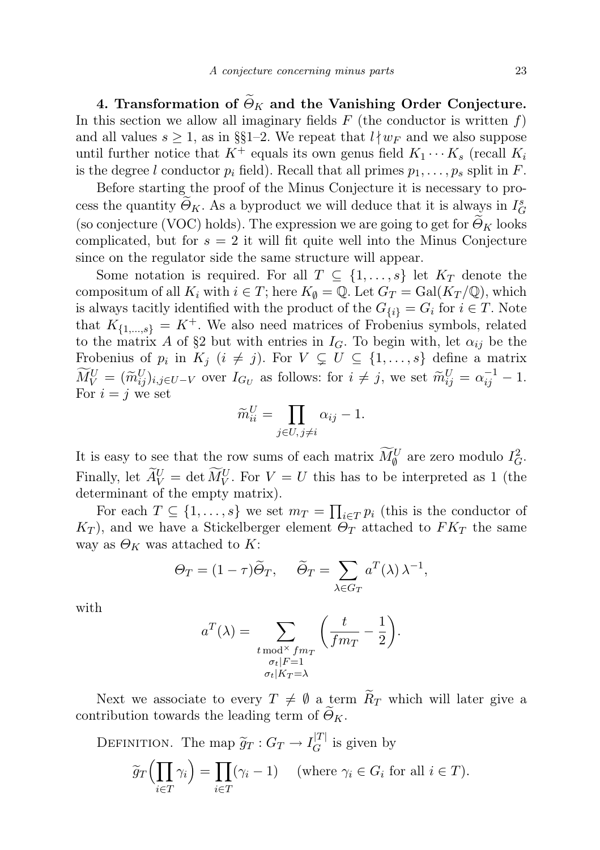4. Transformation of  $\widetilde{\Theta}_K$  and the Vanishing Order Conjecture. In this section we allow all imaginary fields  $F$  (the conductor is written  $f$ ) and all values  $s \geq 1$ , as in §§1–2. We repeat that  $l \nmid w_F$  and we also suppose until further notice that  $K^+$  equals its own genus field  $K_1 \cdots K_s$  (recall  $K_i$ is the degree l conductor  $p_i$  field). Recall that all primes  $p_1, \ldots, p_s$  split in F.

Before starting the proof of the Minus Conjecture it is necessary to process the quantity  $\Theta_K$ . As a byproduct we will deduce that it is always in  $I_G^s$ (so conjecture (VOC) holds). The expression we are going to get for  $\Theta_K$  looks complicated, but for  $s = 2$  it will fit quite well into the Minus Conjecture since on the regulator side the same structure will appear.

Some notation is required. For all  $T \subseteq \{1, \ldots, s\}$  let  $K_T$  denote the compositum of all  $K_i$  with  $i \in T$ ; here  $K_{\emptyset} = \mathbb{Q}$ . Let  $G_T = \text{Gal}(K_T/\mathbb{Q})$ , which is always tacitly identified with the product of the  $G_{\{i\}} = G_i$  for  $i \in T$ . Note that  $K_{\{1,\ldots,s\}} = K^+$ . We also need matrices of Frobenius symbols, related to the matrix A of §2 but with entries in  $I_G$ . To begin with, let  $\alpha_{ij}$  be the Frobenius of  $p_i$  in  $K_j$   $(i \neq j)$ . For  $V \subsetneq U \subseteq \{1, \ldots, s\}$  define a matrix  $\widetilde{M}_V^U = (\widetilde{m}_{ij}^U)_{i,j \in U - V}$  over  $I_{G_U}$  as follows: for  $i \neq j$ , we set  $\widetilde{m}_{ij}^U = \alpha_{ij}^{-1} - 1$ . For  $i = j$  we set

$$
\widetilde{m}_{ii}^U = \prod_{j \in U, j \neq i} \alpha_{ij} - 1.
$$

It is easy to see that the row sums of each matrix  $\widetilde{M}_{\emptyset}^U$  are zero modulo  $I_G^2$ . Finally, let  $\widetilde{A}_{V}^{U} = \det \widetilde{M}_{V}^{U}$ . For  $V = U$  this has to be interpreted as 1 (the determinant of the empty matrix).

For each  $T \subseteq \{1, \ldots, s\}$  we set  $m_T = \prod_{i \in T} p_i$  (this is the conductor of  $K_T$ ), and we have a Stickelberger element  $\Theta_T$  attached to  $FK_T$  the same way as  $\Theta_K$  was attached to K:

$$
\Theta_T = (1 - \tau)\tilde{\Theta}_T, \quad \tilde{\Theta}_T = \sum_{\lambda \in G_T} a^T(\lambda) \lambda^{-1},
$$

with

$$
a^T(\lambda) = \sum_{\substack{t \bmod^{\times} f m_T \\ \sigma_t | F = 1 \\ \sigma_t | K_T = \lambda}} \left( \frac{t}{f m_T} - \frac{1}{2} \right).
$$

Next we associate to every  $T \neq \emptyset$  a term  $\widetilde{R}_T$  which will later give a contribution towards the leading term of  $\widetilde{\Theta}_K$ .

DEFINITION. The map 
$$
\widetilde{g}_T : G_T \to I_G^{|T|}
$$
 is given by  
\n
$$
\widetilde{g}_T \Big( \prod_{i \in T} \gamma_i \Big) = \prod_{i \in T} (\gamma_i - 1) \quad \text{(where } \gamma_i \in G_i \text{ for all } i \in T).
$$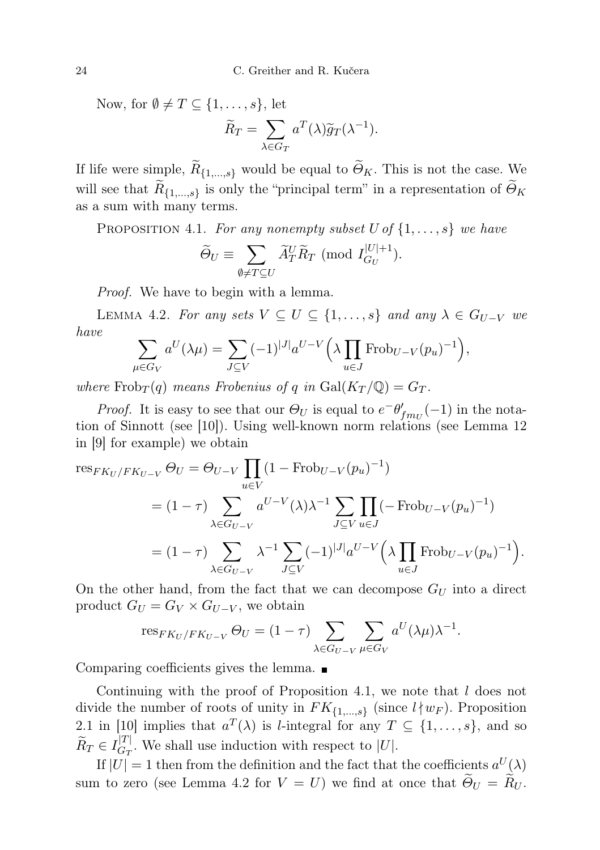Now, for  $\emptyset \neq T \subseteq \{1, \ldots, s\}$ , let

$$
\widetilde{R}_T = \sum_{\lambda \in G_T} a^T(\lambda) \widetilde{g}_T(\lambda^{-1}).
$$

If life were simple,  $R_{\{1,\ldots,s\}}$  would be equal to  $\Theta_K$ . This is not the case. We will see that  $R_{\{1,\ldots,s\}}$  is only the "principal term" in a representation of  $\Theta_K$ as a sum with many terms.

PROPOSITION 4.1. For any nonempty subset  $U$  of  $\{1, \ldots, s\}$  we have

$$
\widetilde{\Theta}_U \equiv \sum_{\emptyset \neq T \subseteq U} \widetilde{A}_T^U \widetilde{R}_T \pmod{I_{G_U}^{|U|+1}}.
$$

Proof. We have to begin with a lemma.

LEMMA 4.2. For any sets  $V \subseteq U \subseteq \{1, \ldots, s\}$  and any  $\lambda \in G_{U-V}$  we have

$$
\sum_{\mu \in G_V} a^U(\lambda \mu) = \sum_{J \subseteq V} (-1)^{|J|} a^{U-V} \left( \lambda \prod_{u \in J} \text{Frob}_{U-V}(p_u)^{-1} \right),
$$

where  $Frob_T(q)$  means Frobenius of q in  $Gal(K_T/\mathbb{Q}) = G_T$ .

*Proof.* It is easy to see that our  $\Theta_U$  is equal to  $e^{-\theta'} f_{m_U}(-1)$  in the notation of Sinnott (see [10]). Using well-known norm relations (see Lemma 12 in [9] for example) we obtain

$$
\begin{split} \text{res}_{FK_U/FK_{U-V}} \Theta_U &= \Theta_{U-V} \prod_{u \in V} (1 - \text{Frob}_{U-V}(p_u)^{-1}) \\ &= (1 - \tau) \sum_{\lambda \in G_{U-V}} a^{U-V}(\lambda) \lambda^{-1} \sum_{J \subseteq V} \prod_{u \in J} (-\text{Frob}_{U-V}(p_u)^{-1}) \\ &= (1 - \tau) \sum_{\lambda \in G_{U-V}} \lambda^{-1} \sum_{J \subseteq V} (-1)^{|J|} a^{U-V} \left( \lambda \prod_{u \in J} \text{Frob}_{U-V}(p_u)^{-1} \right). \end{split}
$$

On the other hand, from the fact that we can decompose  $G_U$  into a direct product  $G_U = G_V \times G_{U-V}$ , we obtain

$$
\operatorname{res}_{FK_U/FK_{U-V}} \Theta_U = (1 - \tau) \sum_{\lambda \in G_{U-V}} \sum_{\mu \in G_V} a^U(\lambda \mu) \lambda^{-1}.
$$

Comparing coefficients gives the lemma.

Continuing with the proof of Proposition 4.1, we note that l does not divide the number of roots of unity in  $FK_{\{1,\ldots,s\}}$  (since  $l \mid w_F$ ). Proposition 2.1 in [10] implies that  $a^T(\lambda)$  is *l*-integral for any  $T \subseteq \{1, \ldots, s\}$ , and so  $\widetilde{R}_T \in I_{G_T}^{|T|}$  $\frac{d}{dr}$ . We shall use induction with respect to |U|.

If  $|U| = 1$  then from the definition and the fact that the coefficients  $a^U(\lambda)$ sum to zero (see Lemma 4.2 for  $V = U$ ) we find at once that  $\widetilde{\Theta}_U = \widetilde{R}_U$ .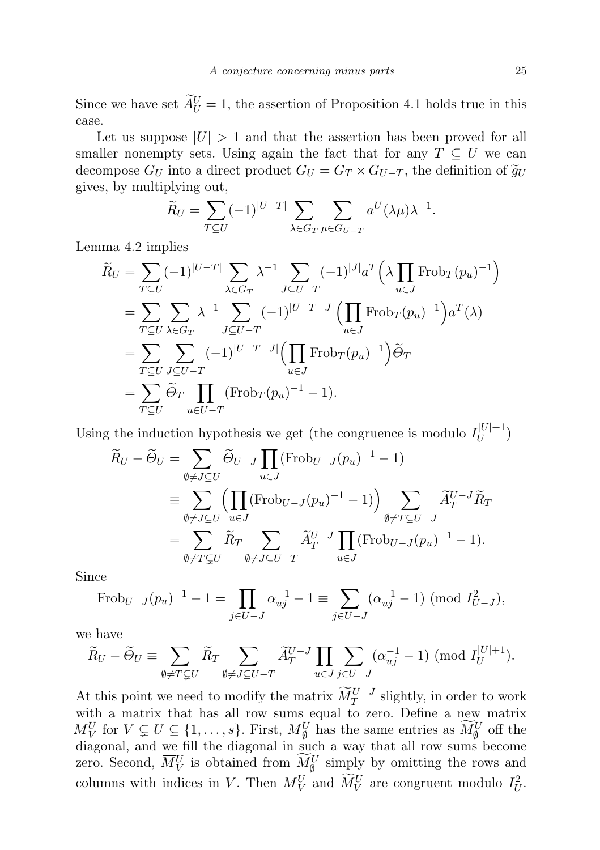Since we have set  $\widetilde{A}_{U}^{U} = 1$ , the assertion of Proposition 4.1 holds true in this case.

Let us suppose  $|U| > 1$  and that the assertion has been proved for all smaller nonempty sets. Using again the fact that for any  $T \subseteq U$  we can decompose  $G_U$  into a direct product  $G_U = G_T \times G_{U-T}$ , the definition of  $\tilde{g}_U$ gives, by multiplying out,

$$
\widetilde{R}_U = \sum_{T \subseteq U} (-1)^{|U-T|} \sum_{\lambda \in G_T} \sum_{\mu \in G_{U-T}} a^U(\lambda \mu) \lambda^{-1}.
$$

Lemma 4.2 implies

$$
\widetilde{R}_U = \sum_{T \subseteq U} (-1)^{|U-T|} \sum_{\lambda \in G_T} \lambda^{-1} \sum_{J \subseteq U-T} (-1)^{|J|} a^T \left(\lambda \prod_{u \in J} \text{Frob}_T(p_u)^{-1}\right)
$$
\n
$$
= \sum_{T \subseteq U} \sum_{\lambda \in G_T} \lambda^{-1} \sum_{J \subseteq U-T} (-1)^{|U-T-J|} \left(\prod_{u \in J} \text{Frob}_T(p_u)^{-1}\right) a^T(\lambda)
$$
\n
$$
= \sum_{T \subseteq U} \sum_{J \subseteq U-T} (-1)^{|U-T-J|} \left(\prod_{u \in J} \text{Frob}_T(p_u)^{-1}\right) \widetilde{\Theta}_T
$$
\n
$$
= \sum_{T \subseteq U} \widetilde{\Theta}_T \prod_{u \in U-T} (\text{Frob}_T(p_u)^{-1} - 1).
$$

Using the induction hypothesis we get (the congruence is modulo  $I_U^{|U|+1}$  $U^{|\nu|+1}$ 

$$
\widetilde{R}_U - \widetilde{\Theta}_U = \sum_{\emptyset \neq J \subseteq U} \widetilde{\Theta}_{U-J} \prod_{u \in J} (\text{Frob}_{U-J}(p_u)^{-1} - 1)
$$
\n
$$
\equiv \sum_{\emptyset \neq J \subseteq U} \left( \prod_{u \in J} (\text{Frob}_{U-J}(p_u)^{-1} - 1) \right) \sum_{\emptyset \neq T \subseteq U-J} \widetilde{A}_T^{U-J} \widetilde{R}_T
$$
\n
$$
= \sum_{\emptyset \neq T \subseteq U} \widetilde{R}_T \sum_{\emptyset \neq J \subseteq U-T} \widetilde{A}_T^{U-J} \prod_{u \in J} (\text{Frob}_{U-J}(p_u)^{-1} - 1).
$$

Since

Frob<sub>U-J</sub>(p<sub>u</sub>)<sup>-1</sup> - 1 = 
$$
\prod_{j \in U-J}
$$
  $\alpha_{uj}^{-1} - 1 \equiv \sum_{j \in U-J}$   $(\alpha_{uj}^{-1} - 1) \pmod{I_{U-J}^2}$ ,

we have

$$
\widetilde{R}_U - \widetilde{\Theta}_U \equiv \sum_{\emptyset \neq T \subsetneq U} \widetilde{R}_T \sum_{\emptyset \neq J \subseteq U-T} \widetilde{A}_T^{U-J} \prod_{u \in J} \sum_{j \in U-J} (\alpha_{uj}^{-1} - 1) \pmod{I_U^{|U|+1}}.
$$

At this point we need to modify the matrix  $\widetilde{M}_T^{U-J}$  slightly, in order to work with a matrix that has all row sums equal to zero. Define a new matrix  $\overline{M}_V^U$  for  $V \subsetneq U \subseteq \{1, \ldots, s\}$ . First,  $\overline{M}_{\emptyset}^U$  has the same entries as  $\widetilde{M}_{\emptyset}^U$  off the diagonal, and we fill the diagonal in such a way that all row sums become zero. Second,  $\overline{M}_V^U$  is obtained from  $\widetilde{M}_{\emptyset}^U$  simply by omitting the rows and columns with indices in V. Then  $\overline{M}_V^U$  and  $\widetilde{M}_V^U$  are congruent modulo  $I_U^2$ .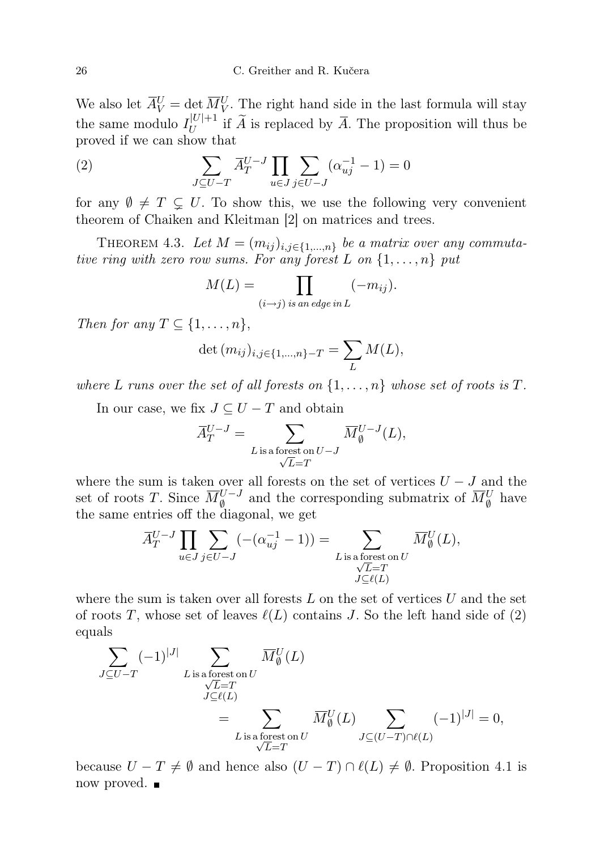We also let  $\overline{A}_V^U = \det \overline{M}_V^U$ . The right hand side in the last formula will stay the same modulo  $I_U^{|U|+1}$  $U$ <sup>[*U*</sup> | if *A* is replaced by *A*. The proposition will thus be proved if we can show that

(2) 
$$
\sum_{J \subseteq U - T} \overline{A}_T^{U-J} \prod_{u \in J} \sum_{j \in U - J} (\alpha_{uj}^{-1} - 1) = 0
$$

for any  $\emptyset \neq T \subsetneq U$ . To show this, we use the following very convenient theorem of Chaiken and Kleitman [2] on matrices and trees.

THEOREM 4.3. Let  $M = (m_{ij})_{i,j \in \{1,...,n\}}$  be a matrix over any commutative ring with zero row sums. For any forest L on  $\{1, \ldots, n\}$  put

$$
M(L) = \prod_{(i \to j) \text{ is an edge in } L} (-m_{ij}).
$$

Then for any  $T \subseteq \{1, \ldots, n\},\$ 

$$
\det (m_{ij})_{i,j \in \{1,\dots,n\}-T} = \sum_L M(L),
$$

where L runs over the set of all forests on  $\{1, \ldots, n\}$  whose set of roots is T.

In our case, we fix  $J \subseteq U - T$  and obtain

$$
\overline{A}_T^{U-J} = \sum_{\substack{L \text{ is a forest on } U-J}} \overline{M}_{\emptyset}^{U-J}(L),
$$

where the sum is taken over all forests on the set of vertices  $U - J$  and the set of roots T. Since  $\overline{M}_{\emptyset}^{U-J}$  and the corresponding submatrix of  $\overline{M}_{\emptyset}^U$  have the same entries off the diagonal, we get

$$
\overline{A}_{T}^{U-J} \prod_{u \in J} \sum_{j \in U-J} (-(\alpha_{uj}^{-1} - 1)) = \sum_{\substack{L \text{ is a forest on } U \\ \sqrt{L} = T \\ J \subseteq \ell(L)}} \overline{M}_{\emptyset}^{U}(L),
$$

where the sum is taken over all forests  $L$  on the set of vertices  $U$  and the set of roots T, whose set of leaves  $\ell(L)$  contains J. So the left hand side of (2) equals

$$
\sum_{J \subseteq U-T} (-1)^{|J|} \sum_{\substack{L \text{ is a forest on } U \\ J \subseteq \ell(L)}} \overline{M}_{\emptyset}^U(L)
$$
\n
$$
= \sum_{\substack{L \text{ is a forest on } U \\ \sqrt{L}=T}} \overline{M}_{\emptyset}^U(L) \sum_{J \subseteq (U-T) \cap \ell(L)} (-1)^{|J|} = 0,
$$

because  $U - T \neq \emptyset$  and hence also  $(U - T) \cap \ell(L) \neq \emptyset$ . Proposition 4.1 is now proved. ■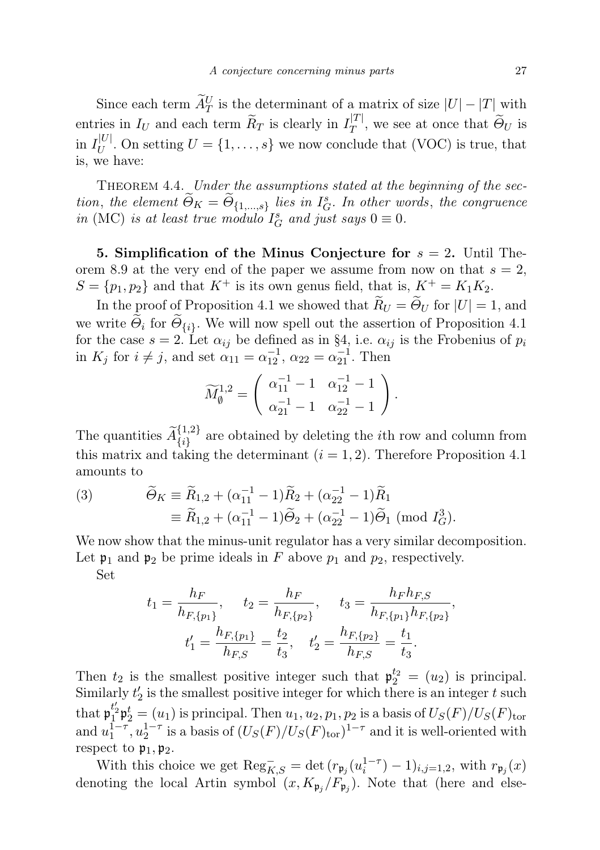Since each term  $\widetilde{A}_T^U$  is the determinant of a matrix of size  $|U| - |T|$  with entries in  $I_U$  and each term  $\widetilde{R}_T$  is clearly in  $I_T^{[T]}$  $T^{\perp}$ , we see at once that  $\Theta_U$  is in  $I_U^{|U|}$  $U^{[0]}$ . On setting  $U = \{1, \ldots, s\}$  we now conclude that (VOC) is true, that is, we have:

THEOREM 4.4. Under the assumptions stated at the beginning of the section, the element  $\widetilde{\Theta}_K = \widetilde{\Theta}_{\{1,\ldots,s\}}$  lies in  $I_G^s$ . In other words, the congruence in (MC) is at least true modulo  $I_G^s$  and just says  $0 \equiv 0$ .

5. Simplification of the Minus Conjecture for  $s = 2$ . Until Theorem 8.9 at the very end of the paper we assume from now on that  $s = 2$ ,  $S = \{p_1, p_2\}$  and that  $K^+$  is its own genus field, that is,  $K^+ = K_1 K_2$ .

In the proof of Proposition 4.1 we showed that  $\widetilde{R}_U = \widetilde{\Theta}_U$  for  $|U| = 1$ , and we write  $\Theta_i$  for  $\Theta_{\{i\}}$ . We will now spell out the assertion of Proposition 4.1 for the case  $s = 2$ . Let  $\alpha_{ij}$  be defined as in §4, i.e.  $\alpha_{ij}$  is the Frobenius of  $p_i$ in  $K_j$  for  $i \neq j$ , and set  $\alpha_{11} = \alpha_{12}^{-1}$ ,  $\alpha_{22} = \alpha_{21}^{-1}$ . Then

$$
\widetilde{M}_{\emptyset}^{1,2} = \left( \begin{array}{cc} \alpha_{11}^{-1} - 1 & \alpha_{12}^{-1} - 1 \\ \alpha_{21}^{-1} - 1 & \alpha_{22}^{-1} - 1 \end{array} \right).
$$

The quantities  $\widetilde{A}_{\{i\}}^{\{1,2\}}$  are obtained by deleting the *i*th row and column from this matrix and taking the determinant  $(i = 1, 2)$ . Therefore Proposition 4.1 amounts to

(3) 
$$
\widetilde{\Theta}_K \equiv \widetilde{R}_{1,2} + (\alpha_{11}^{-1} - 1)\widetilde{R}_2 + (\alpha_{22}^{-1} - 1)\widetilde{R}_1
$$

$$
\equiv \widetilde{R}_{1,2} + (\alpha_{11}^{-1} - 1)\widetilde{\Theta}_2 + (\alpha_{22}^{-1} - 1)\widetilde{\Theta}_1 \text{ (mod } I_G^3).
$$

We now show that the minus-unit regulator has a very similar decomposition. Let  $\mathfrak{p}_1$  and  $\mathfrak{p}_2$  be prime ideals in F above  $p_1$  and  $p_2$ , respectively.

Set

$$
t_1 = \frac{h_F}{h_{F,\{p_1\}}}, \quad t_2 = \frac{h_F}{h_{F,\{p_2\}}}, \quad t_3 = \frac{h_F h_{F,S}}{h_{F,\{p_1\}} h_{F,\{p_2\}}},
$$

$$
t_1' = \frac{h_{F,\{p_1\}}}{h_{F,S}} = \frac{t_2}{t_3}, \quad t_2' = \frac{h_{F,\{p_2\}}}{h_{F,S}} = \frac{t_1}{t_3}.
$$

Then  $t_2$  is the smallest positive integer such that  $\mathfrak{p}_2^{t_2} = (u_2)$  is principal. Similarly  $t_2$  is the smallest positive integer for which there is an integer  $t$  such that  $\mathfrak{p}_1^{t'_2} \mathfrak{p}_2^t = (u_1)$  is principal. Then  $u_1, u_2, p_1, p_2$  is a basis of  $U_S(F)/U_S(F)_{\text{tor}}$ and  $u_1^{1-\tau}, u_2^{1-\tau}$  is a basis of  $(U_S(F)/U_S(F)_{\text{tor}})^{1-\tau}$  and it is well-oriented with respect to  $\mathfrak{p}_1, \mathfrak{p}_2$ .

With this choice we get  $\text{Reg}_{K,S}^- = \det (r_{\mathfrak{p}_j}(u_i^{1-\tau}) - 1)_{i,j=1,2}$ , with  $r_{\mathfrak{p}_j}(x)$ denoting the local Artin symbol  $(x, K_{\mathfrak{p}_j}/F_{\mathfrak{p}_j})$ . Note that (here and else-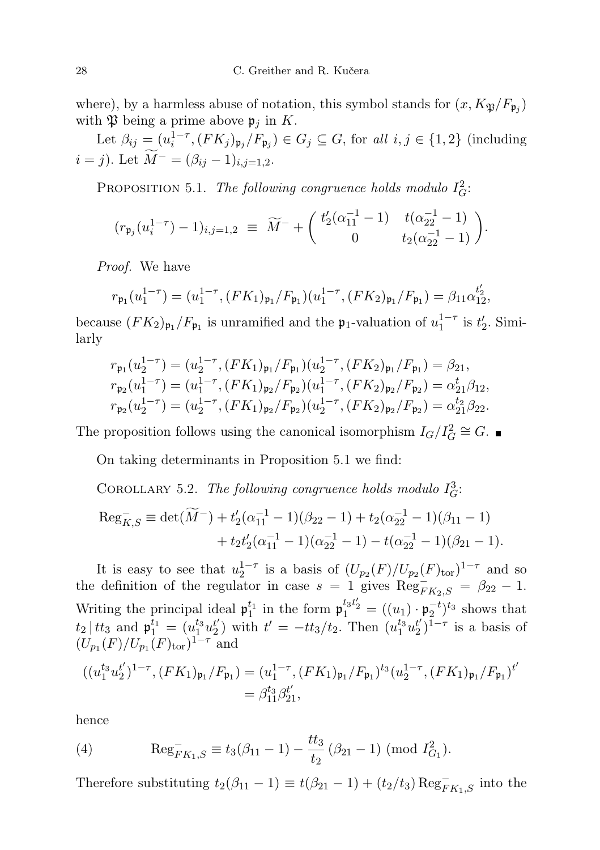where), by a harmless abuse of notation, this symbol stands for  $(x, K_{\mathfrak{P}}/F_{\mathfrak{p}_j})$ with  $\mathfrak P$  being a prime above  $\mathfrak p_j$  in K.

Let  $\beta_{ij} = (u_i^{1-\tau}, (FK_j)_{\mathfrak{p}_j}/F_{\mathfrak{p}_j}) \in G_j \subseteq G$ , for all  $i, j \in \{1, 2\}$  (including  $i = j$ ). Let  $\widetilde{M}^- = (\beta_{ij} - 1)_{i,j=1,2}$ .

PROPOSITION 5.1. The following congruence holds modulo  $I_G^2$ :

$$
(r_{\mathfrak{p}_j}(u_i^{1-\tau})-1)_{i,j=1,2} \equiv \widetilde{M}^- + \begin{pmatrix} t'_2(\alpha_{11}^{-1}-1) & t(\alpha_{22}^{-1}-1) \\ 0 & t_2(\alpha_{22}^{-1}-1) \end{pmatrix}.
$$

Proof. We have

$$
r_{\mathfrak{p}_1}(u_1^{1-\tau}) = (u_1^{1-\tau}, (FK_1)_{\mathfrak{p}_1}/F_{\mathfrak{p}_1})(u_1^{1-\tau}, (FK_2)_{\mathfrak{p}_1}/F_{\mathfrak{p}_1}) = \beta_{11}\alpha_{12}^{t'_2},
$$

because  $(FK_2)_{\mathfrak{p}_1}/F_{\mathfrak{p}_1}$  is unramified and the  $\mathfrak{p}_1$ -valuation of  $u_1^{1-\tau}$  is  $t_2'$ . Similarly

$$
r_{\mathfrak{p}_1}(u_2^{1-\tau}) = (u_2^{1-\tau}, (FK_1)_{\mathfrak{p}_1}/F_{\mathfrak{p}_1})(u_2^{1-\tau}, (FK_2)_{\mathfrak{p}_1}/F_{\mathfrak{p}_1}) = \beta_{21},
$$
  
\n
$$
r_{\mathfrak{p}_2}(u_1^{1-\tau}) = (u_1^{1-\tau}, (FK_1)_{\mathfrak{p}_2}/F_{\mathfrak{p}_2})(u_1^{1-\tau}, (FK_2)_{\mathfrak{p}_2}/F_{\mathfrak{p}_2}) = \alpha_{21}^t \beta_{12},
$$
  
\n
$$
r_{\mathfrak{p}_2}(u_2^{1-\tau}) = (u_2^{1-\tau}, (FK_1)_{\mathfrak{p}_2}/F_{\mathfrak{p}_2})(u_2^{1-\tau}, (FK_2)_{\mathfrak{p}_2}/F_{\mathfrak{p}_2}) = \alpha_{21}^{t_2} \beta_{22}.
$$

The proposition follows using the canonical isomorphism  $I_G/I_G^2 \cong G$ .

On taking determinants in Proposition 5.1 we find:

COROLLARY 5.2. The following congruence holds modulo  $I_G^3$ :

$$
\operatorname{Reg}_{K,S}^{-} \equiv \det(\widetilde{M}^{-}) + t_{2}'(\alpha_{11}^{-1} - 1)(\beta_{22} - 1) + t_{2}(\alpha_{22}^{-1} - 1)(\beta_{11} - 1) + t_{2}t_{2}'(\alpha_{11}^{-1} - 1)(\alpha_{22}^{-1} - 1) - t(\alpha_{22}^{-1} - 1)(\beta_{21} - 1).
$$

It is easy to see that  $u_2^{1-\tau}$  is a basis of  $(U_{p_2}(F)/U_{p_2}(F)_{\text{tor}})^{1-\tau}$  and so the definition of the regulator in case  $s = 1$  gives  $\text{Reg}_{FK_2,S}^- = \beta_{22} - 1$ . Writing the principal ideal  $\mathfrak{p}_1^{t_1}$  in the form  $\mathfrak{p}_1^{t_3t_2} = ((u_1) \cdot \mathfrak{p}_2^{-t})^{t_3}$  shows that  $t_2$  |  $tt_3$  and  $\mathfrak{p}_1^{t_1} = (u_1^{t_3}u_2^{t'}$  $t' = -t t_3/t_2$ . Then  $(u_1^{t_3} u_2^{t_4})$  $\binom{t'}{2}^{1-\tau}$  is a basis of  $(U_{p_1}(F)/U_{p_1}(F)_{\text{tor}})^{1-\tau}$  and

$$
((u_1^{t_3}u_2^{t'})^{1-\tau}, (FK_1)_{\mathfrak{p}_1}/F_{\mathfrak{p}_1}) = (u_1^{1-\tau}, (FK_1)_{\mathfrak{p}_1}/F_{\mathfrak{p}_1})^{t_3} (u_2^{1-\tau}, (FK_1)_{\mathfrak{p}_1}/F_{\mathfrak{p}_1})^{t'} = \beta_{11}^{t_3} \beta_{21}^{t'},
$$

hence

(4) 
$$
\operatorname{Reg}_{FK_1,S}^- \equiv t_3(\beta_{11} - 1) - \frac{tt_3}{t_2} (\beta_{21} - 1) \pmod{I_{G_1}^2}.
$$

Therefore substituting  $t_2(\beta_{11} - 1) \equiv t(\beta_{21} - 1) + (t_2/t_3) \operatorname{Reg}_{FK_1,S}^-$  into the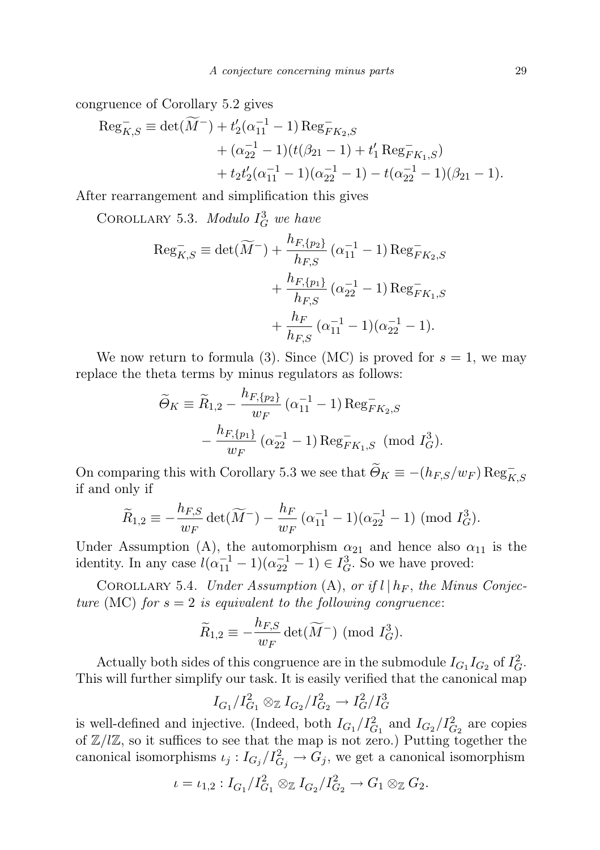congruence of Corollary 5.2 gives

$$
\begin{aligned} \text{Reg}_{K,S}^- &\equiv \det(\widetilde{M}^-) + t_2'(\alpha_{11}^{-1} - 1) \text{Reg}_{FK_2,S}^- \\ &+ (\alpha_{22}^{-1} - 1)(t(\beta_{21} - 1) + t_1' \text{Reg}_{FK_1,S}^-) \\ &+ t_2 t_2'(\alpha_{11}^{-1} - 1)(\alpha_{22}^{-1} - 1) - t(\alpha_{22}^{-1} - 1)(\beta_{21} - 1). \end{aligned}
$$

After rearrangement and simplification this gives

COROLLARY 5.3. Modulo  $I_G^3$  we have

$$
\operatorname{Reg}_{K,S}^{-} \equiv \det(\widetilde{M}^{-}) + \frac{h_{F,\{p_{2}\}}}{h_{F,S}} (\alpha_{11}^{-1} - 1) \operatorname{Reg}_{FK_{2},S}^{-} + \frac{h_{F,\{p_{1}\}}}{h_{F,S}} (\alpha_{22}^{-1} - 1) \operatorname{Reg}_{FK_{1},S}^{-} + \frac{h_{F}}{h_{F,S}} (\alpha_{11}^{-1} - 1) (\alpha_{22}^{-1} - 1).
$$

We now return to formula (3). Since (MC) is proved for  $s = 1$ , we may replace the theta terms by minus regulators as follows:

$$
\widetilde{\Theta}_K \equiv \widetilde{R}_{1,2} - \frac{h_{F,\{p_2\}}}{w_F} (\alpha_{11}^{-1} - 1) \operatorname{Reg}_{FK_2,S}^- \n- \frac{h_{F,\{p_1\}}}{w_F} (\alpha_{22}^{-1} - 1) \operatorname{Reg}_{FK_1,S}^- \pmod{I_G^3}.
$$

On comparing this with Corollary 5.3 we see that  $\widetilde{\Theta}_K \equiv -(h_{F,S}/w_F) \operatorname{Reg}_{K,S}^$ if and only if

$$
\widetilde{R}_{1,2} \equiv -\frac{h_{F,S}}{w_F} \det(\widetilde{M}^{-}) - \frac{h_F}{w_F} \left( \alpha_{11}^{-1} - 1 \right) \left( \alpha_{22}^{-1} - 1 \right) \pmod{I_G^3}.
$$

Under Assumption (A), the automorphism  $\alpha_{21}$  and hence also  $\alpha_{11}$  is the identity. In any case  $l(\alpha_{11}^{-1} - 1)(\alpha_{22}^{-1} - 1) \in I_G^3$ . So we have proved:

COROLLARY 5.4. Under Assumption (A), or if  $l \mid h_F$ , the Minus Conjecture (MC) for  $s = 2$  is equivalent to the following congruence:

$$
\widetilde{R}_{1,2} \equiv -\frac{h_{F,S}}{w_F} \det(\widetilde{M}^-) \pmod{I_G^3}.
$$

Actually both sides of this congruence are in the submodule  $I_{G_1}I_{G_2}$  of  $I_G^2$ . This will further simplify our task. It is easily verified that the canonical map

$$
I_{G_1}/I_{G_1}^2 \otimes_{\mathbb{Z}} I_{G_2}/I_{G_2}^2 \to I_G^2/I_G^3
$$

is well-defined and injective. (Indeed, both  $I_{G_1}/I_{G_1}^2$  and  $I_{G_2}/I_{G_2}^2$  are copies of  $\mathbb{Z}/l\mathbb{Z}$ , so it suffices to see that the map is not zero.) Putting together the canonical isomorphisms  $\iota_j: I_{G_j}/I_{G_j}^2 \to G_j$ , we get a canonical isomorphism

$$
\iota = \iota_{1,2} : I_{G_1}/I_{G_1}^2 \otimes_{\mathbb{Z}} I_{G_2}/I_{G_2}^2 \to G_1 \otimes_{\mathbb{Z}} G_2.
$$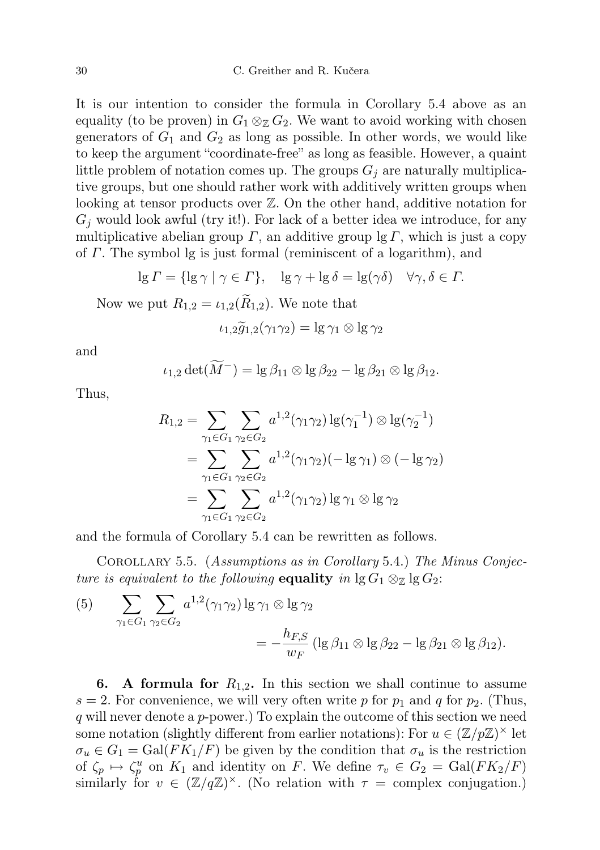It is our intention to consider the formula in Corollary 5.4 above as an equality (to be proven) in  $G_1 \otimes_{\mathbb{Z}} G_2$ . We want to avoid working with chosen generators of  $G_1$  and  $G_2$  as long as possible. In other words, we would like to keep the argument "coordinate-free" as long as feasible. However, a quaint little problem of notation comes up. The groups  $G_i$  are naturally multiplicative groups, but one should rather work with additively written groups when looking at tensor products over Z. On the other hand, additive notation for  $G_i$  would look awful (try it!). For lack of a better idea we introduce, for any multiplicative abelian group  $\Gamma$ , an additive group lg  $\Gamma$ , which is just a copy of Γ. The symbol lg is just formal (reminiscent of a logarithm), and

$$
\lg \Gamma = \{ \lg \gamma \mid \gamma \in \Gamma \}, \quad \lg \gamma + \lg \delta = \lg(\gamma \delta) \quad \forall \gamma, \delta \in \Gamma.
$$

Now we put  $R_{1,2} = \iota_{1,2}(\tilde{R}_{1,2})$ . We note that

$$
\iota_{1,2}\widetilde{g}_{1,2}(\gamma_1\gamma_2)=\lg\gamma_1\otimes\lg\gamma_2
$$

and

$$
\iota_{1,2} \det(\widetilde{M}^{-}) = \lg \beta_{11} \otimes \lg \beta_{22} - \lg \beta_{21} \otimes \lg \beta_{12}.
$$

Thus,

$$
R_{1,2} = \sum_{\gamma_1 \in G_1} \sum_{\gamma_2 \in G_2} a^{1,2}(\gamma_1 \gamma_2) \lg(\gamma_1^{-1}) \otimes \lg(\gamma_2^{-1})
$$
  
= 
$$
\sum_{\gamma_1 \in G_1} \sum_{\gamma_2 \in G_2} a^{1,2}(\gamma_1 \gamma_2) (-\lg \gamma_1) \otimes (-\lg \gamma_2)
$$
  
= 
$$
\sum_{\gamma_1 \in G_1} \sum_{\gamma_2 \in G_2} a^{1,2}(\gamma_1 \gamma_2) \lg \gamma_1 \otimes \lg \gamma_2
$$

and the formula of Corollary 5.4 can be rewritten as follows.

Corollary 5.5. (Assumptions as in Corollary 5.4.) The Minus Conjecture is equivalent to the following equality in  $\lg G_1 \otimes_{\mathbb{Z}} \lg G_2$ :

(5) 
$$
\sum_{\gamma_1 \in G_1} \sum_{\gamma_2 \in G_2} a^{1,2} (\gamma_1 \gamma_2) \lg \gamma_1 \otimes \lg \gamma_2
$$

$$
= -\frac{h_{F,S}}{w_F} (\lg \beta_{11} \otimes \lg \beta_{22} - \lg \beta_{21} \otimes \lg \beta_{12}).
$$

**6.** A formula for  $R_{1,2}$ . In this section we shall continue to assume  $s = 2$ . For convenience, we will very often write p for  $p_1$  and q for  $p_2$ . (Thus, q will never denote a  $p$ -power.) To explain the outcome of this section we need some notation (slightly different from earlier notations): For  $u \in (\mathbb{Z}/p\mathbb{Z})^{\times}$  let  $\sigma_u \in G_1 = \text{Gal}(FK_1/F)$  be given by the condition that  $\sigma_u$  is the restriction of  $\zeta_p \mapsto \zeta_p^u$  on  $K_1$  and identity on F. We define  $\tau_v \in G_2 = \text{Gal}(FK_2/F)$ similarly for  $v \in (\mathbb{Z}/q\mathbb{Z})^{\times}$ . (No relation with  $\tau =$  complex conjugation.)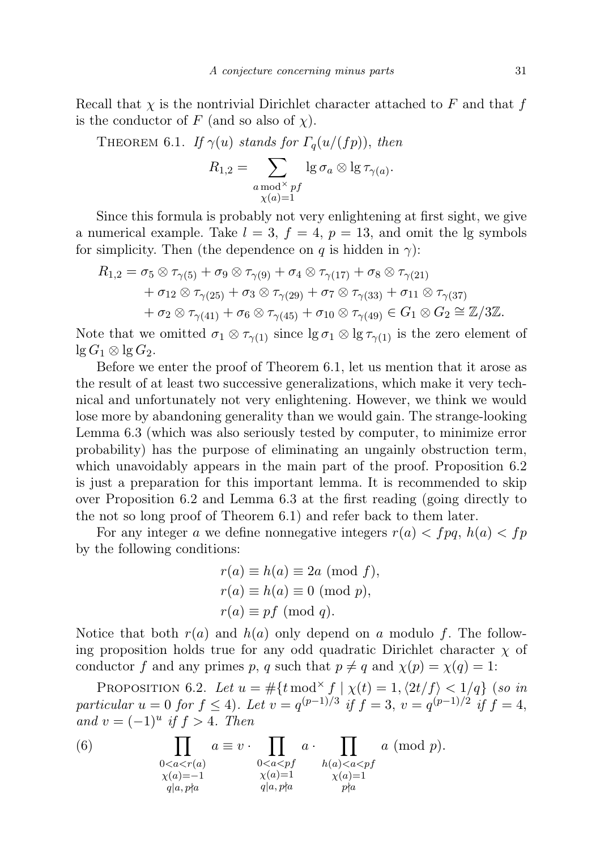Recall that  $\chi$  is the nontrivial Dirichlet character attached to F and that f is the conductor of F (and so also of  $\chi$ ).

THEOREM 6.1. If  $\gamma(u)$  stands for  $\Gamma_q(u/(fp))$ , then

$$
R_{1,2} = \sum_{\substack{a \bmod^{\times} \ p\ f \\ \chi(a)=1}} \lg \sigma_a \otimes \lg \tau_{\gamma(a)}.
$$

Since this formula is probably not very enlightening at first sight, we give a numerical example. Take  $l = 3$ ,  $f = 4$ ,  $p = 13$ , and omit the lg symbols for simplicity. Then (the dependence on q is hidden in  $\gamma$ ):

$$
R_{1,2} = \sigma_5 \otimes \tau_{\gamma(5)} + \sigma_9 \otimes \tau_{\gamma(9)} + \sigma_4 \otimes \tau_{\gamma(17)} + \sigma_8 \otimes \tau_{\gamma(21)} + \sigma_{12} \otimes \tau_{\gamma(25)} + \sigma_3 \otimes \tau_{\gamma(29)} + \sigma_7 \otimes \tau_{\gamma(33)} + \sigma_{11} \otimes \tau_{\gamma(37)} + \sigma_2 \otimes \tau_{\gamma(41)} + \sigma_6 \otimes \tau_{\gamma(45)} + \sigma_{10} \otimes \tau_{\gamma(49)} \in G_1 \otimes G_2 \cong \mathbb{Z}/3\mathbb{Z}.
$$

Note that we omitted  $\sigma_1 \otimes \tau_{\gamma(1)}$  since  $\lg \sigma_1 \otimes \lg \tau_{\gamma(1)}$  is the zero element of  $\lg G_1 \otimes \lg G_2$ .

Before we enter the proof of Theorem 6.1, let us mention that it arose as the result of at least two successive generalizations, which make it very technical and unfortunately not very enlightening. However, we think we would lose more by abandoning generality than we would gain. The strange-looking Lemma 6.3 (which was also seriously tested by computer, to minimize error probability) has the purpose of eliminating an ungainly obstruction term, which unavoidably appears in the main part of the proof. Proposition 6.2 is just a preparation for this important lemma. It is recommended to skip over Proposition 6.2 and Lemma 6.3 at the first reading (going directly to the not so long proof of Theorem 6.1) and refer back to them later.

For any integer a we define nonnegative integers  $r(a) < f p q$ ,  $h(a) < f p$ by the following conditions:

$$
r(a) \equiv h(a) \equiv 2a \pmod{f},
$$
  
\n
$$
r(a) \equiv h(a) \equiv 0 \pmod{p},
$$
  
\n
$$
r(a) \equiv pf \pmod{q}.
$$

Notice that both  $r(a)$  and  $h(a)$  only depend on a modulo f. The following proposition holds true for any odd quadratic Dirichlet character  $\chi$  of conductor f and any primes p, q such that  $p \neq q$  and  $\chi(p) = \chi(q) = 1$ :

PROPOSITION 6.2. Let  $u = #{\text{mod}^{\times} f \mid \chi(t) = 1, \langle 2t/f \rangle < 1/q}$  (so in particular  $u = 0$  for  $f \le 4$ ). Let  $v = q^{(p-1)/3}$  if  $f = 3$ ,  $v = q^{(p-1)/2}$  if  $f = 4$ , and  $v = (-1)^u$  if  $f > 4$ . Then

(6) 
$$
\prod_{\substack{0
$$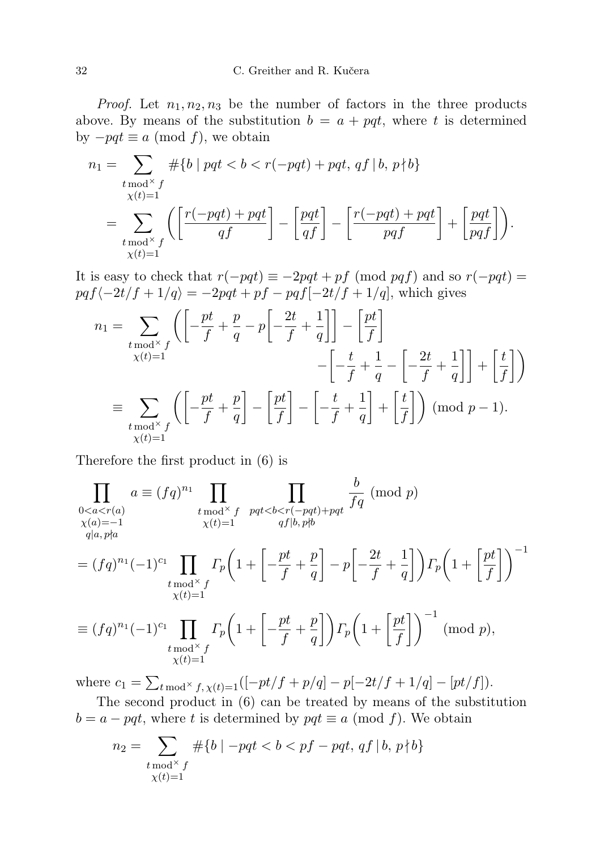*Proof.* Let  $n_1, n_2, n_3$  be the number of factors in the three products above. By means of the substitution  $b = a + pqt$ , where t is determined by  $-pqt \equiv a \pmod{f}$ , we obtain

$$
n_1 = \sum_{\substack{t \bmod^{\times} f \\ \chi(t)=1}} \# \{ b \mid pqt < b < r(-pqt) + pqt, qf \mid b, p \nmid b \}
$$
  
= 
$$
\sum_{\substack{t \bmod^{\times} f \\ \chi(t)=1}} \left( \left[ \frac{r(-pqt) + pqt}{qf} \right] - \left[ \frac{pqt}{qf} \right] - \left[ \frac{r(-pqt) + pqt}{pqf} \right] + \left[ \frac{pqt}{pqf} \right] \right).
$$

It is easy to check that  $r(-pqt) \equiv -2pqt + pf \pmod{pqt}$  and so  $r(-pqt) =$  $pqf\langle -2t/f + 1/q \rangle = -2pqt + pf - pqf[-2t/f + 1/q]$ , which gives

$$
n_1 = \sum_{\substack{t \mod^{\times} f \\ \chi(t) = 1}} \left( \left[ -\frac{pt}{f} + \frac{p}{q} - p \left[ -\frac{2t}{f} + \frac{1}{q} \right] \right] - \left[ \frac{pt}{f} \right] - \left[ -\frac{t}{f} + \frac{1}{q} - \left[ -\frac{2t}{f} + \frac{1}{q} \right] \right] + \left[ \frac{t}{f} \right] \right)
$$
  

$$
= \sum_{\substack{t \mod^{\times} f \\ \chi(t) = 1}} \left( \left[ -\frac{pt}{f} + \frac{p}{q} \right] - \left[ \frac{pt}{f} \right] - \left[ -\frac{t}{f} + \frac{1}{q} \right] + \left[ \frac{t}{f} \right] \right) \pmod{p - 1}.
$$

Therefore the first product in (6) is

$$
\prod_{\substack{0\n
$$
= (fq)^{n_1}(-1)^{c_1} \prod_{\substack{t \mod^{\times} f \\ \chi(t)=1}} \Gamma_p \left(1 + \left[-\frac{pt}{f} + \frac{p}{q}\right] - p\left[-\frac{2t}{f} + \frac{1}{q}\right]\right) \Gamma_p \left(1 + \left[\frac{pt}{f}\right]\right)^{-1}
$$
\n
$$
\equiv (fq)^{n_1}(-1)^{c_1} \prod_{\substack{t \mod^{\times} f \\ \chi(t)=1}} \Gamma_p \left(1 + \left[-\frac{pt}{f} + \frac{p}{q}\right]\right) \Gamma_p \left(1 + \left[\frac{pt}{f}\right]\right)^{-1} \pmod{p},
$$
$$

where  $c_1 = \sum_{t \mod^{\times} f, \chi(t)=1} ([-pt/f + p/q] - p[-2t/f + 1/q] - [pt/f]).$ 

The second product in (6) can be treated by means of the substitution  $b = a - pqt$ , where t is determined by  $pqt \equiv a \pmod{f}$ . We obtain

$$
n_2 = \sum_{\substack{t \bmod^{\times} f \\ \chi(t) = 1}} #\{b \mid -pqt < b < pf - pqt, \, qf \mid b, \, p \nmid b\}
$$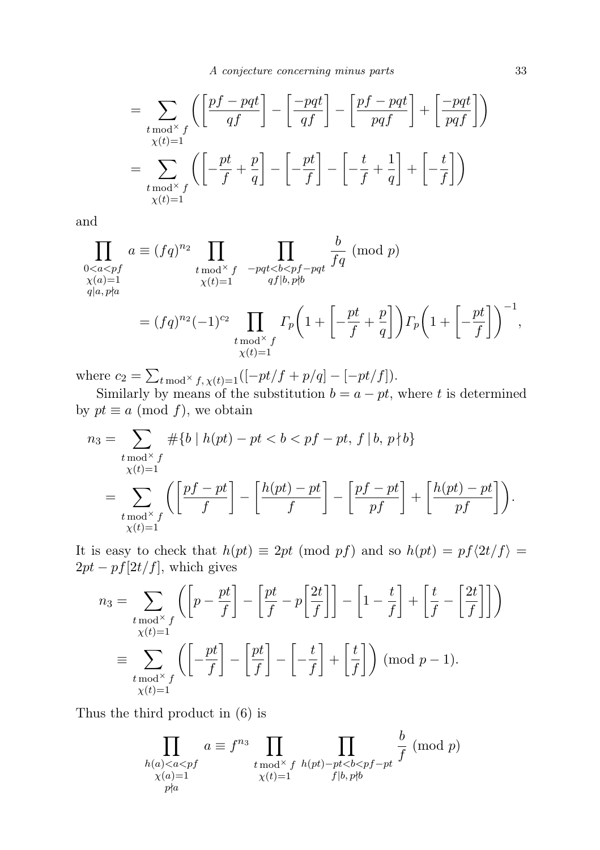$$
= \sum_{\substack{t \bmod^{\times} f \\ \chi(t)=1}} \left( \left[ \frac{pf - pqt}{qf} \right] - \left[ \frac{-pqt}{qf} \right] - \left[ \frac{pf - pqt}{pqf} \right] + \left[ \frac{-pqt}{pqf} \right] \right)
$$

$$
= \sum_{\substack{t \bmod^{\times} f \\ \chi(t)=1}} \left( \left[ -\frac{pt}{f} + \frac{p}{q} \right] - \left[ -\frac{pt}{f} \right] - \left[ -\frac{t}{f} + \frac{1}{q} \right] + \left[ -\frac{t}{f} \right] \right)
$$

and

$$
\prod_{\substack{0\n
$$
= (fq)^{n_2}(-1)^{c_2} \prod_{\substack{t \bmod^{\times} f \\ \chi(t)=1}} \Gamma_p \left(1 + \left[-\frac{pt}{f} + \frac{p}{q}\right]\right) \Gamma_p \left(1 + \left[-\frac{pt}{f}\right]\right)^{-1},
$$
$$

where  $c_2 = \sum_{t \bmod{\times} f, \chi(t)=1} ([-pt/f + p/q] - [-pt/f]).$ 

Similarly by means of the substitution  $b = a - pt$ , where t is determined by  $pt \equiv a \pmod{f}$ , we obtain

$$
n_3 = \sum_{\substack{t \mod^{\times} f \\ \chi(t) = 1}} \# \{ b \mid h(pt) - pt < b < pf - pt, f \mid b, p \nmid b \}
$$
  
= 
$$
\sum_{\substack{t \mod^{\times} f \\ \chi(t) = 1}} \left( \left[ \frac{pf - pt}{f} \right] - \left[ \frac{h(pt) - pt}{f} \right] - \left[ \frac{pf - pt}{pf} \right] + \left[ \frac{h(pt) - pt}{pf} \right] \right).
$$

It is easy to check that  $h(pt) \equiv 2pt \pmod{pf}$  and so  $h(pt) = pf\langle 2t/f \rangle =$  $2pt - pf[2t/f]$ , which gives

$$
n_3 = \sum_{\substack{t \bmod^{\times} f \\ \chi(t) = 1}} \left( \left[ p - \frac{pt}{f} \right] - \left[ \frac{pt}{f} - p \left[ \frac{2t}{f} \right] \right] \right) - \left[ 1 - \frac{t}{f} \right] + \left[ \frac{t}{f} - \left[ \frac{2t}{f} \right] \right] \right)
$$
  

$$
\equiv \sum_{\substack{t \bmod^{\times} f \\ \chi(t) = 1}} \left( \left[ -\frac{pt}{f} \right] - \left[ \frac{pt}{f} \right] - \left[ -\frac{t}{f} \right] + \left[ \frac{t}{f} \right] \right) \pmod{p - 1}.
$$

Thus the third product in (6) is

$$
\prod_{\substack{h(a)
$$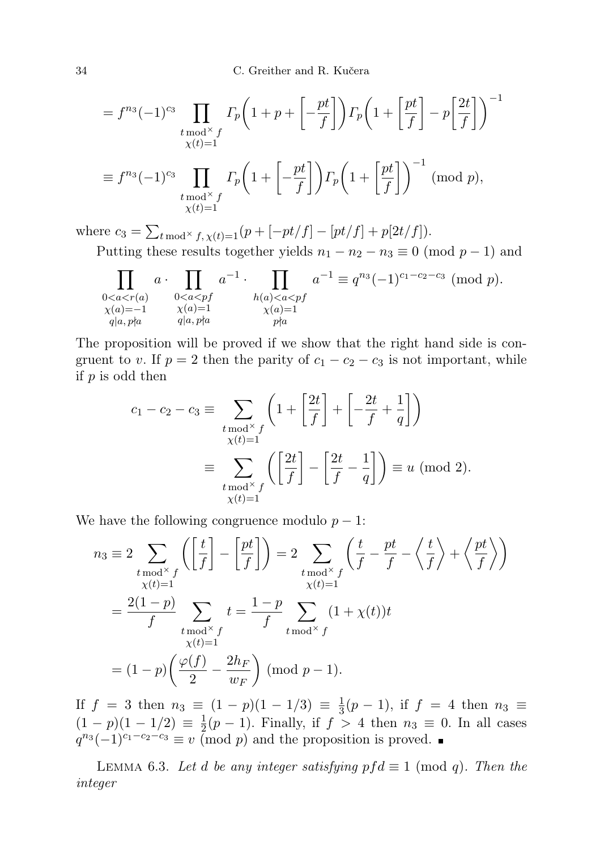34 C. Greither and R. Kučera

$$
= f^{n_3}(-1)^{c_3} \prod_{\substack{t \bmod^{\times} f \\ \chi(t)=1}} \Gamma_p \left(1 + p + \left[-\frac{pt}{f}\right]\right) \Gamma_p \left(1 + \left[\frac{pt}{f}\right] - p\left[\frac{2t}{f}\right]\right)^{-1}
$$

$$
\equiv f^{n_3}(-1)^{c_3} \prod_{\substack{t \bmod^{\times} f \\ \chi(t)=1}} \Gamma_p \left(1 + \left[-\frac{pt}{f}\right]\right) \Gamma_p \left(1 + \left[\frac{pt}{f}\right]\right)^{-1} \pmod{p},
$$

where  $c_3 = \sum_{t \bmod{\times} f, \chi(t)=1}(p + [-pt/f] - [pt/f] + p[2t/f]).$ Putting these results together yields  $n_1 - n_2 - n_3 \equiv 0 \pmod{p-1}$  and

$$
\prod_{\substack{0
$$

The proposition will be proved if we show that the right hand side is congruent to v. If  $p = 2$  then the parity of  $c_1 - c_2 - c_3$  is not important, while if  $p$  is odd then

$$
c_1 - c_2 - c_3 \equiv \sum_{\substack{t \bmod^{\times} f \\ \chi(t) = 1}} \left( 1 + \left[ \frac{2t}{f} \right] + \left[ -\frac{2t}{f} + \frac{1}{q} \right] \right)
$$

$$
\equiv \sum_{\substack{t \bmod^{\times} f \\ \chi(t) = 1}} \left( \left[ \frac{2t}{f} \right] - \left[ \frac{2t}{f} - \frac{1}{q} \right] \right) \equiv u \pmod{2}.
$$

We have the following congruence modulo  $p - 1$ :

$$
n_3 \equiv 2 \sum_{\substack{t \bmod^{\times} f \\ \chi(t)=1}} \left( \left[ \frac{t}{f} \right] - \left[ \frac{pt}{f} \right] \right) = 2 \sum_{\substack{t \bmod^{\times} f \\ \chi(t)=1}} \left( \frac{t}{f} - \frac{pt}{f} - \left\langle \frac{t}{f} \right\rangle + \left\langle \frac{pt}{f} \right\rangle \right)
$$

$$
= \frac{2(1-p)}{f} \sum_{\substack{t \bmod^{\times} f \\ \chi(t)=1}} t = \frac{1-p}{f} \sum_{t \bmod^{\times} f} (1 + \chi(t))t
$$

$$
= (1-p) \left( \frac{\varphi(f)}{2} - \frac{2h_F}{w_F} \right) \text{ (mod } p-1).
$$

If  $f = 3$  then  $n_3 \equiv (1-p)(1-1/3) \equiv \frac{1}{3}$  $\frac{1}{3}(p-1)$ , if  $f = 4$  then  $n_3 \equiv$  $(1-p)(1-1/2) \equiv \frac{1}{2}$  $\frac{1}{2}(p-1)$ . Finally, if  $f > 4$  then  $n_3 \equiv 0$ . In all cases  $q^{n_3}(-1)^{c_1-c_2-c_3} \equiv v \pmod{p}$  and the proposition is proved.

LEMMA 6.3. Let d be any integer satisfying  $pf d \equiv 1 \pmod{q}$ . Then the integer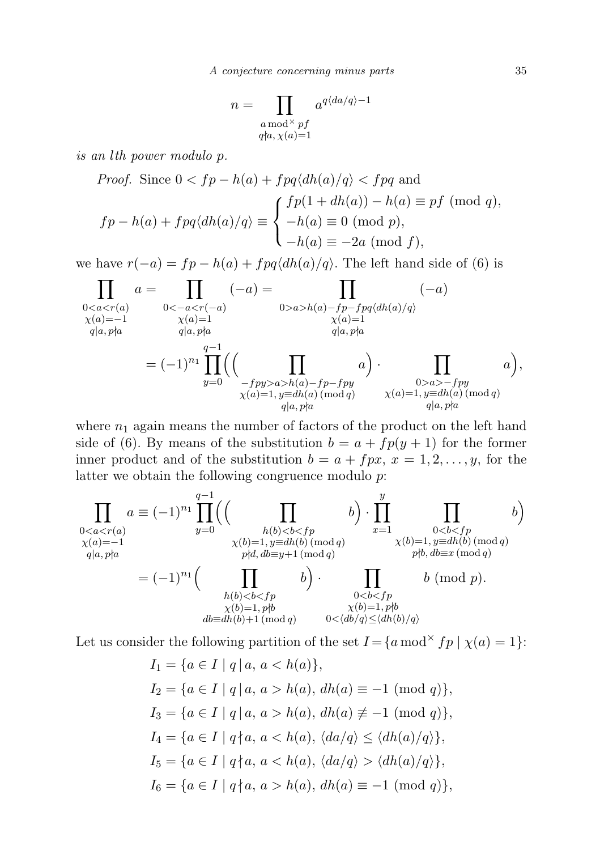A conjecture concerning minus parts 35

$$
n = \prod_{\substack{a \bmod^{\times} pf \\ q \nmid a, \chi(a) = 1}} a^{q \langle da/q \rangle - 1}
$$

is an lth power modulo p.

*Proof.* Since 
$$
0 < fp - h(a) + fpq\langle dh(a)/q \rangle < fpq
$$
 and  
\n
$$
fp - h(a) + fpq\langle dh(a)/q \rangle \equiv \begin{cases} fp(1 + dh(a)) - h(a) \equiv pf \pmod{q}, \\ -h(a) \equiv 0 \pmod{p}, \\ -h(a) \equiv -2a \pmod{f}, \end{cases}
$$

we have  $r(-a) = fp - h(a) + fpq\langle d h(a)/q \rangle$ . The left hand side of (6) is

$$
\prod_{\substack{0a>b(a)-fp-fpq(dh(a)/q) \\ \chi(a)=1 \\ q|a,p\nmid a}} (-a)
$$
\n
$$
= (-1)^{n_1} \prod_{y=0}^{q-1} \left( \prod_{\substack{f=p(a) \\ f=py>a>h(a)-fp-fpy \\ \chi(a)=1, y\equiv dh(a) \pmod{q}}} a \right) \cdot \prod_{\substack{0>a>-fpy \\ \chi(a)=1, y\equiv dh(a) \pmod{q}}} a),
$$
\n
$$
= (-1)^{n_1} \prod_{\substack{y=dh(a) \\ \chi(a)=1, y\equiv dh(a) \pmod{q}}} a \right),
$$

where  $n_1$  again means the number of factors of the product on the left hand side of (6). By means of the substitution  $b = a + fp(y + 1)$  for the former inner product and of the substitution  $b = a + f px$ ,  $x = 1, 2, ..., y$ , for the latter we obtain the following congruence modulo p:

$$
\prod_{\substack{0 < a < r(a) \\ \chi(a) = -1}} a \equiv (-1)^{n_1} \prod_{y = 0}^{q-1} \left( \left( \prod_{\substack{h(b) < b < fp \\ \chi(b) = 1, y \equiv dh(b) \pmod{q} \\ \gamma h(b) < b < fp \\ \gamma h(b) < b < fp \\ \chi(b) = 1, y \equiv dh(b) \pmod{q}} \right) \times (b) = 1, y \equiv dh(b) \pmod{q}
$$
\n
$$
= (-1)^{n_1} \left( \prod_{\substack{h(b) < b < fp \\ \chi(b) < b < fp \\ \chi(b) = 1, pb \\ \chi(b) = 1, pb}} b \right) \cdot \prod_{\substack{0 < b < fp \\ \chi(b) = 1, pb \\ \chi(b) = 1, pb \\ \chi(b) = 1, pb}} b \pmod{p}.
$$
\n
$$
b \pmod{p}.
$$

Let us consider the following partition of the set  $I = \{a \mod^{\times} fp \mid \chi(a) = 1\}$ :

$$
I_1 = \{a \in I \mid q \mid a, a < h(a)\},
$$
\n
$$
I_2 = \{a \in I \mid q \mid a, a > h(a), dh(a) \equiv -1 \pmod{q}\},
$$
\n
$$
I_3 = \{a \in I \mid q \mid a, a > h(a), dh(a) \not\equiv -1 \pmod{q}\},
$$
\n
$$
I_4 = \{a \in I \mid q \nmid a, a < h(a), \langle da/q \rangle \leq \langle dh(a)/q \rangle\},
$$
\n
$$
I_5 = \{a \in I \mid q \nmid a, a < h(a), \langle da/q \rangle > \langle dh(a)/q \rangle\},
$$
\n
$$
I_6 = \{a \in I \mid q \nmid a, a > h(a), dh(a) \equiv -1 \pmod{q}\},
$$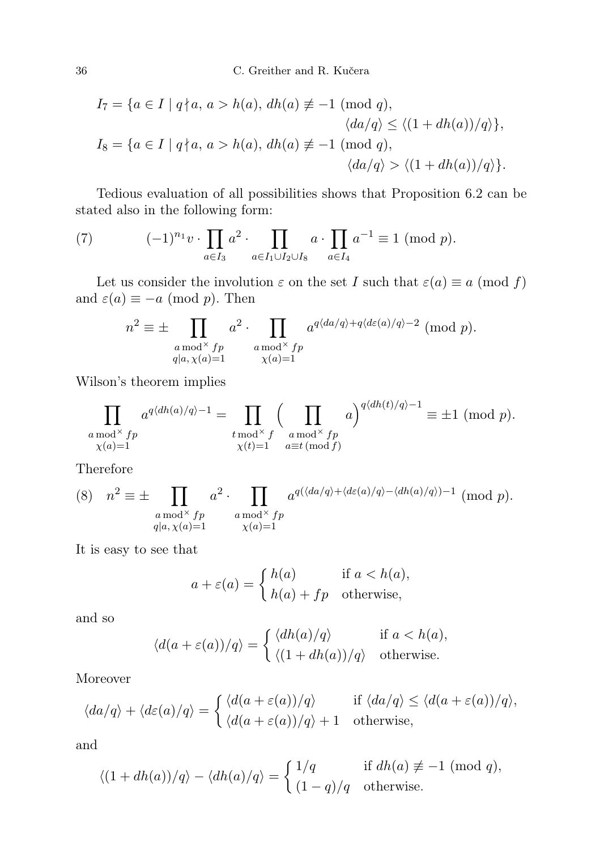$$
I_7 = \{a \in I \mid q \nmid a, a > h(a), dh(a) \not\equiv -1 \pmod{q},
$$
  

$$
\langle da/q \rangle \le \langle (1 + dh(a))/q \rangle \},
$$
  

$$
I_8 = \{a \in I \mid q \nmid a, a > h(a), dh(a) \not\equiv -1 \pmod{q},
$$
  

$$
\langle da/q \rangle > \langle (1 + dh(a))/q \rangle \}.
$$

Tedious evaluation of all possibilities shows that Proposition 6.2 can be stated also in the following form:

(7) 
$$
(-1)^{n_1} v \cdot \prod_{a \in I_3} a^2 \cdot \prod_{a \in I_1 \cup I_2 \cup I_8} a \cdot \prod_{a \in I_4} a^{-1} \equiv 1 \pmod{p}.
$$

Let us consider the involution  $\varepsilon$  on the set I such that  $\varepsilon(a) \equiv a \pmod{f}$ and  $\varepsilon(a) \equiv -a \pmod{p}$ . Then

$$
n^{2} \equiv \pm \prod_{\substack{a \bmod^{X} f p \\ q|a, \chi(a)=1}} a^{2} \cdot \prod_{\substack{a \bmod^{X} f p \\ \chi(a)=1}} a^{q\langle da/q \rangle + q\langle d\varepsilon(a)/q \rangle - 2} \pmod{p}.
$$

Wilson's theorem implies

$$
\prod_{\substack{a \bmod^{\times} fp \\ \chi(a)=1}} a^{q \langle dh(a)/q \rangle - 1} = \prod_{\substack{t \bmod^{\times} f \\ \chi(t)=1}} \left( \prod_{\substack{a \bmod^{\times} fp \\ a \equiv t \pmod{f}}} a \right)^{q \langle dh(t)/q \rangle - 1} \equiv \pm 1 \pmod{p}.
$$

Therefore

(8) 
$$
n^2 \equiv \pm \prod_{\substack{a \bmod^{\times} fp \\ q|a, \chi(a)=1}} a^2 \cdot \prod_{\substack{a \bmod^{\times} fp \\ \chi(a)=1}} a^{q(\langle da/q \rangle + \langle d\varepsilon(a)/q \rangle - \langle dh(a)/q \rangle) - 1} \pmod{p}.
$$

It is easy to see that

$$
a + \varepsilon(a) = \begin{cases} h(a) & \text{if } a < h(a), \\ h(a) + fp & \text{otherwise,} \end{cases}
$$

and so

$$
\langle d(a+\varepsilon(a))/q \rangle = \begin{cases} \langle dh(a)/q \rangle & \text{if } a < h(a), \\ \langle (1+dh(a))/q \rangle & \text{otherwise.} \end{cases}
$$

Moreover

$$
\langle da/q \rangle + \langle d\varepsilon(a)/q \rangle = \begin{cases} \langle d(a + \varepsilon(a))/q \rangle & \text{if } \langle da/q \rangle \le \langle d(a + \varepsilon(a))/q \rangle, \\ \langle d(a + \varepsilon(a))/q \rangle + 1 & \text{otherwise,} \end{cases}
$$

and

$$
\langle (1+dh(a))/q \rangle - \langle dh(a)/q \rangle = \begin{cases} 1/q & \text{if } dh(a) \not\equiv -1 \pmod{q}, \\ (1-q)/q & \text{otherwise.} \end{cases}
$$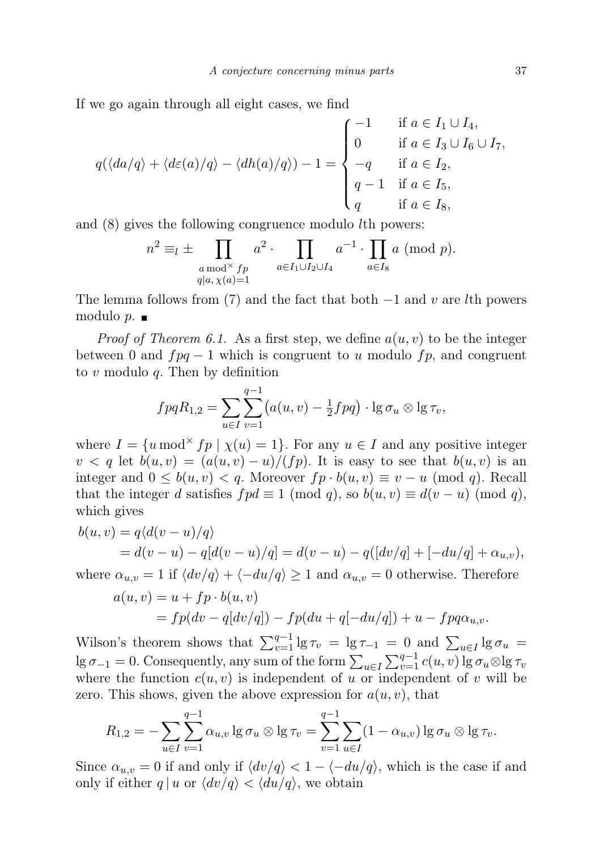If we go again through all eight cases, we find

$$
q(\langle da/q \rangle + \langle d\varepsilon(a)/q \rangle - \langle dh(a)/q \rangle) - 1 = \begin{cases} -1 & \text{if } a \in I_1 \cup I_4, \\ 0 & \text{if } a \in I_3 \cup I_6 \cup I_7, \\ -q & \text{if } a \in I_2, \\ q - 1 & \text{if } a \in I_5, \\ q & \text{if } a \in I_8, \end{cases}
$$

and (8) gives the following congruence modulo lth powers:

$$
n^2 \equiv_l \pm \prod_{\substack{a \bmod^{\times} fp \\ q|a, \chi(a)=1}} a^2 \cdot \prod_{a \in I_1 \cup I_2 \cup I_4} a^{-1} \cdot \prod_{a \in I_8} a \pmod{p}.
$$

The lemma follows from (7) and the fact that both  $-1$  and v are lth powers modulo  $p.$ 

*Proof of Theorem 6.1.* As a first step, we define  $a(u, v)$  to be the integer between 0 and  $fpq - 1$  which is congruent to u modulo fp, and congruent to  $v$  modulo  $q$ . Then by definition

$$
fpqR_{1,2} = \sum_{u \in I} \sum_{v=1}^{q-1} (a(u,v) - \frac{1}{2}fpq) \cdot \lg \sigma_u \otimes \lg \tau_v,
$$

where  $I = \{u \mod^{\times} fp \mid \chi(u) = 1\}$ . For any  $u \in I$  and any positive integer  $v < q$  let  $b(u, v) = (a(u, v) - u)/(fp)$ . It is easy to see that  $b(u, v)$  is an integer and  $0 \leq b(u, v) < q$ . Moreover  $fp \cdot b(u, v) \equiv v - u \pmod{q}$ . Recall that the integer d satisfies  $f p d \equiv 1 \pmod{q}$ , so  $b(u, v) \equiv d(v - u) \pmod{q}$ , which gives

$$
b(u, v) = q\langle d(v - u)/q \rangle
$$
  
=  $d(v - u) - q[d(v - u)/q] = d(v - u) - q([dv/q] + [-du/q] + \alpha_{u,v}),$ 

where  $\alpha_{u,v} = 1$  if  $\langle dv/q \rangle + \langle -du/q \rangle \ge 1$  and  $\alpha_{u,v} = 0$  otherwise. Therefore

$$
a(u, v) = u + fp \cdot b(u, v)
$$
  
= 
$$
fp(dv - q[dv/q]) - fp(du + q[-du/q]) + u - fpq\alpha_{u,v}.
$$

Wilson's theorem shows that  $\sum_{v=1}^{q-1} \lg \tau_v = \lg \tau_{-1} = 0$  and  $\sum_{u \in I} \lg \sigma_u =$  $\lg \sigma_{-1} = 0$ . Consequently, any sum of the form  $\sum_{u \in I} \sum_{v=1}^{q-1} c(u, v) \lg \sigma_u \otimes \lg \tau_v$ where the function  $c(u, v)$  is independent of u or independent of v will be zero. This shows, given the above expression for  $a(u, v)$ , that

$$
R_{1,2} = -\sum_{u \in I} \sum_{v=1}^{q-1} \alpha_{u,v} \lg \sigma_u \otimes \lg \tau_v = \sum_{v=1}^{q-1} \sum_{u \in I} (1 - \alpha_{u,v}) \lg \sigma_u \otimes \lg \tau_v.
$$

Since  $\alpha_{u,v} = 0$  if and only if  $\langle dv/q \rangle < 1 - \langle -du/q \rangle$ , which is the case if and only if either  $q | u$  or  $\langle dv/q \rangle < \langle du/q \rangle$ , we obtain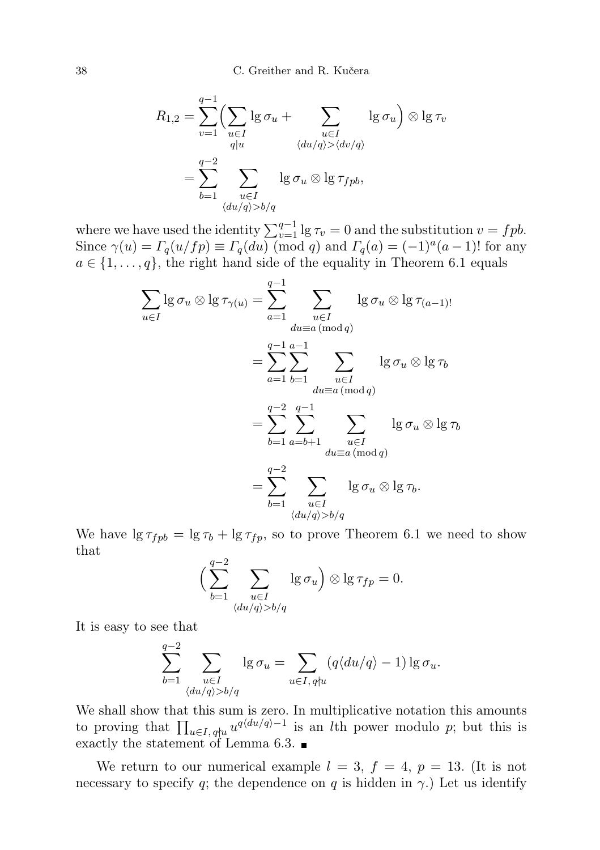38 C. Greither and R. Kučera

$$
R_{1,2} = \sum_{v=1}^{q-1} \left( \sum_{u \in I} \lg \sigma_u + \sum_{\substack{u \in I \\ q \mid u}} \lg \sigma_u \right) \otimes \lg \tau_v
$$

$$
= \sum_{b=1}^{q-2} \sum_{\substack{u \in I \\ u \in I \\ \langle du/q \rangle > b/q}} \lg \sigma_u \otimes \lg \tau_{fpb},
$$

where we have used the identity  $\sum_{v=1}^{q-1} \lg \tau_v = 0$  and the substitution  $v = f p b$ . Since  $\gamma(u) = \Gamma_q(u/fp) \equiv \Gamma_q(du) \pmod{q}$  and  $\Gamma_q(a) = (-1)^a (a-1)!$  for any  $a \in \{1, \ldots, q\}$ , the right hand side of the equality in Theorem 6.1 equals

$$
\sum_{u \in I} \lg \sigma_u \otimes \lg \tau_{\gamma(u)} = \sum_{a=1}^{q-1} \sum_{\substack{u \in I \\ du \equiv a \, (\text{mod } q)}} \lg \sigma_u \otimes \lg \tau_{(a-1)!}}
$$

$$
= \sum_{a=1}^{q-1} \sum_{\substack{b=1 \\ du \equiv a \, (\text{mod } q)}} \lg \sigma_u \otimes \lg \tau_b
$$

$$
= \sum_{b=1}^{q-2} \sum_{\substack{a=b+1 \\ du \equiv a \, (\text{mod } q)}} \lg \sigma_u \otimes \lg \tau_b
$$

$$
= \sum_{b=1}^{q-2} \sum_{\substack{u \in I \\ du \equiv a \, (\text{mod } q)}} \lg \sigma_u \otimes \lg \tau_b.
$$

We have  $\lg \tau_{fpb} = \lg \tau_b + \lg \tau_{fp}$ , so to prove Theorem 6.1 we need to show that  $a-2$ 

$$
\Big(\sum_{b=1}^q \sum_{\substack{u \in I \\ \langle du/q \rangle > b/q}} \lg \sigma_u\Big) \otimes \lg \tau_{fp} = 0.
$$

It is easy to see that

$$
\sum_{b=1}^{q-2} \sum_{\substack{u \in I \\ \langle du/q \rangle > b/q}} \lg \sigma_u = \sum_{u \in I, q \nmid u} (q \langle du/q \rangle - 1) \lg \sigma_u.
$$

We shall show that this sum is zero. In multiplicative notation this amounts to proving that  $\prod_{u \in I, q \nmid u} u^{q \langle du/q \rangle - 1}$  is an *l*th power modulo p; but this is exactly the statement of Lemma 6.3.

We return to our numerical example  $l = 3$ ,  $f = 4$ ,  $p = 13$ . (It is not necessary to specify q; the dependence on q is hidden in  $\gamma$ .) Let us identify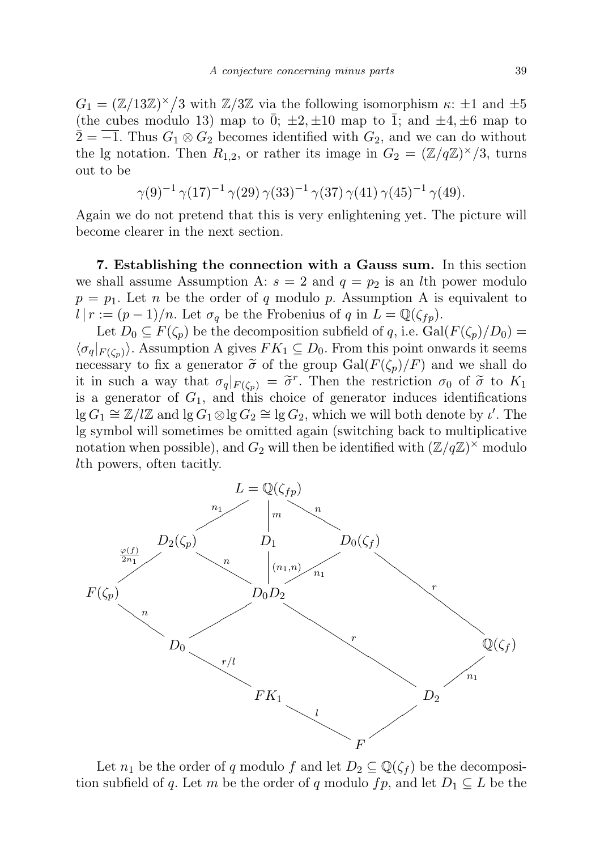$G_1 = (\mathbb{Z}/13\mathbb{Z})^{\times}/3$  with  $\mathbb{Z}/3\mathbb{Z}$  via the following isomorphism  $\kappa$ :  $\pm 1$  and  $\pm 5$ (the cubes modulo 13) map to  $\bar{0}$ ;  $\pm 2$ ,  $\pm 10$  map to  $\bar{1}$ ; and  $\pm 4$ ,  $\pm 6$  map to  $\overline{2} = \overline{-1}$ . Thus  $G_1 \otimes G_2$  becomes identified with  $G_2$ , and we can do without the lg notation. Then  $R_{1,2}$ , or rather its image in  $G_2 = (\mathbb{Z}/q\mathbb{Z})^{\times}/3$ , turns out to be

$$
\gamma(9)^{-1}\,\gamma(17)^{-1}\,\gamma(29)\,\gamma(33)^{-1}\,\gamma(37)\,\gamma(41)\,\gamma(45)^{-1}\,\gamma(49).
$$

Again we do not pretend that this is very enlightening yet. The picture will become clearer in the next section.

7. Establishing the connection with a Gauss sum. In this section we shall assume Assumption A:  $s = 2$  and  $q = p_2$  is an *l*th power modulo  $p = p_1$ . Let n be the order of q modulo p. Assumption A is equivalent to  $l | r := (p-1)/n$ . Let  $\sigma_q$  be the Frobenius of q in  $L = \mathbb{Q}(\zeta_{fp})$ .

Let  $D_0 \subseteq F(\zeta_p)$  be the decomposition subfield of q, i.e.  $Gal(F(\zeta_p)/D_0)$  =  $\langle \sigma_q|_{F(\zeta_p)}\rangle$ . Assumption A gives  $FK_1 \subseteq D_0$ . From this point onwards it seems necessary to fix a generator  $\tilde{\sigma}$  of the group Gal( $F(\zeta_p)/F$ ) and we shall do it in such a way that  $\sigma_q|_{F(\zeta_p)} = \tilde{\sigma}^r$ . Then the restriction  $\sigma_0$  of  $\tilde{\sigma}$  to  $K_1$ <br>is a generator of  $C_1$  and this choice of generator induces identifications is a generator of  $G_1$ , and this choice of generator induces identifications  $\lg G_1 \cong \mathbb{Z}/l\mathbb{Z}$  and  $\lg G_1 \otimes \lg G_2 \cong \lg G_2$ , which we will both denote by  $\iota'$ . The lg symbol will sometimes be omitted again (switching back to multiplicative notation when possible), and  $G_2$  will then be identified with  $(\mathbb{Z}/q\mathbb{Z})^{\times}$  modulo lth powers, often tacitly.



Let  $n_1$  be the order of q modulo f and let  $D_2 \subseteq \mathbb{Q}(\zeta_f)$  be the decomposition subfield of q. Let m be the order of q modulo fp, and let  $D_1 \subseteq L$  be the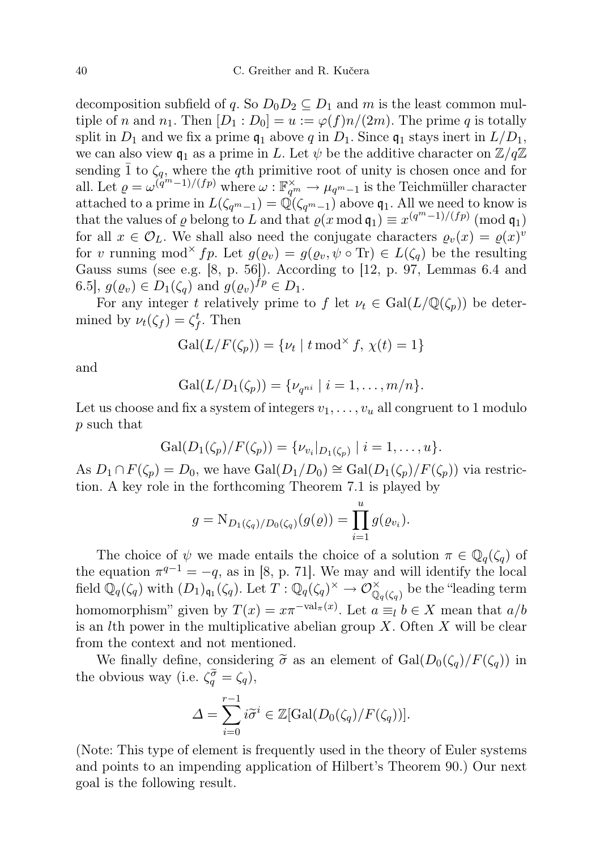decomposition subfield of q. So  $D_0D_2 \subseteq D_1$  and m is the least common multiple of n and  $n_1$ . Then  $[D_1 : D_0] = u := \varphi(f)n/(2m)$ . The prime q is totally split in  $D_1$  and we fix a prime  $\mathfrak{q}_1$  above q in  $D_1$ . Since  $\mathfrak{q}_1$  stays inert in  $L/D_1$ , we can also view  $\mathfrak{q}_1$  as a prime in L. Let  $\psi$  be the additive character on  $\mathbb{Z}/q\mathbb{Z}$ sending  $\bar{1}$  to  $\zeta_q$ , where the qth primitive root of unity is chosen once and for all. Let  $\rho = \omega^{(q^m-1)/(fp)}$  where  $\omega : \mathbb{F}_{q^m}^{\times} \to \mu_{q^m-1}$  is the Teichmüller character attached to a prime in  $L(\zeta_{q^m-1}) = \mathbb{Q}(\zeta_{q^m-1})$  above  $\mathfrak{q}_1$ . All we need to know is that the values of  $\varrho$  belong to L and that  $\varrho(x \mod q_1) \equiv x^{(q^m-1)/(fp)} \pmod{q_1}$ for all  $x \in \mathcal{O}_L$ . We shall also need the conjugate characters  $\varrho_v(x) = \varrho(x)^v$ for v running mod<sup>×</sup> fp. Let  $g(\varrho_v) = g(\varrho_v, \psi \circ \text{Tr}) \in L(\zeta_q)$  be the resulting Gauss sums (see e.g. [8, p. 56]). According to [12, p. 97, Lemmas 6.4 and 6.5],  $g(\varrho_v) \in D_1(\zeta_q)$  and  $g(\varrho_v)^{fp} \in D_1$ .

For any integer t relatively prime to f let  $\nu_t \in \text{Gal}(L/\mathbb{Q}(\zeta_p))$  be determined by  $\nu_t(\zeta_f) = \zeta_f^t$ . Then

$$
Gal(L/F(\zeta_p)) = \{ \nu_t \mid t \mod^{\times} f, \chi(t) = 1 \}
$$

and

$$
Gal(L/D_1(\zeta_p)) = \{ \nu_{q^{ni}} \mid i = 1, \ldots, m/n \}.
$$

Let us choose and fix a system of integers  $v_1, \ldots, v_u$  all congruent to 1 modulo p such that

$$
Gal(D_1(\zeta_p)/F(\zeta_p)) = {\{\nu_{v_i}|_{D_1(\zeta_p)} | i = 1,\ldots,u\}}.
$$

As  $D_1 \cap F(\zeta_p) = D_0$ , we have  $Gal(D_1/D_0) \cong Gal(D_1(\zeta_p)/F(\zeta_p))$  via restriction. A key role in the forthcoming Theorem 7.1 is played by

$$
g = N_{D_1(\zeta_q)/D_0(\zeta_q)}(g(\varrho)) = \prod_{i=1}^u g(\varrho_{v_i}).
$$

The choice of  $\psi$  we made entails the choice of a solution  $\pi \in \mathbb{Q}_q(\zeta_q)$  of the equation  $\pi^{q-1} = -q$ , as in [8, p. 71]. We may and will identify the local field  $\mathbb{Q}_q(\zeta_q)$  with  $(D_1)_{\mathfrak{q}_1}(\zeta_q)$ . Let  $T: \mathbb{Q}_q(\zeta_q)^\times \to \mathcal{O}_{\mathbb{Q}_q(\zeta_q)}^\times$  be the "leading term homomorphism" given by  $T(x) = x\pi^{-\text{val}_{\pi}(x)}$ . Let  $a \equiv_l b \in X$  mean that  $a/b$ is an *l*th power in the multiplicative abelian group  $X$ . Often  $X$  will be clear from the context and not mentioned.

We finally define, considering  $\tilde{\sigma}$  as an element of  $Gal(D_0(\zeta_q)/F(\zeta_q))$  in the obvious way (i.e.  $\zeta_q^{\tilde{\sigma}} = \zeta_q$ ),

$$
\Delta = \sum_{i=0}^{r-1} i \widetilde{\sigma}^i \in \mathbb{Z}[\text{Gal}(D_0(\zeta_q)/F(\zeta_q))].
$$

(Note: This type of element is frequently used in the theory of Euler systems and points to an impending application of Hilbert's Theorem 90.) Our next goal is the following result.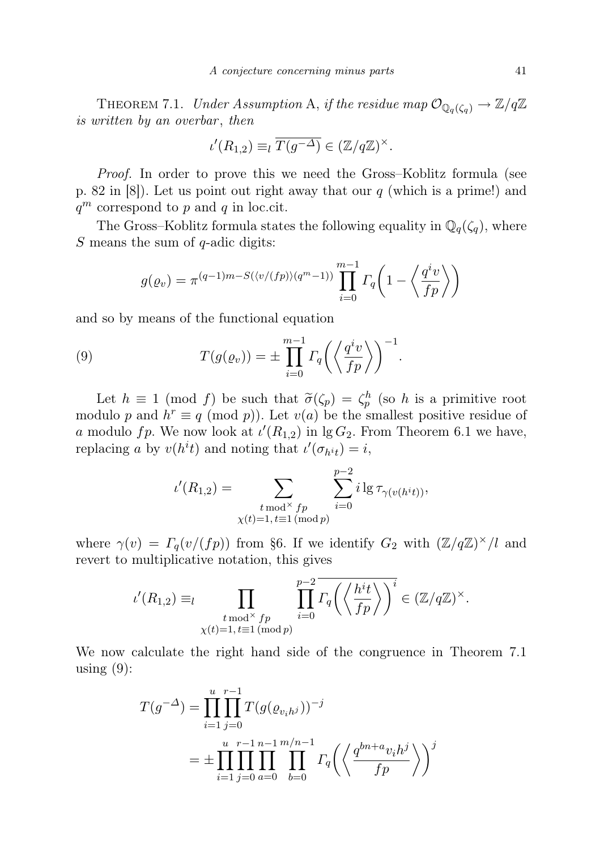THEOREM 7.1. Under Assumption A, if the residue map  $\mathcal{O}_{\mathbb{Q}_q(\zeta_q)} \to \mathbb{Z}/q\mathbb{Z}$ is written by an overbar, then

$$
\iota'(R_{1,2}) \equiv_l \overline{T(g^{-\Delta})} \in (\mathbb{Z}/q\mathbb{Z})^{\times}.
$$

Proof. In order to prove this we need the Gross–Koblitz formula (see p. 82 in  $[8]$ ). Let us point out right away that our q (which is a prime!) and  $q^m$  correspond to p and q in loc.cit.

The Gross–Koblitz formula states the following equality in  $\mathbb{Q}_q(\zeta_q)$ , where S means the sum of  $q$ -adic digits:

$$
g(\varrho_v) = \pi^{(q-1)m - S(\langle v/(fp) \rangle (q^m-1))} \prod_{i=0}^{m-1} \Gamma_q \left( 1 - \left\langle \frac{q^i v}{fp} \right\rangle \right)
$$

and so by means of the functional equation

(9) 
$$
T(g(\varrho_v)) = \pm \prod_{i=0}^{m-1} \Gamma_q\left(\left\langle \frac{q^i v}{fp} \right\rangle\right)^{-1}.
$$

Let  $h \equiv 1 \pmod{f}$  be such that  $\tilde{\sigma}(\zeta_p) = \zeta_p^h$  (so h is a primitive root dule n and  $h^r = g \pmod{p}$ ). Let  $g(g)$  be the smallest positive residue of modulo p and  $h^r \equiv q \pmod{p}$ . Let  $v(a)$  be the smallest positive residue of a modulo fp. We now look at  $\iota'(R_{1,2})$  in lg  $G_2$ . From Theorem 6.1 we have, replacing a by  $v(h^{i}t)$  and noting that  $\iota'(\sigma_{h^{i}t}) = i$ ,

$$
\iota'(R_{1,2}) = \sum_{\substack{t \bmod^{\times} f_p \\ \chi(t)=1, t \equiv 1 \pmod{p}}} \sum_{i=0}^{p-2} i \lg \tau_{\gamma(v(h^{i}t))},
$$

where  $\gamma(v) = \Gamma_q(v/(fp))$  from §6. If we identify  $G_2$  with  $(\mathbb{Z}/q\mathbb{Z})^{\times}/l$  and revert to multiplicative notation, this gives

$$
\iota'(R_{1,2}) \equiv_{l} \prod_{\substack{t \bmod^{\times} f_p \\ \chi(t)=1, t \equiv 1 \pmod{p}}} \prod_{i=0}^{p-2} \overline{\Gamma_q\left(\left\langle \frac{h^i t}{fp} \right\rangle\right)^i} \in (\mathbb{Z}/q\mathbb{Z})^{\times}.
$$

We now calculate the right hand side of the congruence in Theorem 7.1 using  $(9)$ :

$$
T(g^{-\Delta}) = \prod_{i=1}^{u} \prod_{j=0}^{r-1} T(g(\varrho_{v_i h^j}))^{-j}
$$
  
= 
$$
\pm \prod_{i=1}^{u} \prod_{j=0}^{r-1} \prod_{a=0}^{m/n-1} \prod_{b=0}^{m/n-1} \Gamma_q \left( \left\langle \frac{q^{bn+a} v_i h^j}{fp} \right\rangle \right)^j
$$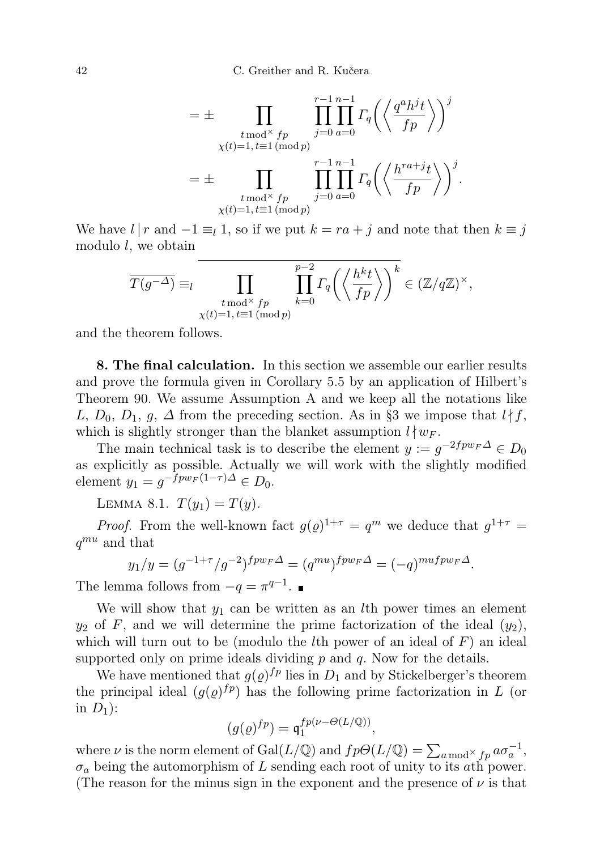$$
= \pm \prod_{\substack{t \bmod^{\times} f_p \\ \chi(t)=1, t \equiv 1 \pmod{p}}} \prod_{j=0}^{r-1} \prod_{a=0}^{n-1} \Gamma_q \left( \left\langle \frac{q^a h^j t}{fp} \right\rangle \right)^j
$$
  

$$
= \pm \prod_{\substack{t \bmod^{\times} f_p \\ \chi(t)=1, t \equiv 1 \pmod{p}}} \prod_{j=0}^{r-1} \prod_{a=0}^{n-1} \Gamma_q \left( \left\langle \frac{h^{ra+j} t}{fp} \right\rangle \right)^j.
$$

We have  $l | r$  and  $-1 \equiv_l 1$ , so if we put  $k = ra + j$  and note that then  $k \equiv j$ modulo  $l$ , we obtain

$$
\overline{T(g^{-\Delta})} \equiv_l \prod_{\substack{t \bmod^{\times} fp \\ \chi(t)=1, t \equiv 1 \pmod{p}}} \prod_{k=0}^{p-2} \Gamma_q \left( \left\langle \frac{h^k t}{fp} \right\rangle \right)^k \in (\mathbb{Z}/q\mathbb{Z})^{\times},
$$

and the theorem follows.

8. The final calculation. In this section we assemble our earlier results and prove the formula given in Corollary 5.5 by an application of Hilbert's Theorem 90. We assume Assumption A and we keep all the notations like L,  $D_0$ ,  $D_1$ ,  $q$ ,  $\Delta$  from the preceding section. As in §3 we impose that  $l \nmid f$ , which is slightly stronger than the blanket assumption  $l \nmid w_F$ .

The main technical task is to describe the element  $y := g^{-2fpw_F\Delta} \in D_0$ as explicitly as possible. Actually we will work with the slightly modified element  $y_1 = g^{-fpw_F(1-\tau)\Delta} \in D_0$ .

LEMMA 8.1.  $T(y_1) = T(y)$ .

*Proof.* From the well-known fact  $g(\varrho)^{1+\tau} = q^m$  we deduce that  $g^{1+\tau} =$  $q^{mu}$  and that

$$
y_1/y = (g^{-1+\tau}/g^{-2})^{fpw_F\Delta} = (q^{mu})^{fpw_F\Delta} = (-q)^{mufpw_F\Delta}.
$$

The lemma follows from  $-q = \pi^{q-1}$ .

We will show that  $y_1$  can be written as an *l*th power times an element  $y_2$  of F, and we will determine the prime factorization of the ideal  $(y_2)$ , which will turn out to be (modulo the *l*th power of an ideal of  $F$ ) an ideal supported only on prime ideals dividing  $p$  and  $q$ . Now for the details.

We have mentioned that  $g(\rho)^{fp}$  lies in  $D_1$  and by Stickelberger's theorem the principal ideal  $(g(\rho)^{fp})$  has the following prime factorization in L (or in  $D_1$ :

$$
(g(\varrho)^{fp})=\mathfrak q_1^{fp(\nu-\varTheta(L/\mathbb Q))},
$$

where  $\nu$  is the norm element of Gal( $L/\mathbb{Q}$ ) and  $fp\Theta(L/\mathbb{Q}) = \sum_{a \bmod^{\times} fp} a\sigma_a^{-1}$ ,  $\sigma_a$  being the automorphism of L sending each root of unity to its ath power. (The reason for the minus sign in the exponent and the presence of  $\nu$  is that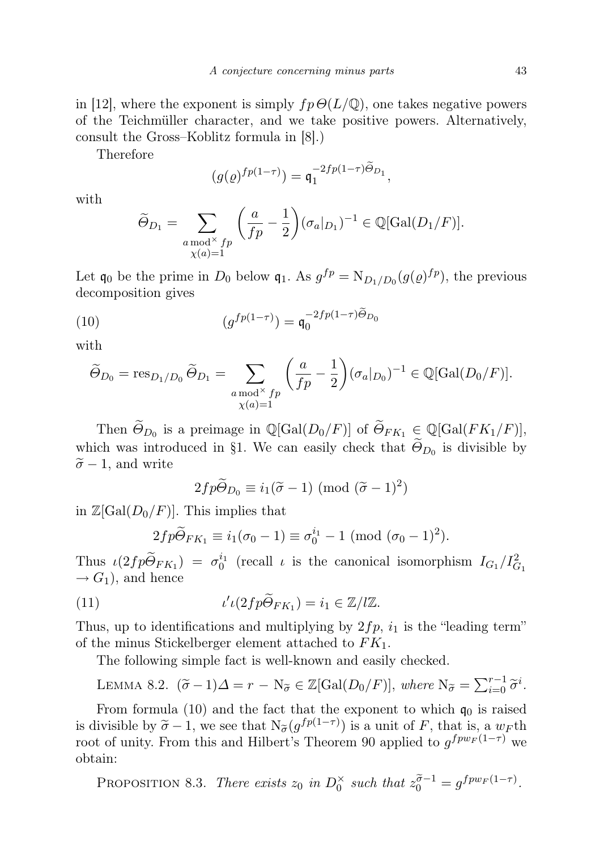in [12], where the exponent is simply  $fp\Theta(L/\mathbb{Q})$ , one takes negative powers of the Teichmüller character, and we take positive powers. Alternatively, consult the Gross–Koblitz formula in [8].)

Therefore

$$
(g(\varrho)^{fp(1-\tau)}) = \mathfrak{q}_1^{-2fp(1-\tau)\Theta_{D_1}},
$$

with

$$
\widetilde{\Theta}_{D_1} = \sum_{\substack{a \bmod^{\times} f p \\ \chi(a)=1}} \left( \frac{a}{fp} - \frac{1}{2} \right) (\sigma_a|_{D_1})^{-1} \in \mathbb{Q}[\text{Gal}(D_1/F)].
$$

Let  $\mathfrak{q}_0$  be the prime in  $D_0$  below  $\mathfrak{q}_1$ . As  $g^{fp} = \mathrm{N}_{D_1/D_0}(g(\varrho)^{fp})$ , the previous decomposition gives

(10) 
$$
(g^{fp(1-\tau)}) = \mathfrak{q}_0^{-2fp(1-\tau)\Theta_{D_0}}
$$

with

$$
\widetilde{\Theta}_{D_0} = \operatorname{res}_{D_1/D_0} \widetilde{\Theta}_{D_1} = \sum_{\substack{a \bmod^{\times} fp \\ \chi(a) = 1}} \left( \frac{a}{fp} - \frac{1}{2} \right) (\sigma_a|_{D_0})^{-1} \in \mathbb{Q}[\operatorname{Gal}(D_0/F)].
$$

Then  $\widetilde{\Theta}_{D_0}$  is a preimage in  $\mathbb{Q}[\text{Gal}(D_0/F)]$  of  $\widetilde{\Theta}_{FK_1} \in \mathbb{Q}[\text{Gal}(FK_1/F)]$ , which was introduced in §1. We can easily check that  $\Theta_{D_0}$  is divisible by  $\tilde{\sigma}$  − 1, and write

$$
2fp\widetilde{\Theta}_{D_0} \equiv i_1(\widetilde{\sigma} - 1) \pmod{(\widetilde{\sigma} - 1)^2}
$$

in  $\mathbb{Z}[\text{Gal}(D_0/F)]$ . This implies that

$$
2fp\widetilde{\Theta}_{FK_1} \equiv i_1(\sigma_0 - 1) \equiv \sigma_0^{i_1} - 1 \pmod{(\sigma_0 - 1)^2}.
$$

Thus  $\iota(2fp\tilde{\Theta}_{FK_1}) = \sigma_0^{i_1}$  (recall  $\iota$  is the canonical isomorphism  $I_{G_1}/I_{G_1}^2$  $\rightarrow G_1$ , and hence

(11) 
$$
\iota' \iota(2fp\widetilde{\Theta}_{FK_1}) = i_1 \in \mathbb{Z}/l\mathbb{Z}.
$$

Thus, up to identifications and multiplying by  $2fp$ ,  $i_1$  is the "leading term" of the minus Stickelberger element attached to  $FK_1$ .

The following simple fact is well-known and easily checked.

LEMMA 8.2. 
$$
(\tilde{\sigma} - 1)\Delta = r - N_{\tilde{\sigma}} \in \mathbb{Z}[Gal(D_0/F)], where N_{\tilde{\sigma}} = \sum_{i=0}^{r-1} \tilde{\sigma}^i
$$
.

From formula (10) and the fact that the exponent to which  $q_0$  is raised is divisible by  $\tilde{\sigma} - 1$ , we see that  $N_{\tilde{\sigma}}(g^{fp(1-\tau)})$  is a unit of F, that is, a  $w_F$ th root of unity From this and Hilbert's Theorem 00 applied to  $g^{fw_F(1-\tau)}$  we root of unity. From this and Hilbert's Theorem 90 applied to  $g^{fpw_F(1-\tau)}$  we obtain:

PROPOSITION 8.3. There exists  $z_0$  in  $D_0^{\times}$  such that  $z_0^{\tilde{\sigma}-1} = g^{fpw_F(1-\tau)}$ .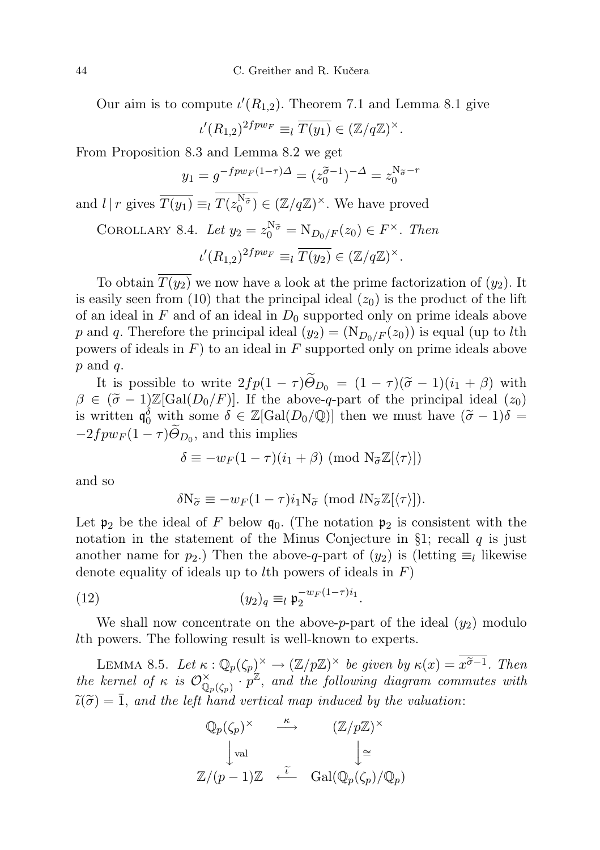Our aim is to compute  $\iota'(R_{1,2})$ . Theorem 7.1 and Lemma 8.1 give

$$
\iota'(R_{1,2})^{2fpw_F} \equiv_l \overline{T(y_1)} \in (\mathbb{Z}/q\mathbb{Z})^{\times}.
$$

From Proposition 8.3 and Lemma 8.2 we get

$$
y_1 = g^{-f p w_F (1 - \tau) \Delta} = (z_0^{\tilde{\sigma} - 1})^{-\Delta} = z_0^{N_{\tilde{\sigma}} - r}
$$

and  $l | r$  gives  $\overline{T(y_1)} \equiv_l T(z_0^{\mathbb{N}_{\widetilde{\sigma}}}) \in (\mathbb{Z}/q\mathbb{Z})^{\times}$ . We have proved

COROLLARY 8.4. Let 
$$
y_2 = z_0^{N_{\tilde{\sigma}}} = N_{D_0/F}(z_0) \in F^\times
$$
. Then  
\n
$$
\iota'(R_{1,2})^{2fpw_F} \equiv_l \overline{T(y_2)} \in (\mathbb{Z}/q\mathbb{Z})^\times.
$$

To obtain  $\overline{T(y_2)}$  we now have a look at the prime factorization of  $(y_2)$ . It is easily seen from (10) that the principal ideal  $(z_0)$  is the product of the lift of an ideal in  $F$  and of an ideal in  $D_0$  supported only on prime ideals above p and q. Therefore the principal ideal  $(y_2) = (N_{D_0/F}(z_0))$  is equal (up to lth powers of ideals in  $F$ ) to an ideal in  $F$  supported only on prime ideals above  $p$  and  $q$ .

It is possible to write  $2fp(1 - \tau)\tilde{\Theta}_{D_0} = (1 - \tau)(\tilde{\sigma} - 1)(i_1 + \beta)$  with  $\beta \in (\tilde{\sigma} - 1)\mathbb{Z}[\text{Gal}(D_0/F)]$ . If the above-q-part of the principal ideal  $(z_0)$ is written  $\mathfrak{q}_0^{\delta}$  with some  $\delta \in \mathbb{Z}[\text{Gal}(D_0/\mathbb{Q})]$  then we must have  $(\tilde{\sigma} - 1)\delta =$  $-2fpw_F(1-\tau)\Theta_{D_0}$ , and this implies

$$
\delta \equiv -w_F(1-\tau)(i_1+\beta) \pmod{\mathrm{N}_{\widetilde{\sigma}}\mathbb{Z}[\langle \tau \rangle]}
$$

and so

$$
\delta N_{\widetilde{\sigma}} \equiv -w_F(1-\tau)i_1N_{\widetilde{\sigma}} \pmod{lN_{\widetilde{\sigma}}\mathbb{Z}[\langle \tau \rangle]}.
$$

Let  $\mathfrak{p}_2$  be the ideal of F below  $\mathfrak{q}_0$ . (The notation  $\mathfrak{p}_2$  is consistent with the notation in the statement of the Minus Conjecture in  $\S1$ ; recall q is just another name for  $p_2$ .) Then the above-q-part of  $(y_2)$  is (letting  $\equiv_l$  likewise denote equality of ideals up to *l*th powers of ideals in  $F$ )

$$
(12)\qquad \qquad (y_2)_q \equiv_l \mathfrak{p}_2^{-w_F(1-\tau)i_1}
$$

We shall now concentrate on the above-p-part of the ideal  $(y_2)$  modulo lth powers. The following result is well-known to experts.

.

LEMMA 8.5. Let  $\kappa: \mathbb{Q}_p(\zeta_p)^\times \to (\mathbb{Z}/p\mathbb{Z})^\times$  be given by  $\kappa(x) = \overline{x^{\tilde{\sigma}-1}}$ . Then the kernel of  $\kappa$  is  $\mathcal{O}_{\mathbb{Q}_p(\zeta_p)}^{\times}$  or  $p^{\mathbb{Z}}$ , and the following diagram commutes with  $\widetilde{\iota}(\widetilde{\sigma}) = \overline{1}$ , and the left hand vertical map induced by the valuation:

$$
\begin{array}{ccc}\n\mathbb{Q}_p(\zeta_p)^\times & \xrightarrow{\kappa} & (\mathbb{Z}/p\mathbb{Z})^\times \\
& \downarrow \text{val} & & \downarrow \cong \\
\mathbb{Z}/(p-1)\mathbb{Z} & \xleftarrow{\tilde{\iota}} & \text{Gal}(\mathbb{Q}_p(\zeta_p)/\mathbb{Q}_p)\n\end{array}
$$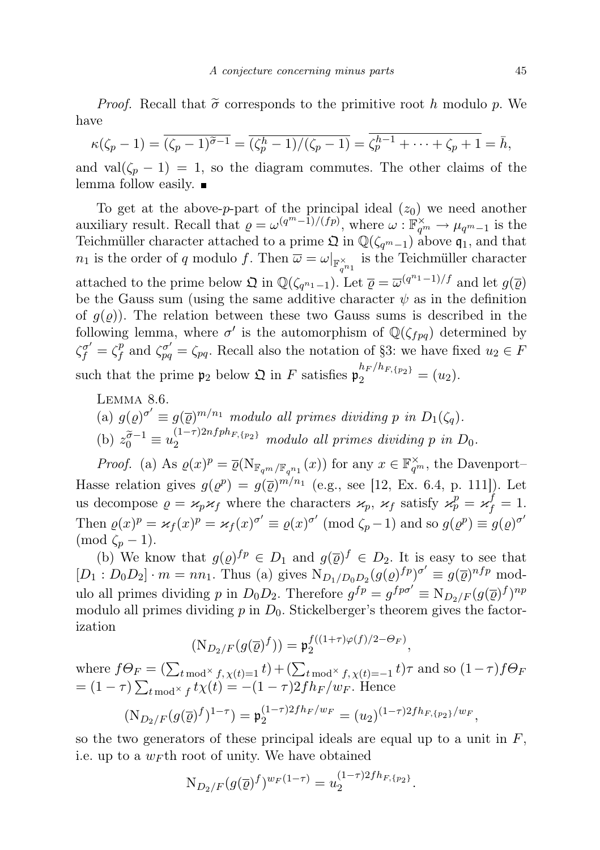*Proof.* Recall that  $\tilde{\sigma}$  corresponds to the primitive root h modulo p. We have

$$
\kappa(\zeta_p-1) = \overline{(\zeta_p-1)^{\widetilde{\sigma}-1}} = \overline{(\zeta_p^h-1)/(\zeta_p-1)} = \overline{\zeta_p^{h-1} + \cdots + \zeta_p + 1} = \overline{h},
$$

and val $(\zeta_p - 1) = 1$ , so the diagram commutes. The other claims of the lemma follow easily.

To get at the above-p-part of the principal ideal  $(z_0)$  we need another auxiliary result. Recall that  $\varrho = \omega^{(q^m-1)/(fp)}$ , where  $\omega : \mathbb{F}_{q^m}^{\times} \to \mu_{q^m-1}$  is the Teichmüller character attached to a prime  $\mathfrak{Q}$  in  $\mathbb{Q}(\zeta_{q^m-1})$  above  $\mathfrak{q}_1$ , and that  $n_1$  is the order of q modulo f. Then  $\overline{\omega} = \omega|_{\mathbb{F}_{q^{n_1}}^{\times}}$  is the Teichmüller character attached to the prime below  $\mathfrak{Q}$  in  $\mathbb{Q}(\zeta_{q^{n_1}-1})$ . Let  $\overline{\varrho} = \overline{\omega}^{(q^{n_1}-1)/f}$  and let  $g(\overline{\varrho})$ be the Gauss sum (using the same additive character  $\psi$  as in the definition of  $g(\varrho)$ ). The relation between these two Gauss sums is described in the following lemma, where  $\sigma'$  is the automorphism of  $\mathbb{Q}(\zeta_{fpq})$  determined by  $\zeta_f^{\sigma'}=\zeta_f^p$ <sup>p</sup><sub>f</sub> and  $\zeta_{pq}^{\sigma'} = \zeta_{pq}$ . Recall also the notation of §3: we have fixed  $u_2 \in F$ such that the prime  $\mathfrak{p}_2$  below  $\mathfrak{Q}$  in F satisfies  $\mathfrak{p}_2^{h_F/h_{F,\{p_2\}}} = (u_2)$ .

LEMMA 8.6.  
\n(a) 
$$
g(\rho)^{\sigma'} \equiv g(\overline{\rho})^{m/n_1}
$$
 modulo all primes dividing p in  $D_1(\zeta_q)$ .  
\n(b)  $z_0^{\overline{\sigma}-1} \equiv u_2^{(1-\tau)2nfph_{F,\{p_2\}}}$  modulo all primes dividing p in  $D_0$ .

*Proof.* (a) As  $\varrho(x)^p = \overline{\varrho}(\mathcal{N}_{\mathbb{F}_{q^m}/\mathbb{F}_{q^{n_1}}}(x))$  for any  $x \in \mathbb{F}_{q^m}^{\times}$ , the Davenport-Hasse relation gives  $g(\varrho^p) = g(\overline{\varrho})^{m/n_1}$  (e.g., see [12, Ex. 6.4, p. 111]). Let us decompose  $\rho = \varkappa_p \varkappa_f$  where the characters  $\varkappa_p$ ,  $\varkappa_f$  satisfy  $\varkappa_p^p = \varkappa_f^f = 1$ . Then  $\varrho(x)^p = \varkappa_f(x)^p = \varkappa_f(x)^{\sigma'} \equiv \varrho(x)^{\sigma'} \pmod{\zeta_p - 1}$  and so  $g(\varrho^p) \equiv g(\varrho)^{\sigma'}$  $\pmod{\zeta_p-1}$ .

(b) We know that  $g(\varrho)^{fp} \in D_1$  and  $g(\overline{\varrho})^f \in D_2$ . It is easy to see that  $[D_1 : D_0 D_2] \cdot m = nn_1$ . Thus (a) gives  $N_{D_1/D_0 D_2}(g(\rho)^{fp})^{\sigma'} \equiv g(\overline{\rho})^{nfp} \text{ mod-}$ ulo all primes dividing p in  $D_0 D_2$ . Therefore  $g^{fp} = g^{fp\sigma'} \equiv N_{D_2/F}(g(\overline{\varrho})^f)^{np}$ modulo all primes dividing  $p$  in  $D_0$ . Stickelberger's theorem gives the factorization

$$
(\mathrm{N}_{D_2/F}(g(\overline{\varrho})^f)) = \mathfrak{p}_2^{f((1+\tau)\varphi(f)/2 - \Theta_F)},
$$

where  $f\Theta_F = (\sum_{t \bmod Y} f, \chi(t)=1} t) + (\sum_{t \bmod Y} f, \chi(t)=-1} t) \tau$  and so  $(1-\tau)f\Theta_F$  $= (1 - \tau) \sum_{t \bmod{\times} f} t \chi(t) = -(1 - \tau) 2f h_F/w_F$ . Hence

$$
(\mathrm{N}_{D_2/F}(g(\overline{\varrho})^f)^{1-\tau}) = \mathfrak{p}_2^{(1-\tau)2fh_F/w_F} = (u_2)^{(1-\tau)2fh_{F,\{p_2\}}/w_F},
$$

so the two generators of these principal ideals are equal up to a unit in  $F$ , i.e. up to a  $w_F$ th root of unity. We have obtained

$$
N_{D_2/F}(g(\overline{\varrho})^f)^{w_F(1-\tau)} = u_2^{(1-\tau)2fh_{F,\{p_2\}}}.
$$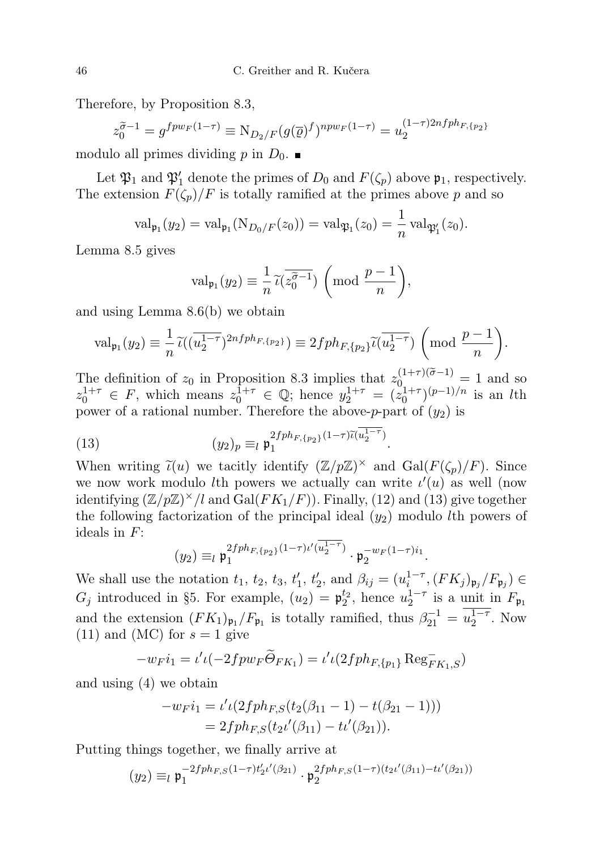Therefore, by Proposition 8.3,

$$
z_0^{\tilde{\sigma}-1} = g^{fpw_F(1-\tau)} \equiv N_{D_2/F}(g(\overline{\varrho})^f)^{npw_F(1-\tau)} = u_2^{(1-\tau)2nfph_{F,\{p_2\}}}
$$

modulo all primes dividing p in  $D_0$ .

Let  $\mathfrak{P}_1$  and  $\mathfrak{P}'_1$  denote the primes of  $D_0$  and  $F(\zeta_p)$  above  $\mathfrak{p}_1$ , respectively. The extension  $F(\zeta_p)/F$  is totally ramified at the primes above p and so

$$
\text{val}_{\mathfrak{p}_1}(y_2) = \text{val}_{\mathfrak{p}_1}(\text{N}_{D_0/F}(z_0)) = \text{val}_{\mathfrak{P}_1}(z_0) = \frac{1}{n} \text{val}_{\mathfrak{P}_1'}(z_0).
$$

Lemma 8.5 gives

$$
\mathrm{val}_{\mathfrak{p}_1}(y_2) \equiv \frac{1}{n} \widetilde{\iota}(z_0^{\widetilde{\sigma}-1}) \left(\bmod \frac{p-1}{n}\right),\,
$$

and using Lemma 8.6(b) we obtain

$$
\mathrm{val}_{\mathfrak{p}_1}(y_2) \equiv \frac{1}{n} \widetilde{\iota}((\overline{u_2^{1-\tau}})^{2nfph_{F,\{p_2\}}}) \equiv 2fph_{F,\{p_2\}} \widetilde{\iota}(\overline{u_2^{1-\tau}}) \left(\bmod \frac{p-1}{n}\right).
$$

The definition of  $z_0$  in Proposition 8.3 implies that  $z_{0}^{(1+\tau)(\tilde{\sigma}-1)}=1$  and so  $z_0^{1+\tau} \in F$ , which means  $z_0^{1+\tau} \in \mathbb{Q}$ ; hence  $y_2^{1+\tau} = (z_0^{1+\tau})^{(p-1)/n}$  is an *l*th power of a rational number. Therefore the above-p-part of  $(y_2)$  is

.

(13) 
$$
(y_2)_p \equiv_l \mathfrak{p}_1^{2fph_{F,\{p_2\}}(1-\tau)\widetilde{\iota}(u_2^{1-\tau})}
$$

When writing  $\tilde{\iota}(u)$  we tacitly identify  $(\mathbb{Z}/p\mathbb{Z})^{\times}$  and  $Gal(F(\zeta_p)/F)$ . Since we now work modulo *l*th powers we actually can write  $\iota'(u)$  as well (now identifying  $(\mathbb{Z}/p\mathbb{Z})^{\times}/l$  and  $Gal(FK_1/F)$ ). Finally, (12) and (13) give together the following factorization of the principal ideal  $(y_2)$  modulo *lth* powers of ideals in F:

$$
(y_2) \equiv_l \mathfrak{p}_1^{2fph_{F,\{p_2\}}(1-\tau)\iota'(\overline{u_2^{1-\tau}})} \cdot \mathfrak{p}_2^{-w_F(1-\tau)i_1}.
$$

We shall use the notation  $t_1$ ,  $t_2$ ,  $t_3$ ,  $t'_1$ ,  $t'_2$ , and  $\beta_{ij} = (u_i^{1-\tau}, (FK_j)_{\mathfrak{p}_j}/F_{\mathfrak{p}_j}) \in$  $G_j$  introduced in §5. For example,  $(u_2) = \mathfrak{p}_2^{t_2}$ , hence  $u_2^{1-\tau}$  is a unit in  $F_{\mathfrak{p}_1}$ and the extension  $(FK_1)_{\mathfrak{p}_1}/F_{\mathfrak{p}_1}$  is totally ramified, thus  $\beta_{21}^{-1} = u_2^{1-\tau}$ . Now  $(11)$  and  $(MC)$  for  $s = 1$  give

$$
-w_F i_1 = \iota' \iota(-2fpw_F \widetilde{\Theta}_{FK_1}) = \iota' \iota(2fph_{F,\{p_1\}} \operatorname{Reg}_{FK_1,S}^{-1})
$$

and using (4) we obtain

$$
-w_{F}i_{1} = \iota' \iota(2fph_{F,S}(t_{2}(\beta_{11} - 1) - t(\beta_{21} - 1)))
$$
  
= 2fph\_{F,S}(t\_{2}\iota'(\beta\_{11}) - t\iota'(\beta\_{21})).

Putting things together, we finally arrive at

$$
(y_2) \equiv_l \mathfrak{p}_1^{-2fph_{F,S}(1-\tau)t_2' \iota'(\beta_{21})} \cdot \mathfrak{p}_2^{2fph_{F,S}(1-\tau)(t_2 \iota'(\beta_{11}) - t \iota'(\beta_{21}))}
$$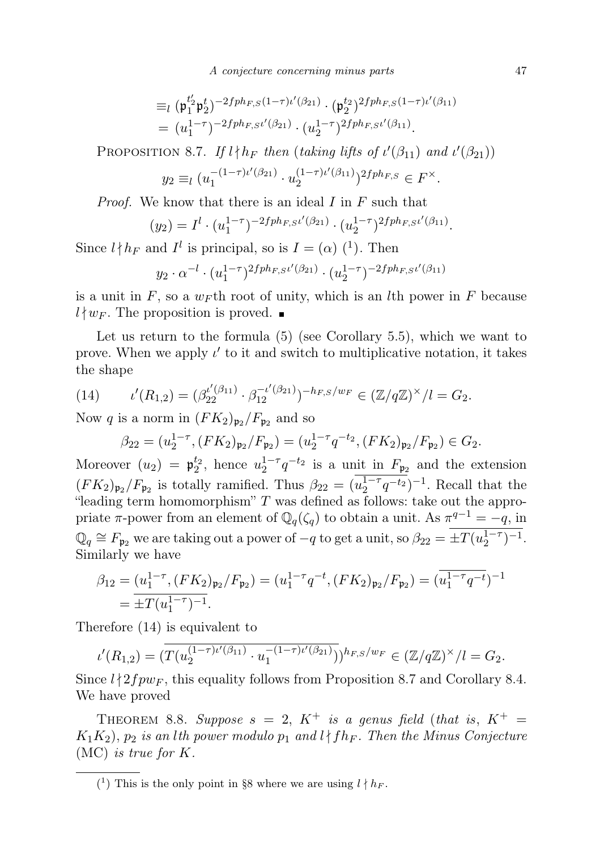A conjecture concerning minus parts 47

$$
\begin{split} & \equiv_l (\mathfrak{p}_1^{t_2'} \mathfrak{p}_2^t)^{-2fph_{F,S}(1-\tau)\iota'(\beta_{21})} \cdot (\mathfrak{p}_2^{t_2})^{2fph_{F,S}(1-\tau)\iota'(\beta_{11})} \\ & = (u_1^{1-\tau})^{-2fph_{F,S}\iota'(\beta_{21})} \cdot (u_2^{1-\tau})^{2fph_{F,S}\iota'(\beta_{11})} .\end{split}
$$

PROPOSITION 8.7. If  $l \nmid h_F$  then (taking lifts of  $\iota'(\beta_{11})$  and  $\iota'(\beta_{21})$ )

$$
y_2\equiv_l (u_1^{-(1-\tau)\iota'(\beta_{21})}\cdot u_2^{(1-\tau)\iota'(\beta_{11})})^{2fph_{F,S}}\in F^\times.
$$

Proof. We know that there is an ideal I in F such that

$$
(y_2) = I^l \cdot (u_1^{1-\tau})^{-2fph_{F,S}\iota'(\beta_{21})} \cdot (u_2^{1-\tau})^{2fph_{F,S}\iota'(\beta_{11})}.
$$

Since  $l \nmid h_F$  and  $I^l$  is principal, so is  $I = (\alpha)$  (<sup>1</sup>). Then

$$
y_2 \cdot \alpha^{-l} \cdot (u_1^{1-\tau})^{2fph_{F,S}\iota'(\beta_{21})} \cdot (u_2^{1-\tau})^{-2fph_{F,S}\iota'(\beta_{11})}
$$

is a unit in F, so a  $w_F$ th root of unity, which is an *l*th power in F because  $l \nmid w_F$ . The proposition is proved.

Let us return to the formula  $(5)$  (see Corollary 5.5), which we want to prove. When we apply  $\iota'$  to it and switch to multiplicative notation, it takes the shape

(14) 
$$
\iota'(R_{1,2}) = (\beta_{22}^{\iota'(\beta_{11})} \cdot \beta_{12}^{-\iota'(\beta_{21})})^{-h_{F,S}/w_F} \in (\mathbb{Z}/q\mathbb{Z})^{\times}/l = G_2.
$$

Now q is a norm in  $(FK_2)_{\mathfrak{p}_2}/F_{\mathfrak{p}_2}$  and so

$$
\beta_{22} = (u_2^{1-\tau}, (FK_2)_{\mathfrak{p}_2}/F_{\mathfrak{p}_2}) = (u_2^{1-\tau}q^{-t_2}, (FK_2)_{\mathfrak{p}_2}/F_{\mathfrak{p}_2}) \in G_2.
$$

Moreover  $(u_2) = \mathfrak{p}_2^{t_2}$ , hence  $u_2^{1-\tau} q^{-t_2}$  is a unit in  $F_{\mathfrak{p}_2}$  and the extension  $(FK_2)_{\mathfrak{p}_2}/F_{\mathfrak{p}_2}$  is totally ramified. Thus  $\beta_{22} = (u_2^{1-\tau}q^{-t_2})^{-1}$ . Recall that the "leading term homomorphism"  $T$  was defined as follows: take out the appropriate  $\pi$ -power from an element of  $\mathbb{Q}_q(\zeta_q)$  to obtain a unit. As  $\pi^{q-1} = -q$ , in  $\mathbb{Q}_q \cong F_{\mathfrak{p}_2}$  we are taking out a power of  $-q$  to get a unit, so  $\beta_{22} = \pm T(u_2^{1-\tau})^{-1}$ . Similarly we have

$$
\beta_{12} = (u_1^{1-\tau}, (FK_2)_{\mathfrak{p}_2}/F_{\mathfrak{p}_2}) = (u_1^{1-\tau}q^{-t}, (FK_2)_{\mathfrak{p}_2}/F_{\mathfrak{p}_2}) = (\overline{u_1^{1-\tau}q^{-t}})^{-1}
$$
  
=  $\pm T(u_1^{1-\tau})^{-1}$ .

Therefore (14) is equivalent to

$$
\iota'(R_{1,2}) = \left( \overline{T(u_2^{(1-\tau)\iota'(\beta_{11})} \cdot u_1^{-(1-\tau)\iota'(\beta_{21})})} \right)^{h_{F,S}/w_F} \in (\mathbb{Z}/q\mathbb{Z})^\times / l = G_2.
$$

Since  $l \nmid 2fpw_F$ , this equality follows from Proposition 8.7 and Corollary 8.4. We have proved

THEOREM 8.8. Suppose  $s = 2$ ,  $K^+$  is a genus field (that is,  $K^+$  =  $K_1K_2$ ,  $p_2$  is an lth power modulo  $p_1$  and  $l \nmid fh_F$ . Then the Minus Conjecture (MC) is true for  $K$ .

<sup>(&</sup>lt;sup>1</sup>) This is the only point in §8 where we are using  $l \nmid h_F$ .